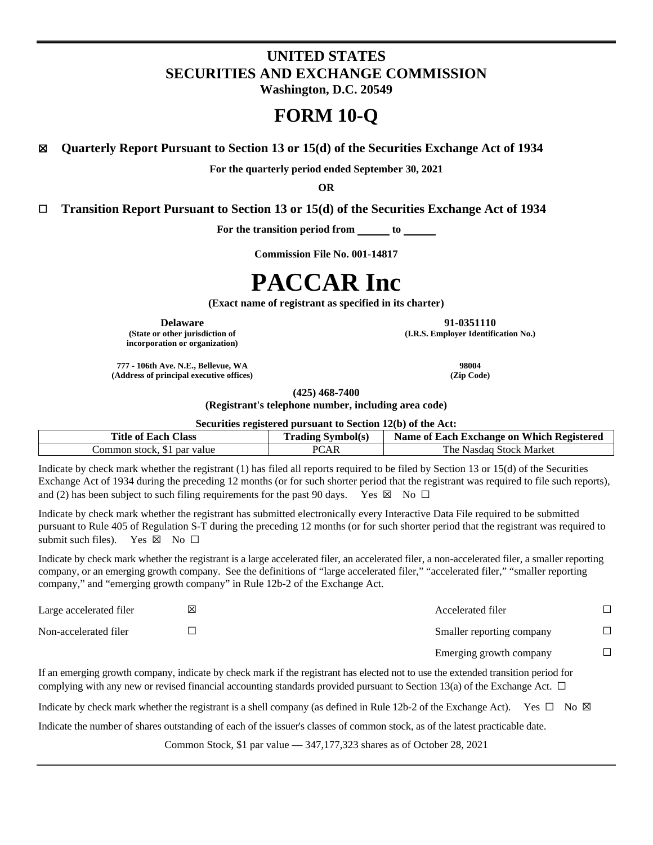# **UNITED STATES SECURITIES AND EXCHANGE COMMISSION**

**Washington, D.C. 20549**

## **FORM 10-Q**

**☒ Quarterly Report Pursuant to Section 13 or 15(d) of the Securities Exchange Act of 1934**

**For the quarterly period ended September 30, 2021**

**OR**

**☐ Transition Report Pursuant to Section 13 or 15(d) of the Securities Exchange Act of 1934**

For the transition period from <u>to</u> to

**Commission File No. 001-14817**

# **PACCAR Inc**

**(Exact name of registrant as specified in its charter)**

**Delaware 91-0351110**

**(State or other jurisdiction of incorporation or organization)** **(I.R.S. Employer Identification No.)**

**777 - 106th Ave. N.E., Bellevue, WA 98004 (Address of principal executive offices) (Zip Code)**

**(425) 468-7400**

**(Registrant's telephone number, including area code)**

**Securities registered pursuant to Section 12(b) of the Act:**

| <b>Title of Each Class</b>     | <b>Trading Symbol(s)</b> | Name of Each Exchange on Which Registered |
|--------------------------------|--------------------------|-------------------------------------------|
| par value<br>Common stock. \$1 | PCAR                     | ≅Nasdaq Stock Market -<br>The .           |

Indicate by check mark whether the registrant (1) has filed all reports required to be filed by Section 13 or 15(d) of the Securities Exchange Act of 1934 during the preceding 12 months (or for such shorter period that the registrant was required to file such reports), and (2) has been subject to such filing requirements for the past 90 days. Yes  $\boxtimes$  No  $\Box$ 

Indicate by check mark whether the registrant has submitted electronically every Interactive Data File required to be submitted pursuant to Rule 405 of Regulation S-T during the preceding 12 months (or for such shorter period that the registrant was required to submit such files). Yes  $\boxtimes$  No  $\square$ 

Indicate by check mark whether the registrant is a large accelerated filer, an accelerated filer, a non-accelerated filer, a smaller reporting company, or an emerging growth company. See the definitions of "large accelerated filer," "accelerated filer," "smaller reporting company," and "emerging growth company" in Rule 12b-2 of the Exchange Act.

| Large accelerated filer | ⊠ | Accelerated filer         |  |
|-------------------------|---|---------------------------|--|
| Non-accelerated filer   |   | Smaller reporting company |  |
|                         |   | Emerging growth company   |  |

If an emerging growth company, indicate by check mark if the registrant has elected not to use the extended transition period for complying with any new or revised financial accounting standards provided pursuant to Section 13(a) of the Exchange Act.  $\Box$ 

Indicate by check mark whether the registrant is a shell company (as defined in Rule 12b-2 of the Exchange Act). Yes  $\Box$  No  $\boxtimes$ 

Indicate the number of shares outstanding of each of the issuer's classes of common stock, as of the latest practicable date.

Common Stock, \$1 par value — 347,177,323 shares as of October 28, 2021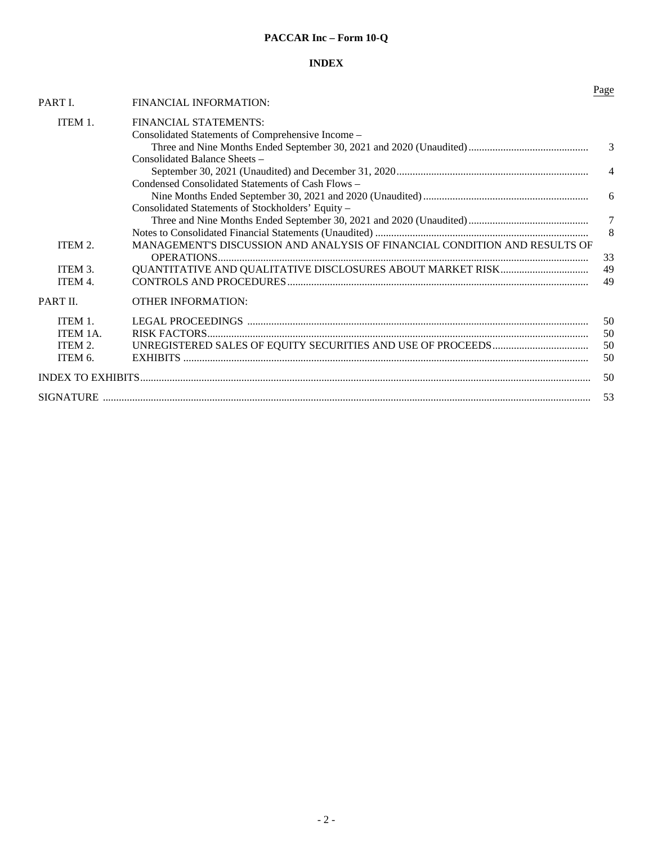### **PACCAR Inc – Form 10-Q**

### **INDEX**

|          |                                                                            | Page           |
|----------|----------------------------------------------------------------------------|----------------|
| PART I.  | FINANCIAL INFORMATION:                                                     |                |
| ITEM 1.  | FINANCIAL STATEMENTS:                                                      |                |
|          | Consolidated Statements of Comprehensive Income -                          |                |
|          |                                                                            | 3              |
|          | Consolidated Balance Sheets –                                              |                |
|          |                                                                            | $\overline{4}$ |
|          | Condensed Consolidated Statements of Cash Flows -                          |                |
|          |                                                                            | 6              |
|          | Consolidated Statements of Stockholders' Equity -                          |                |
|          |                                                                            | $\overline{7}$ |
|          |                                                                            | 8              |
| ITEM 2.  | MANAGEMENT'S DISCUSSION AND ANALYSIS OF FINANCIAL CONDITION AND RESULTS OF |                |
|          |                                                                            | 33             |
| ITEM 3.  |                                                                            | 49             |
| ITEM 4.  | CONTROLS AND PROCEDURES                                                    | 49             |
| PART II. | <b>OTHER INFORMATION:</b>                                                  |                |
| ITEM 1.  |                                                                            | 50             |
| ITEM 1A. |                                                                            | 50             |
| ITEM 2.  |                                                                            | 50             |
| ITEM 6.  |                                                                            | 50             |
|          |                                                                            | 50             |
|          |                                                                            | 53             |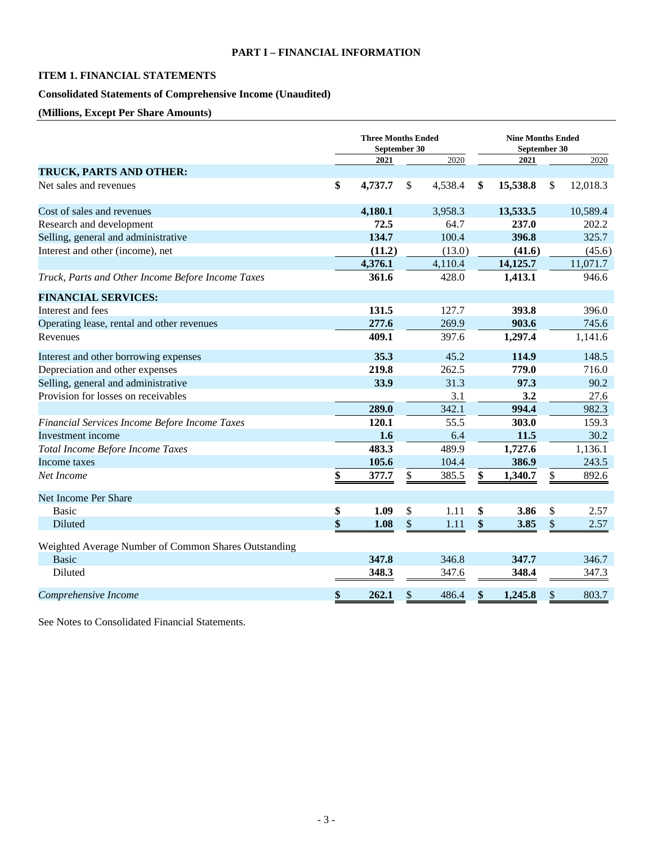### <span id="page-2-2"></span><span id="page-2-0"></span>**PART I – FINANCIAL INFORMATION**

### <span id="page-2-1"></span>**ITEM 1. FINANCIAL STATEMENTS**

### **Consolidated Statements of Comprehensive Income (Unaudited)**

### **(Millions, Except Per Share Amounts)**

|                                                      | <b>Three Months Ended</b><br>September 30 |                   |         | <b>Nine Months Ended</b><br>September 30 |               |          |  |
|------------------------------------------------------|-------------------------------------------|-------------------|---------|------------------------------------------|---------------|----------|--|
|                                                      | 2021                                      |                   | 2020    | 2021                                     |               | 2020     |  |
| TRUCK, PARTS AND OTHER:                              |                                           |                   |         |                                          |               |          |  |
| Net sales and revenues                               | \$<br>4,737.7                             | \$                | 4,538.4 | \$<br>15,538.8                           | <sup>\$</sup> | 12,018.3 |  |
| Cost of sales and revenues                           | 4,180.1                                   |                   | 3,958.3 | 13,533.5                                 |               | 10,589.4 |  |
| Research and development                             | 72.5                                      |                   | 64.7    | 237.0                                    |               | 202.2    |  |
| Selling, general and administrative                  | 134.7                                     |                   | 100.4   | 396.8                                    |               | 325.7    |  |
| Interest and other (income), net                     | (11.2)                                    |                   | (13.0)  | (41.6)                                   |               | (45.6)   |  |
|                                                      | 4,376.1                                   |                   | 4,110.4 | 14,125.7                                 |               | 11,071.7 |  |
| Truck, Parts and Other Income Before Income Taxes    | 361.6                                     |                   | 428.0   | 1,413.1                                  |               | 946.6    |  |
| <b>FINANCIAL SERVICES:</b>                           |                                           |                   |         |                                          |               |          |  |
| Interest and fees                                    | 131.5                                     |                   | 127.7   | 393.8                                    |               | 396.0    |  |
| Operating lease, rental and other revenues           | 277.6                                     |                   | 269.9   | 903.6                                    |               | 745.6    |  |
| Revenues                                             | 409.1                                     |                   | 397.6   | 1,297.4                                  |               | 1,141.6  |  |
| Interest and other borrowing expenses                | 35.3                                      |                   | 45.2    | 114.9                                    |               | 148.5    |  |
| Depreciation and other expenses                      | 219.8                                     |                   | 262.5   | 779.0                                    |               | 716.0    |  |
| Selling, general and administrative                  | 33.9                                      |                   | 31.3    | 97.3                                     |               | 90.2     |  |
| Provision for losses on receivables                  |                                           |                   | 3.1     | 3.2                                      |               | 27.6     |  |
|                                                      | 289.0                                     |                   | 342.1   | 994.4                                    |               | 982.3    |  |
| Financial Services Income Before Income Taxes        | 120.1                                     |                   | 55.5    | 303.0                                    |               | 159.3    |  |
| Investment income                                    | 1.6                                       |                   | 6.4     | 11.5                                     |               | 30.2     |  |
| Total Income Before Income Taxes                     | 483.3                                     |                   | 489.9   | 1,727.6                                  |               | 1,136.1  |  |
| Income taxes                                         | 105.6                                     |                   | 104.4   | 386.9                                    |               | 243.5    |  |
| Net Income                                           | \$<br>377.7                               | \$                | 385.5   | \$<br>1,340.7                            | \$            | 892.6    |  |
| Net Income Per Share                                 |                                           |                   |         |                                          |               |          |  |
| <b>Basic</b>                                         | \$<br>1.09                                | \$                | 1.11    | \$<br>3.86                               | \$            | 2.57     |  |
| Diluted                                              | \$<br>1.08                                | $\boldsymbol{\$}$ | 1.11    | \$<br>3.85                               | \$            | 2.57     |  |
| Weighted Average Number of Common Shares Outstanding |                                           |                   |         |                                          |               |          |  |
| <b>Basic</b>                                         | 347.8                                     |                   | 346.8   | 347.7                                    |               | 346.7    |  |
| Diluted                                              | 348.3                                     |                   | 347.6   | 348.4                                    |               | 347.3    |  |
| Comprehensive Income                                 | \$<br>262.1                               | \$                | 486.4   | \$<br>1,245.8                            | \$            | 803.7    |  |
|                                                      |                                           |                   |         |                                          |               |          |  |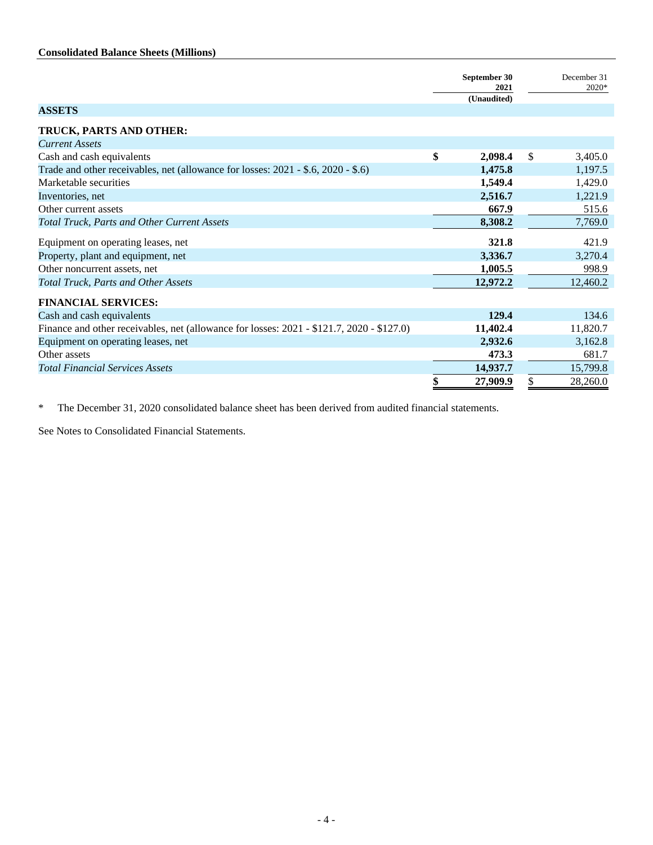### <span id="page-3-0"></span>**Consolidated Balance Sheets (Millions)**

|                                                                                           | September 30<br>2021<br>(Unaudited) | December 31<br>2020* |
|-------------------------------------------------------------------------------------------|-------------------------------------|----------------------|
| <b>ASSETS</b>                                                                             |                                     |                      |
| TRUCK, PARTS AND OTHER:                                                                   |                                     |                      |
| <b>Current Assets</b>                                                                     |                                     |                      |
| Cash and cash equivalents                                                                 | \$<br>2,098.4                       | \$<br>3,405.0        |
| Trade and other receivables, net (allowance for losses: 2021 - \$.6, 2020 - \$.6)         | 1,475.8                             | 1,197.5              |
| Marketable securities                                                                     | 1,549.4                             | 1,429.0              |
| Inventories, net                                                                          | 2,516.7                             | 1,221.9              |
| Other current assets                                                                      | 667.9                               | 515.6                |
| <b>Total Truck, Parts and Other Current Assets</b>                                        | 8,308.2                             | 7,769.0              |
| Equipment on operating leases, net                                                        | 321.8                               | 421.9                |
| Property, plant and equipment, net                                                        | 3,336.7                             | 3,270.4              |
| Other noncurrent assets, net                                                              | 1,005.5                             | 998.9                |
| <b>Total Truck, Parts and Other Assets</b>                                                | 12,972.2                            | 12,460.2             |
| <b>FINANCIAL SERVICES:</b>                                                                |                                     |                      |
| Cash and cash equivalents                                                                 | 129.4                               | 134.6                |
| Finance and other receivables, net (allowance for losses: 2021 - \$121.7, 2020 - \$127.0) | 11,402.4                            | 11,820.7             |
| Equipment on operating leases, net                                                        | 2,932.6                             | 3,162.8              |
| Other assets                                                                              | 473.3                               | 681.7                |
| <b>Total Financial Services Assets</b>                                                    | 14,937.7                            | 15,799.8             |
|                                                                                           | \$<br>27,909.9                      | \$<br>28,260.0       |

\* The December 31, 2020 consolidated balance sheet has been derived from audited financial statements.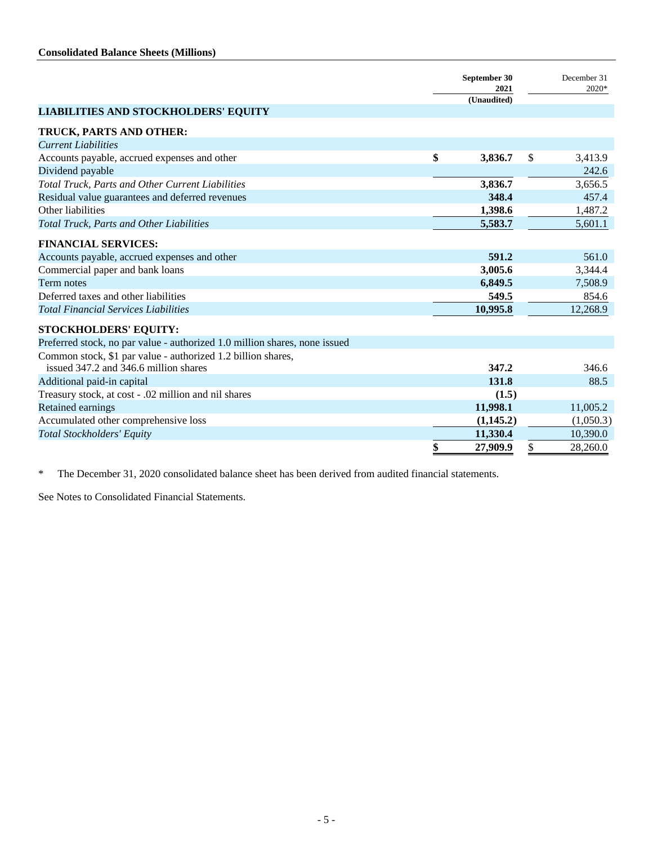|                                                                            | September 30<br>2021<br>(Unaudited) | December 31<br>2020* |
|----------------------------------------------------------------------------|-------------------------------------|----------------------|
| <b>LIABILITIES AND STOCKHOLDERS' EQUITY</b>                                |                                     |                      |
| TRUCK, PARTS AND OTHER:                                                    |                                     |                      |
| <b>Current Liabilities</b>                                                 |                                     |                      |
| Accounts payable, accrued expenses and other                               | \$<br>3,836.7                       | \$<br>3,413.9        |
| Dividend payable                                                           |                                     | 242.6                |
| Total Truck, Parts and Other Current Liabilities                           | 3,836.7                             | 3,656.5              |
| Residual value guarantees and deferred revenues                            | 348.4                               | 457.4                |
| Other liabilities                                                          | 1,398.6                             | 1,487.2              |
| <b>Total Truck, Parts and Other Liabilities</b>                            | 5,583.7                             | 5,601.1              |
| <b>FINANCIAL SERVICES:</b>                                                 |                                     |                      |
| Accounts payable, accrued expenses and other                               | 591.2                               | 561.0                |
| Commercial paper and bank loans                                            | 3,005.6                             | 3,344.4              |
| Term notes                                                                 | 6,849.5                             | 7,508.9              |
| Deferred taxes and other liabilities                                       | 549.5                               | 854.6                |
| <b>Total Financial Services Liabilities</b>                                | 10,995.8                            | 12,268.9             |
|                                                                            |                                     |                      |
| <b>STOCKHOLDERS' EQUITY:</b>                                               |                                     |                      |
| Preferred stock, no par value - authorized 1.0 million shares, none issued |                                     |                      |
| Common stock, \$1 par value - authorized 1.2 billion shares,               |                                     |                      |
| issued 347.2 and 346.6 million shares                                      | 347.2                               | 346.6                |
| Additional paid-in capital                                                 | 131.8                               | 88.5                 |
| Treasury stock, at cost - .02 million and nil shares                       | (1.5)                               |                      |
| Retained earnings                                                          | 11,998.1                            | 11,005.2             |
| Accumulated other comprehensive loss                                       | (1,145.2)                           | (1,050.3)            |
| <b>Total Stockholders' Equity</b>                                          | 11,330.4                            | 10,390.0             |
|                                                                            | \$<br>27,909.9                      | \$<br>28,260.0       |

\* The December 31, 2020 consolidated balance sheet has been derived from audited financial statements.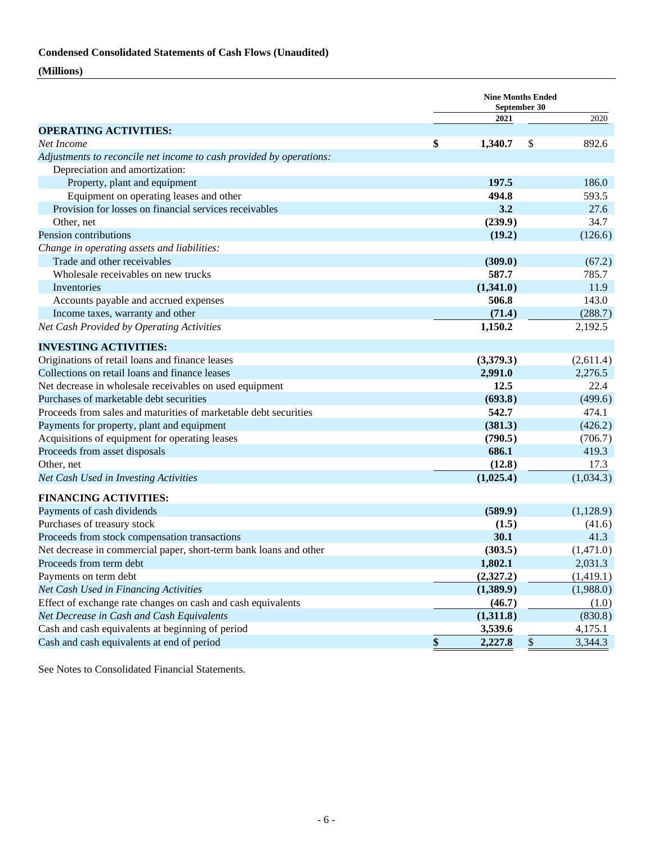### <span id="page-5-0"></span>**Condensed Consolidated Statements of Cash Flows (Unaudited)**

### **(Millions)**

|                                                                                                       |               | <b>Nine Months Ended</b><br>September 30 |                |           |  |  |
|-------------------------------------------------------------------------------------------------------|---------------|------------------------------------------|----------------|-----------|--|--|
|                                                                                                       |               | 2021                                     |                | 2020      |  |  |
| <b>OPERATING ACTIVITIES:</b>                                                                          |               |                                          |                |           |  |  |
| Net Income                                                                                            | \$            | 1,340.7                                  | \$             | 892.6     |  |  |
| Adjustments to reconcile net income to cash provided by operations:<br>Depreciation and amortization: |               |                                          |                |           |  |  |
| Property, plant and equipment                                                                         |               | 197.5                                    |                | 186.0     |  |  |
| Equipment on operating leases and other                                                               |               | 494.8                                    |                | 593.5     |  |  |
| Provision for losses on financial services receivables                                                |               | 3.2                                      |                | 27.6      |  |  |
| Other, net                                                                                            |               | (239.9)                                  |                | 34.7      |  |  |
| Pension contributions                                                                                 |               |                                          |                |           |  |  |
|                                                                                                       |               | (19.2)                                   |                | (126.6)   |  |  |
| Change in operating assets and liabilities:                                                           |               |                                          |                |           |  |  |
| Trade and other receivables                                                                           |               | (309.0)                                  |                | (67.2)    |  |  |
| Wholesale receivables on new trucks                                                                   |               | 587.7                                    |                | 785.7     |  |  |
| Inventories                                                                                           |               | (1,341.0)                                |                | 11.9      |  |  |
| Accounts payable and accrued expenses                                                                 |               | 506.8                                    |                | 143.0     |  |  |
| Income taxes, warranty and other                                                                      |               | (71.4)                                   |                | (288.7)   |  |  |
| Net Cash Provided by Operating Activities                                                             |               | 1,150.2                                  |                | 2,192.5   |  |  |
| <b>INVESTING ACTIVITIES:</b>                                                                          |               |                                          |                |           |  |  |
| Originations of retail loans and finance leases                                                       |               | (3,379.3)                                |                | (2,611.4) |  |  |
| Collections on retail loans and finance leases                                                        |               | 2,991.0                                  |                | 2,276.5   |  |  |
| Net decrease in wholesale receivables on used equipment                                               |               | 12.5                                     |                | 22.4      |  |  |
| Purchases of marketable debt securities                                                               |               | (693.8)                                  |                | (499.6)   |  |  |
| Proceeds from sales and maturities of marketable debt securities                                      |               | 542.7                                    |                | 474.1     |  |  |
| Payments for property, plant and equipment                                                            |               | (381.3)                                  |                | (426.2)   |  |  |
| Acquisitions of equipment for operating leases                                                        |               | (790.5)                                  |                | (706.7)   |  |  |
| Proceeds from asset disposals                                                                         |               | 686.1                                    |                | 419.3     |  |  |
| Other, net                                                                                            |               | (12.8)                                   |                | 17.3      |  |  |
| Net Cash Used in Investing Activities                                                                 |               | (1,025.4)                                |                | (1,034.3) |  |  |
| <b>FINANCING ACTIVITIES:</b>                                                                          |               |                                          |                |           |  |  |
| Payments of cash dividends                                                                            |               | (589.9)                                  |                | (1,128.9) |  |  |
| Purchases of treasury stock                                                                           |               | (1.5)                                    |                | (41.6)    |  |  |
| Proceeds from stock compensation transactions                                                         |               | 30.1                                     |                | 41.3      |  |  |
| Net decrease in commercial paper, short-term bank loans and other                                     |               | (303.5)                                  |                | (1,471.0) |  |  |
| Proceeds from term debt                                                                               |               | 1,802.1                                  |                | 2,031.3   |  |  |
| Payments on term debt                                                                                 |               | (2,327.2)                                |                | (1,419.1) |  |  |
| Net Cash Used in Financing Activities                                                                 |               | (1,389.9)                                |                | (1,988.0) |  |  |
| Effect of exchange rate changes on cash and cash equivalents                                          |               | (46.7)                                   |                | (1.0)     |  |  |
| Net Decrease in Cash and Cash Equivalents                                                             |               | (1,311.8)                                |                | (830.8)   |  |  |
| Cash and cash equivalents at beginning of period                                                      |               | 3,539.6                                  |                | 4,175.1   |  |  |
| Cash and cash equivalents at end of period                                                            | $\frac{\$}{}$ | 2,227.8                                  | $\overline{e}$ | 3,344.3   |  |  |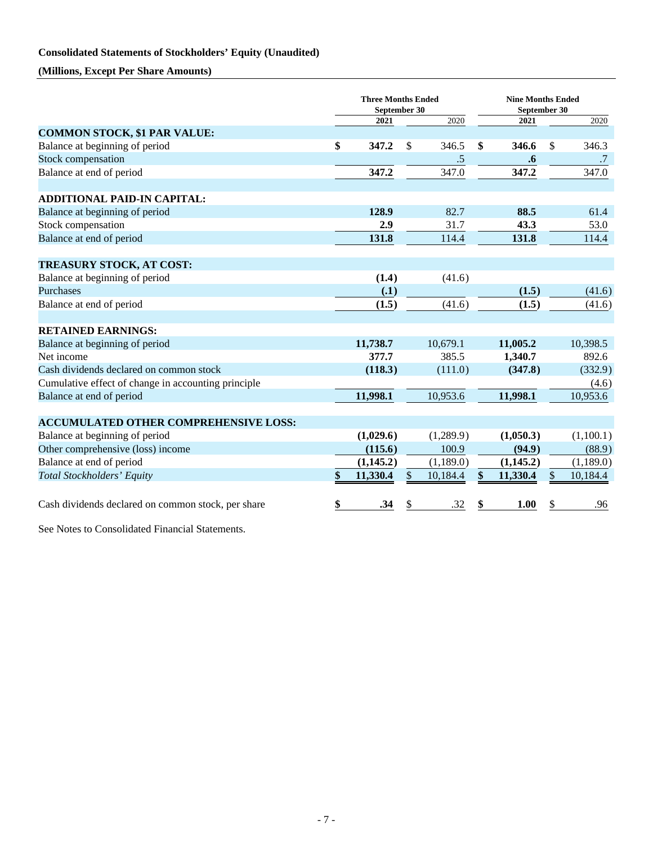### <span id="page-6-0"></span>**Consolidated Statements of Stockholders' Equity (Unaudited)**

**(Millions, Except Per Share Amounts)**

|                                                     | <b>Three Months Ended</b><br>September 30 |               |           | <b>Nine Months Ended</b><br>September 30 |                   |               |           |
|-----------------------------------------------------|-------------------------------------------|---------------|-----------|------------------------------------------|-------------------|---------------|-----------|
|                                                     | 2021                                      |               | 2020      |                                          | 2021              |               | 2020      |
| <b>COMMON STOCK, \$1 PAR VALUE:</b>                 |                                           |               |           |                                          |                   |               |           |
| Balance at beginning of period                      | \$<br>347.2                               | <sup>\$</sup> | 346.5     | \$                                       | 346.6             | <sup>\$</sup> | 346.3     |
| Stock compensation                                  |                                           |               | .5        |                                          | $\boldsymbol{.6}$ |               | .7        |
| Balance at end of period                            | 347.2                                     |               | 347.0     |                                          | 347.2             |               | 347.0     |
| <b>ADDITIONAL PAID-IN CAPITAL:</b>                  |                                           |               |           |                                          |                   |               |           |
| Balance at beginning of period                      | 128.9                                     |               | 82.7      |                                          | 88.5              |               | 61.4      |
| Stock compensation                                  | 2.9                                       |               | 31.7      |                                          | 43.3              |               | 53.0      |
| Balance at end of period                            | 131.8                                     |               | 114.4     |                                          | 131.8             |               | 114.4     |
| TREASURY STOCK, AT COST:                            |                                           |               |           |                                          |                   |               |           |
| Balance at beginning of period                      | (1.4)                                     |               | (41.6)    |                                          |                   |               |           |
| Purchases                                           | (.1)                                      |               |           |                                          | (1.5)             |               | (41.6)    |
| Balance at end of period                            | (1.5)                                     |               | (41.6)    |                                          | (1.5)             |               | (41.6)    |
| <b>RETAINED EARNINGS:</b>                           |                                           |               |           |                                          |                   |               |           |
| Balance at beginning of period                      | 11,738.7                                  |               | 10,679.1  |                                          | 11,005.2          |               | 10,398.5  |
| Net income                                          | 377.7                                     |               | 385.5     |                                          | 1,340.7           |               | 892.6     |
| Cash dividends declared on common stock             | (118.3)                                   |               | (111.0)   |                                          | (347.8)           |               | (332.9)   |
| Cumulative effect of change in accounting principle |                                           |               |           |                                          |                   |               | (4.6)     |
| Balance at end of period                            | 11,998.1                                  |               | 10,953.6  |                                          | 11,998.1          |               | 10,953.6  |
| <b>ACCUMULATED OTHER COMPREHENSIVE LOSS:</b>        |                                           |               |           |                                          |                   |               |           |
| Balance at beginning of period                      | (1,029.6)                                 |               | (1,289.9) |                                          | (1,050.3)         |               | (1,100.1) |
| Other comprehensive (loss) income                   | (115.6)                                   |               | 100.9     |                                          | (94.9)            |               | (88.9)    |
| Balance at end of period                            | (1,145.2)                                 |               | (1,189.0) |                                          | (1,145.2)         |               | (1,189.0) |
| Total Stockholders' Equity                          | \$<br>11,330.4                            | \$            | 10,184.4  | \$                                       | 11,330.4          | \$            | 10,184.4  |
| Cash dividends declared on common stock, per share  | \$<br>.34                                 | \$            | .32       | \$                                       | 1.00              | \$            | .96       |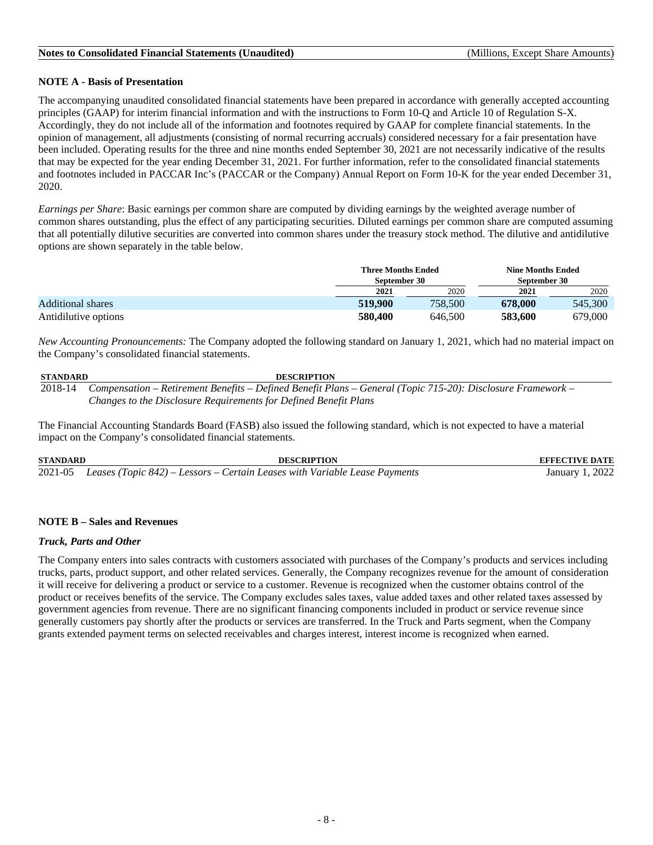### <span id="page-7-0"></span>**NOTE A - Basis of Presentation**

The accompanying unaudited consolidated financial statements have been prepared in accordance with generally accepted accounting principles (GAAP) for interim financial information and with the instructions to Form 10-Q and Article 10 of Regulation S-X. Accordingly, they do not include all of the information and footnotes required by GAAP for complete financial statements. In the opinion of management, all adjustments (consisting of normal recurring accruals) considered necessary for a fair presentation have been included. Operating results for the three and nine months ended September 30, 2021 are not necessarily indicative of the results that may be expected for the year ending December 31, 2021. For further information, refer to the consolidated financial statements and footnotes included in PACCAR Inc's (PACCAR or the Company) Annual Report on Form 10-K for the year ended December 31, 2020.

*Earnings per Share*: Basic earnings per common share are computed by dividing earnings by the weighted average number of common shares outstanding, plus the effect of any participating securities. Diluted earnings per common share are computed assuming that all potentially dilutive securities are converted into common shares under the treasury stock method. The dilutive and antidilutive options are shown separately in the table below.

|                          |         | <b>Three Months Ended</b><br>September 30 | <b>Nine Months Ended</b><br>September 30 |         |  |  |
|--------------------------|---------|-------------------------------------------|------------------------------------------|---------|--|--|
|                          | 2021    | 2020                                      | 2021                                     | 2020    |  |  |
| <b>Additional shares</b> | 519,900 | 758,500                                   | 678,000                                  | 545,300 |  |  |
| Antidilutive options     | 580,400 | 646,500                                   | 583,600                                  | 679,000 |  |  |

*New Accounting Pronouncements:* The Company adopted the following standard on January 1, 2021, which had no material impact on the Company's consolidated financial statements.

| STANDARD | <b>DESCRIPTION</b>                                                                                                  |
|----------|---------------------------------------------------------------------------------------------------------------------|
|          | 2018-14 Compensation – Retirement Benefits – Defined Benefit Plans – General (Topic 715-20): Disclosure Framework – |
|          | Changes to the Disclosure Requirements for Defined Benefit Plans                                                    |

The Financial Accounting Standards Board (FASB) also issued the following standard, which is not expected to have a material impact on the Company's consolidated financial statements.

**STANDARD DESCRIPTION EFFECTIVE DATE** 2021-05 *Leases (Topic 842) – Lessors – Certain Leases with Variable Lease Payments* January 1, 2022

### **NOTE B – Sales and Revenues**

### *Truck, Parts and Other*

The Company enters into sales contracts with customers associated with purchases of the Company's products and services including trucks, parts, product support, and other related services. Generally, the Company recognizes revenue for the amount of consideration it will receive for delivering a product or service to a customer. Revenue is recognized when the customer obtains control of the product or receives benefits of the service. The Company excludes sales taxes, value added taxes and other related taxes assessed by government agencies from revenue. There are no significant financing components included in product or service revenue since generally customers pay shortly after the products or services are transferred. In the Truck and Parts segment, when the Company grants extended payment terms on selected receivables and charges interest, interest income is recognized when earned.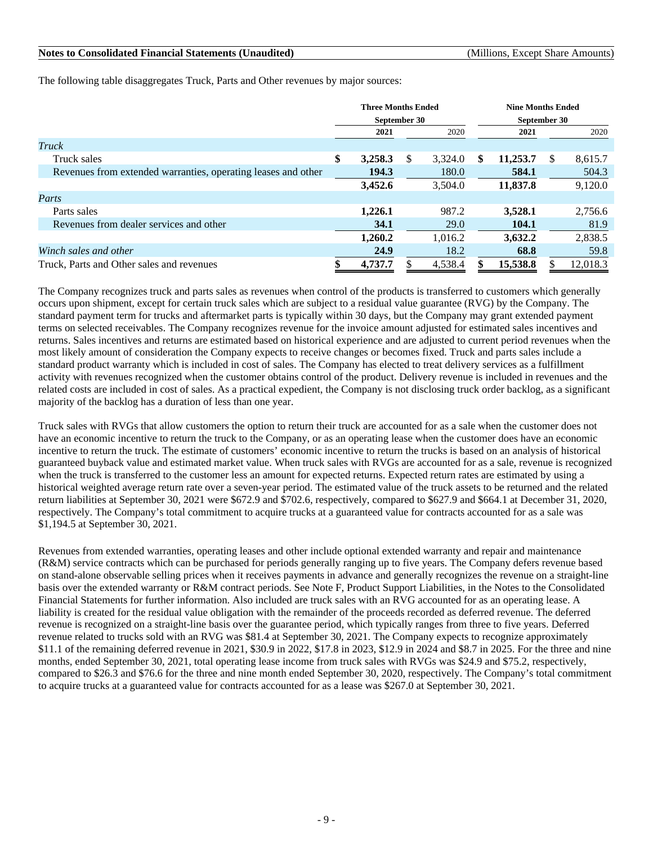The following table disaggregates Truck, Parts and Other revenues by major sources:

|                                                               | <b>Three Months Ended</b><br>September 30 |         |   |         | <b>Nine Months Ended</b> |          |              |          |  |
|---------------------------------------------------------------|-------------------------------------------|---------|---|---------|--------------------------|----------|--------------|----------|--|
|                                                               |                                           |         |   |         | September 30             |          |              |          |  |
|                                                               |                                           | 2021    |   | 2020    |                          | 2021     |              | 2020     |  |
| Truck                                                         |                                           |         |   |         |                          |          |              |          |  |
| Truck sales                                                   | \$                                        | 3,258.3 | S | 3,324.0 | \$                       | 11,253.7 | <sup>S</sup> | 8,615.7  |  |
| Revenues from extended warranties, operating leases and other |                                           | 194.3   |   | 180.0   |                          | 584.1    |              | 504.3    |  |
|                                                               |                                           | 3,452.6 |   | 3,504.0 |                          | 11,837.8 |              | 9,120.0  |  |
| Parts                                                         |                                           |         |   |         |                          |          |              |          |  |
| Parts sales                                                   |                                           | 1,226.1 |   | 987.2   |                          | 3,528.1  |              | 2,756.6  |  |
| Revenues from dealer services and other                       |                                           | 34.1    |   | 29.0    |                          | 104.1    |              | 81.9     |  |
|                                                               |                                           | 1,260.2 |   | 1,016.2 |                          | 3,632.2  |              | 2,838.5  |  |
| Winch sales and other                                         |                                           | 24.9    |   | 18.2    |                          | 68.8     |              | 59.8     |  |
| Truck, Parts and Other sales and revenues                     |                                           | 4,737.7 |   | 4,538.4 |                          | 15,538.8 |              | 12.018.3 |  |

The Company recognizes truck and parts sales as revenues when control of the products is transferred to customers which generally occurs upon shipment, except for certain truck sales which are subject to a residual value guarantee (RVG) by the Company. The standard payment term for trucks and aftermarket parts is typically within 30 days, but the Company may grant extended payment terms on selected receivables. The Company recognizes revenue for the invoice amount adjusted for estimated sales incentives and returns. Sales incentives and returns are estimated based on historical experience and are adjusted to current period revenues when the most likely amount of consideration the Company expects to receive changes or becomes fixed. Truck and parts sales include a standard product warranty which is included in cost of sales. The Company has elected to treat delivery services as a fulfillment activity with revenues recognized when the customer obtains control of the product. Delivery revenue is included in revenues and the related costs are included in cost of sales. As a practical expedient, the Company is not disclosing truck order backlog, as a significant majority of the backlog has a duration of less than one year.

Truck sales with RVGs that allow customers the option to return their truck are accounted for as a sale when the customer does not have an economic incentive to return the truck to the Company, or as an operating lease when the customer does have an economic incentive to return the truck. The estimate of customers' economic incentive to return the trucks is based on an analysis of historical guaranteed buyback value and estimated market value. When truck sales with RVGs are accounted for as a sale, revenue is recognized when the truck is transferred to the customer less an amount for expected returns. Expected return rates are estimated by using a historical weighted average return rate over a seven-year period. The estimated value of the truck assets to be returned and the related return liabilities at September 30, 2021 were \$672.9 and \$702.6, respectively, compared to \$627.9 and \$664.1 at December 31, 2020, respectively. The Company's total commitment to acquire trucks at a guaranteed value for contracts accounted for as a sale was \$1,194.5 at September 30, 2021.

Revenues from extended warranties, operating leases and other include optional extended warranty and repair and maintenance (R&M) service contracts which can be purchased for periods generally ranging up to five years. The Company defers revenue based on stand-alone observable selling prices when it receives payments in advance and generally recognizes the revenue on a straight-line basis over the extended warranty or R&M contract periods. See Note F, Product Support Liabilities, in the Notes to the Consolidated Financial Statements for further information. Also included are truck sales with an RVG accounted for as an operating lease. A liability is created for the residual value obligation with the remainder of the proceeds recorded as deferred revenue. The deferred revenue is recognized on a straight-line basis over the guarantee period, which typically ranges from three to five years. Deferred revenue related to trucks sold with an RVG was \$81.4 at September 30, 2021. The Company expects to recognize approximately \$11.1 of the remaining deferred revenue in 2021, \$30.9 in 2022, \$17.8 in 2023, \$12.9 in 2024 and \$8.7 in 2025. For the three and nine months, ended September 30, 2021, total operating lease income from truck sales with RVGs was \$24.9 and \$75.2, respectively, compared to \$26.3 and \$76.6 for the three and nine month ended September 30, 2020, respectively. The Company's total commitment to acquire trucks at a guaranteed value for contracts accounted for as a lease was \$267.0 at September 30, 2021.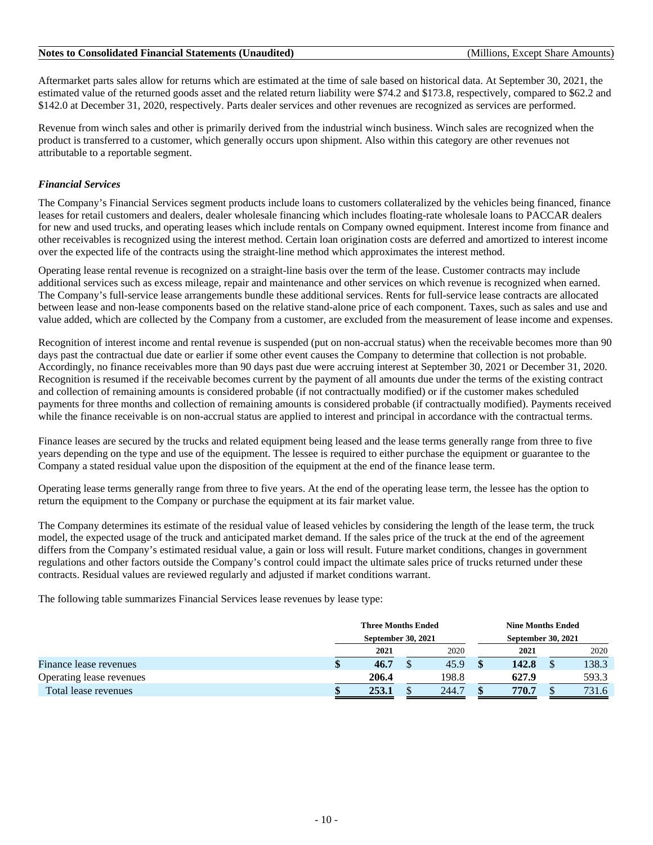Aftermarket parts sales allow for returns which are estimated at the time of sale based on historical data. At September 30, 2021, the estimated value of the returned goods asset and the related return liability were \$74.2 and \$173.8, respectively, compared to \$62.2 and \$142.0 at December 31, 2020, respectively. Parts dealer services and other revenues are recognized as services are performed.

Revenue from winch sales and other is primarily derived from the industrial winch business. Winch sales are recognized when the product is transferred to a customer, which generally occurs upon shipment. Also within this category are other revenues not attributable to a reportable segment.

### *Financial Services*

The Company's Financial Services segment products include loans to customers collateralized by the vehicles being financed, finance leases for retail customers and dealers, dealer wholesale financing which includes floating-rate wholesale loans to PACCAR dealers for new and used trucks, and operating leases which include rentals on Company owned equipment. Interest income from finance and other receivables is recognized using the interest method. Certain loan origination costs are deferred and amortized to interest income over the expected life of the contracts using the straight-line method which approximates the interest method.

Operating lease rental revenue is recognized on a straight-line basis over the term of the lease. Customer contracts may include additional services such as excess mileage, repair and maintenance and other services on which revenue is recognized when earned. The Company's full-service lease arrangements bundle these additional services. Rents for full-service lease contracts are allocated between lease and non-lease components based on the relative stand-alone price of each component. Taxes, such as sales and use and value added, which are collected by the Company from a customer, are excluded from the measurement of lease income and expenses.

Recognition of interest income and rental revenue is suspended (put on non-accrual status) when the receivable becomes more than 90 days past the contractual due date or earlier if some other event causes the Company to determine that collection is not probable. Accordingly, no finance receivables more than 90 days past due were accruing interest at September 30, 2021 or December 31, 2020. Recognition is resumed if the receivable becomes current by the payment of all amounts due under the terms of the existing contract and collection of remaining amounts is considered probable (if not contractually modified) or if the customer makes scheduled payments for three months and collection of remaining amounts is considered probable (if contractually modified). Payments received while the finance receivable is on non-accrual status are applied to interest and principal in accordance with the contractual terms.

Finance leases are secured by the trucks and related equipment being leased and the lease terms generally range from three to five years depending on the type and use of the equipment. The lessee is required to either purchase the equipment or guarantee to the Company a stated residual value upon the disposition of the equipment at the end of the finance lease term.

Operating lease terms generally range from three to five years. At the end of the operating lease term, the lessee has the option to return the equipment to the Company or purchase the equipment at its fair market value.

The Company determines its estimate of the residual value of leased vehicles by considering the length of the lease term, the truck model, the expected usage of the truck and anticipated market demand. If the sales price of the truck at the end of the agreement differs from the Company's estimated residual value, a gain or loss will result. Future market conditions, changes in government regulations and other factors outside the Company's control could impact the ultimate sales price of trucks returned under these contracts. Residual values are reviewed regularly and adjusted if market conditions warrant.

The following table summarizes Financial Services lease revenues by lease type:

|                          | <b>Three Months Ended</b> |   |       | <b>Nine Months Ended</b> |                           |  |       |  |
|--------------------------|---------------------------|---|-------|--------------------------|---------------------------|--|-------|--|
|                          | September 30, 2021        |   |       |                          | <b>September 30, 2021</b> |  |       |  |
|                          | 2021                      |   | 2020  |                          | 2021                      |  | 2020  |  |
| Finance lease revenues   | 46.7                      |   | 45.9  |                          | 142.8                     |  | 138.3 |  |
| Operating lease revenues | 206.4                     |   | 198.8 |                          | 627.9                     |  | 593.3 |  |
| Total lease revenues     | 253.1                     | œ | 244.7 |                          | 770.7                     |  | 731.6 |  |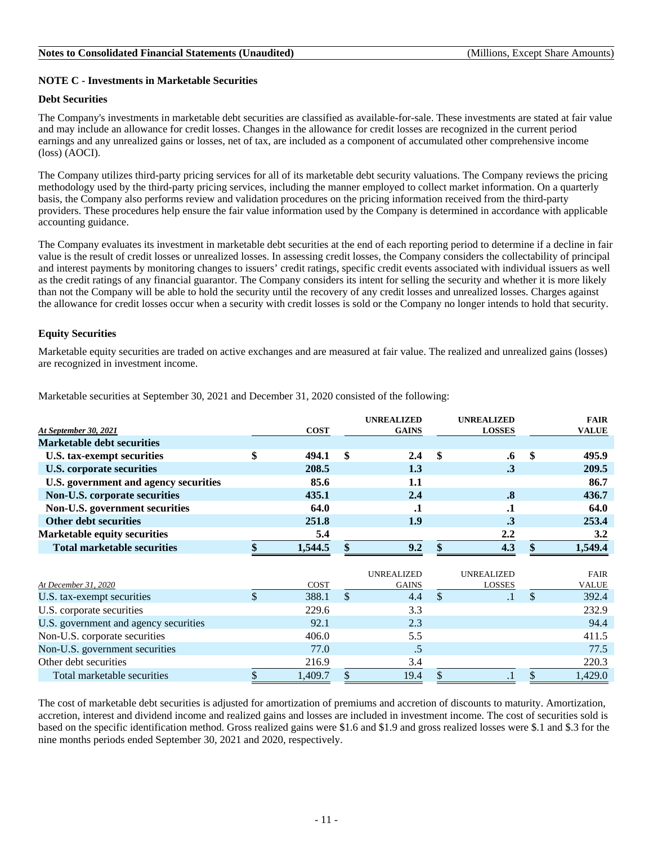### **NOTE C - Investments in Marketable Securities**

### **Debt Securities**

The Company's investments in marketable debt securities are classified as available-for-sale. These investments are stated at fair value and may include an allowance for credit losses. Changes in the allowance for credit losses are recognized in the current period earnings and any unrealized gains or losses, net of tax, are included as a component of accumulated other comprehensive income (loss) (AOCI).

The Company utilizes third-party pricing services for all of its marketable debt security valuations. The Company reviews the pricing methodology used by the third-party pricing services, including the manner employed to collect market information. On a quarterly basis, the Company also performs review and validation procedures on the pricing information received from the third-party providers. These procedures help ensure the fair value information used by the Company is determined in accordance with applicable accounting guidance.

The Company evaluates its investment in marketable debt securities at the end of each reporting period to determine if a decline in fair value is the result of credit losses or unrealized losses. In assessing credit losses, the Company considers the collectability of principal and interest payments by monitoring changes to issuers' credit ratings, specific credit events associated with individual issuers as well as the credit ratings of any financial guarantor. The Company considers its intent for selling the security and whether it is more likely than not the Company will be able to hold the security until the recovery of any credit losses and unrealized losses. Charges against the allowance for credit losses occur when a security with credit losses is sold or the Company no longer intends to hold that security.

### **Equity Securities**

Marketable equity securities are traded on active exchanges and are measured at fair value. The realized and unrealized gains (losses) are recognized in investment income.

|                                       |               |             | <b>UNREALIZED</b> |               | <b>UNREALIZED</b> | <b>FAIR</b>   |
|---------------------------------------|---------------|-------------|-------------------|---------------|-------------------|---------------|
| At September 30, 2021                 |               | <b>COST</b> | <b>GAINS</b>      |               | <b>LOSSES</b>     | <b>VALUE</b>  |
| <b>Marketable debt securities</b>     |               |             |                   |               |                   |               |
| U.S. tax-exempt securities            | \$            | 494.1       | \$<br>2.4         | \$            | .6                | \$<br>495.9   |
| <b>U.S. corporate securities</b>      |               | 208.5       | 1.3               |               | $\cdot$ 3         | 209.5         |
| U.S. government and agency securities |               | 85.6        | 1.1               |               |                   | 86.7          |
| Non-U.S. corporate securities         |               | 435.1       | 2.4               |               | $\boldsymbol{.8}$ | 436.7         |
| Non-U.S. government securities        |               | 64.0        | .1                |               | $\cdot$           | 64.0          |
| <b>Other debt securities</b>          |               | 251.8       | 1.9               |               | $\cdot$ 3         | 253.4         |
| <b>Marketable equity securities</b>   |               | 5.4         |                   |               | $2.2\phantom{0}$  | 3.2           |
| <b>Total marketable securities</b>    |               | 1,544.5     | \$<br>9.2         | $\mathbf{\$}$ | 4.3               | 1,549.4       |
|                                       |               |             |                   |               |                   |               |
|                                       |               |             | UNREALIZED        |               | UNREALIZED        | <b>FAIR</b>   |
| At December 31, 2020                  |               | COST        | <b>GAINS</b>      |               | <b>LOSSES</b>     | <b>VALUE</b>  |
| U.S. tax-exempt securities            | $\mathcal{S}$ | 388.1       | \$<br>4.4         | $\mathcal{S}$ |                   | \$<br>392.4   |
| U.S. corporate securities             |               | 229.6       | 3.3               |               |                   | 232.9         |
| U.S. government and agency securities |               | 92.1        | 2.3               |               |                   | 94.4          |
| Non-U.S. corporate securities         |               | 406.0       | 5.5               |               |                   | 411.5         |
| Non-U.S. government securities        |               | 77.0        | .5                |               |                   | 77.5          |
| Other debt securities                 |               | 216.9       | 3.4               |               |                   | 220.3         |
| Total marketable securities           | \$            | 1,409.7     | \$<br>19.4        | \$            | .1                | \$<br>1,429.0 |

Marketable securities at September 30, 2021 and December 31, 2020 consisted of the following:

The cost of marketable debt securities is adjusted for amortization of premiums and accretion of discounts to maturity. Amortization, accretion, interest and dividend income and realized gains and losses are included in investment income. The cost of securities sold is based on the specific identification method. Gross realized gains were \$1.6 and \$1.9 and gross realized losses were \$.1 and \$.3 for the nine months periods ended September 30, 2021 and 2020, respectively.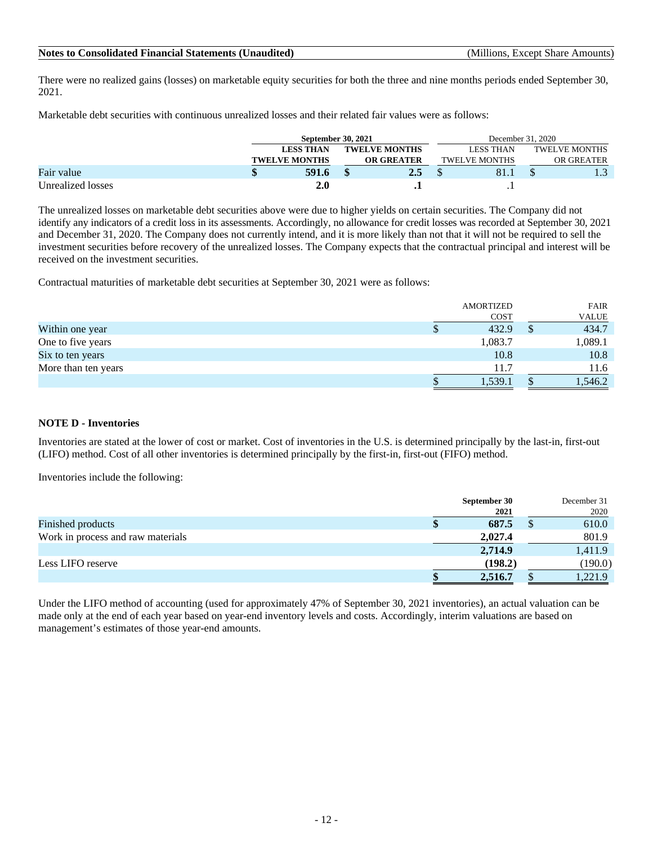There were no realized gains (losses) on marketable equity securities for both the three and nine months periods ended September 30, 2021.

Marketable debt securities with continuous unrealized losses and their related fair values were as follows:

|                   | September 30, 2021   |                                           |     |                      | December 31, 2020 |  |               |  |  |
|-------------------|----------------------|-------------------------------------------|-----|----------------------|-------------------|--|---------------|--|--|
|                   | <b>LESS THAN</b>     | <b>TWELVE MONTHS</b><br><b>OR GREATER</b> |     |                      | LESS THAN         |  | TWELVE MONTHS |  |  |
|                   | <b>TWELVE MONTHS</b> |                                           |     | <b>TWELVE MONTHS</b> |                   |  | OR GREATER    |  |  |
| Fair value        | 591.6                |                                           | 2.5 |                      | 81.1              |  |               |  |  |
| Unrealized losses | <b>2.0</b>           |                                           |     |                      |                   |  |               |  |  |

The unrealized losses on marketable debt securities above were due to higher yields on certain securities. The Company did not identify any indicators of a credit loss in its assessments. Accordingly, no allowance for credit losses was recorded at September 30, 2021 and December 31, 2020. The Company does not currently intend, and it is more likely than not that it will not be required to sell the investment securities before recovery of the unrealized losses. The Company expects that the contractual principal and interest will be received on the investment securities.

Contractual maturities of marketable debt securities at September 30, 2021 were as follows:

|                     |   | <b>AMORTIZED</b> | <b>FAIR</b>  |
|---------------------|---|------------------|--------------|
|                     |   | <b>COST</b>      | <b>VALUE</b> |
| Within one year     | ъ | 432.9            | 434.7        |
| One to five years   |   | 1,083.7          | 1,089.1      |
| Six to ten years    |   | 10.8             | 10.8         |
| More than ten years |   | 11.7             | 11.6         |
|                     |   | 1,539.1          | 1,546.2      |

### **NOTE D - Inventories**

Inventories are stated at the lower of cost or market. Cost of inventories in the U.S. is determined principally by the last-in, first-out (LIFO) method. Cost of all other inventories is determined principally by the first-in, first-out (FIFO) method.

Inventories include the following:

|                                   | September 30 | December 31 |
|-----------------------------------|--------------|-------------|
|                                   | 2021         | 2020        |
| Finished products                 | 687.5        | 610.0       |
| Work in process and raw materials | 2,027.4      | 801.9       |
|                                   | 2,714.9      | 1,411.9     |
| Less LIFO reserve                 | (198.2)      | (190.0)     |
|                                   | 2,516.7      | 1,221.9     |

Under the LIFO method of accounting (used for approximately 47% of September 30, 2021 inventories), an actual valuation can be made only at the end of each year based on year-end inventory levels and costs. Accordingly, interim valuations are based on management's estimates of those year-end amounts.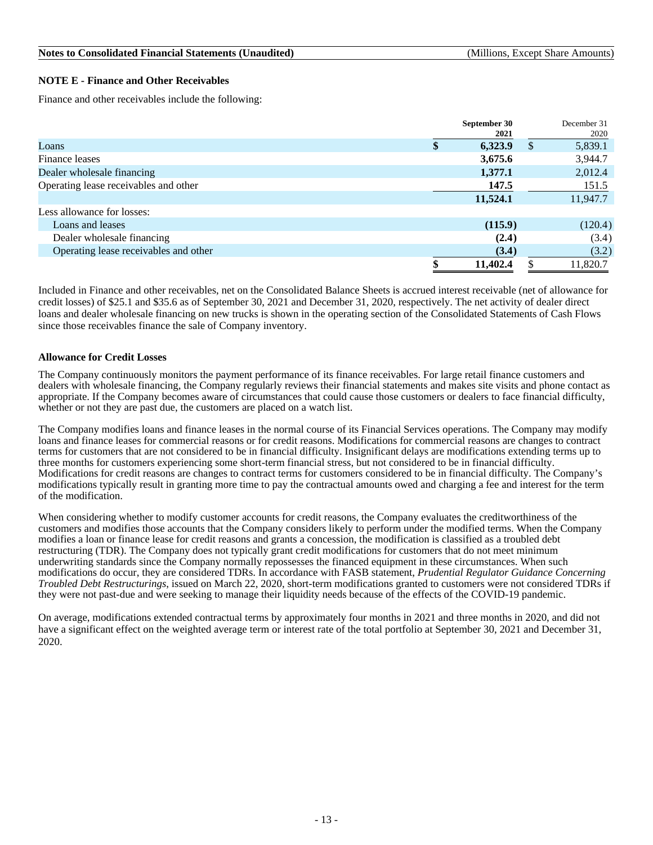#### **NOTE E - Finance and Other Receivables**

Finance and other receivables include the following:

|                                       | September 30  |               | December 31 |
|---------------------------------------|---------------|---------------|-------------|
|                                       | 2021          |               | 2020        |
| Loans                                 | \$<br>6,323.9 | $\mathcal{S}$ | 5,839.1     |
| Finance leases                        | 3,675.6       |               | 3,944.7     |
| Dealer wholesale financing            | 1,377.1       |               | 2,012.4     |
| Operating lease receivables and other | 147.5         |               | 151.5       |
|                                       | 11,524.1      |               | 11,947.7    |
| Less allowance for losses:            |               |               |             |
| Loans and leases                      | (115.9)       |               | (120.4)     |
| Dealer wholesale financing            | (2.4)         |               | (3.4)       |
| Operating lease receivables and other | (3.4)         |               | (3.2)       |
|                                       | 11,402.4      |               | 11,820.7    |

Included in Finance and other receivables, net on the Consolidated Balance Sheets is accrued interest receivable (net of allowance for credit losses) of \$25.1 and \$35.6 as of September 30, 2021 and December 31, 2020, respectively. The net activity of dealer direct loans and dealer wholesale financing on new trucks is shown in the operating section of the Consolidated Statements of Cash Flows since those receivables finance the sale of Company inventory.

#### **Allowance for Credit Losses**

The Company continuously monitors the payment performance of its finance receivables. For large retail finance customers and dealers with wholesale financing, the Company regularly reviews their financial statements and makes site visits and phone contact as appropriate. If the Company becomes aware of circumstances that could cause those customers or dealers to face financial difficulty, whether or not they are past due, the customers are placed on a watch list.

The Company modifies loans and finance leases in the normal course of its Financial Services operations. The Company may modify loans and finance leases for commercial reasons or for credit reasons. Modifications for commercial reasons are changes to contract terms for customers that are not considered to be in financial difficulty. Insignificant delays are modifications extending terms up to three months for customers experiencing some short-term financial stress, but not considered to be in financial difficulty. Modifications for credit reasons are changes to contract terms for customers considered to be in financial difficulty. The Company's modifications typically result in granting more time to pay the contractual amounts owed and charging a fee and interest for the term of the modification.

When considering whether to modify customer accounts for credit reasons, the Company evaluates the creditworthiness of the customers and modifies those accounts that the Company considers likely to perform under the modified terms. When the Company modifies a loan or finance lease for credit reasons and grants a concession, the modification is classified as a troubled debt restructuring (TDR). The Company does not typically grant credit modifications for customers that do not meet minimum underwriting standards since the Company normally repossesses the financed equipment in these circumstances. When such modifications do occur, they are considered TDRs. In accordance with FASB statement, *Prudential Regulator Guidance Concerning Troubled Debt Restructurings*, issued on March 22, 2020, short-term modifications granted to customers were not considered TDRs if they were not past-due and were seeking to manage their liquidity needs because of the effects of the COVID-19 pandemic.

On average, modifications extended contractual terms by approximately four months in 2021 and three months in 2020, and did not have a significant effect on the weighted average term or interest rate of the total portfolio at September 30, 2021 and December 31, 2020.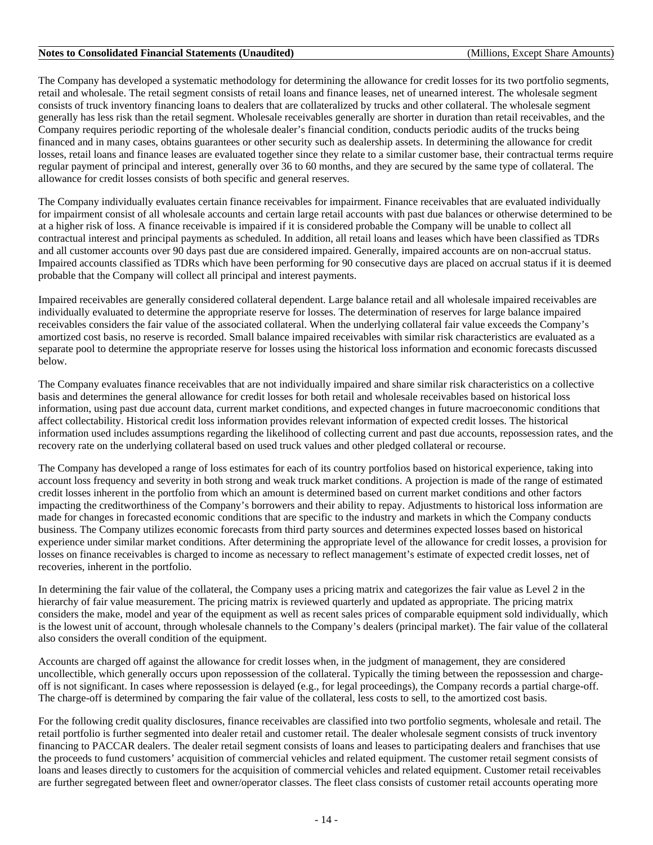The Company has developed a systematic methodology for determining the allowance for credit losses for its two portfolio segments, retail and wholesale. The retail segment consists of retail loans and finance leases, net of unearned interest. The wholesale segment consists of truck inventory financing loans to dealers that are collateralized by trucks and other collateral. The wholesale segment generally has less risk than the retail segment. Wholesale receivables generally are shorter in duration than retail receivables, and the Company requires periodic reporting of the wholesale dealer's financial condition, conducts periodic audits of the trucks being financed and in many cases, obtains guarantees or other security such as dealership assets. In determining the allowance for credit losses, retail loans and finance leases are evaluated together since they relate to a similar customer base, their contractual terms require regular payment of principal and interest, generally over 36 to 60 months, and they are secured by the same type of collateral. The allowance for credit losses consists of both specific and general reserves.

The Company individually evaluates certain finance receivables for impairment. Finance receivables that are evaluated individually for impairment consist of all wholesale accounts and certain large retail accounts with past due balances or otherwise determined to be at a higher risk of loss. A finance receivable is impaired if it is considered probable the Company will be unable to collect all contractual interest and principal payments as scheduled. In addition, all retail loans and leases which have been classified as TDRs and all customer accounts over 90 days past due are considered impaired. Generally, impaired accounts are on non-accrual status. Impaired accounts classified as TDRs which have been performing for 90 consecutive days are placed on accrual status if it is deemed probable that the Company will collect all principal and interest payments.

Impaired receivables are generally considered collateral dependent. Large balance retail and all wholesale impaired receivables are individually evaluated to determine the appropriate reserve for losses. The determination of reserves for large balance impaired receivables considers the fair value of the associated collateral. When the underlying collateral fair value exceeds the Company's amortized cost basis, no reserve is recorded. Small balance impaired receivables with similar risk characteristics are evaluated as a separate pool to determine the appropriate reserve for losses using the historical loss information and economic forecasts discussed below.

The Company evaluates finance receivables that are not individually impaired and share similar risk characteristics on a collective basis and determines the general allowance for credit losses for both retail and wholesale receivables based on historical loss information, using past due account data, current market conditions, and expected changes in future macroeconomic conditions that affect collectability. Historical credit loss information provides relevant information of expected credit losses. The historical information used includes assumptions regarding the likelihood of collecting current and past due accounts, repossession rates, and the recovery rate on the underlying collateral based on used truck values and other pledged collateral or recourse.

The Company has developed a range of loss estimates for each of its country portfolios based on historical experience, taking into account loss frequency and severity in both strong and weak truck market conditions. A projection is made of the range of estimated credit losses inherent in the portfolio from which an amount is determined based on current market conditions and other factors impacting the creditworthiness of the Company's borrowers and their ability to repay. Adjustments to historical loss information are made for changes in forecasted economic conditions that are specific to the industry and markets in which the Company conducts business. The Company utilizes economic forecasts from third party sources and determines expected losses based on historical experience under similar market conditions. After determining the appropriate level of the allowance for credit losses, a provision for losses on finance receivables is charged to income as necessary to reflect management's estimate of expected credit losses, net of recoveries, inherent in the portfolio.

In determining the fair value of the collateral, the Company uses a pricing matrix and categorizes the fair value as Level 2 in the hierarchy of fair value measurement. The pricing matrix is reviewed quarterly and updated as appropriate. The pricing matrix considers the make, model and year of the equipment as well as recent sales prices of comparable equipment sold individually, which is the lowest unit of account, through wholesale channels to the Company's dealers (principal market). The fair value of the collateral also considers the overall condition of the equipment.

Accounts are charged off against the allowance for credit losses when, in the judgment of management, they are considered uncollectible, which generally occurs upon repossession of the collateral. Typically the timing between the repossession and chargeoff is not significant. In cases where repossession is delayed (e.g., for legal proceedings), the Company records a partial charge-off. The charge-off is determined by comparing the fair value of the collateral, less costs to sell, to the amortized cost basis.

For the following credit quality disclosures, finance receivables are classified into two portfolio segments, wholesale and retail. The retail portfolio is further segmented into dealer retail and customer retail. The dealer wholesale segment consists of truck inventory financing to PACCAR dealers. The dealer retail segment consists of loans and leases to participating dealers and franchises that use the proceeds to fund customers' acquisition of commercial vehicles and related equipment. The customer retail segment consists of loans and leases directly to customers for the acquisition of commercial vehicles and related equipment. Customer retail receivables are further segregated between fleet and owner/operator classes. The fleet class consists of customer retail accounts operating more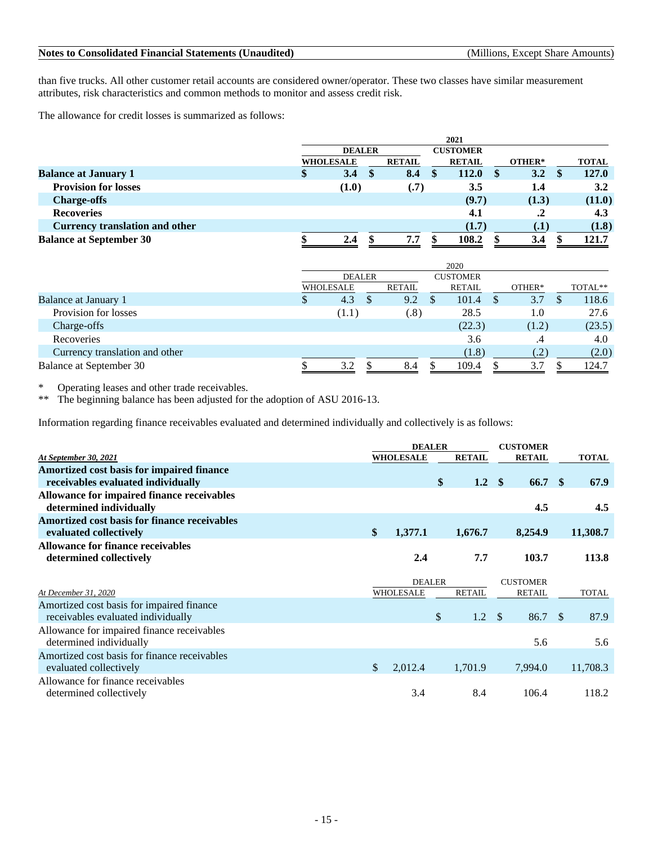than five trucks. All other customer retail accounts are considered owner/operator. These two classes have similar measurement attributes, risk characteristics and common methods to monitor and assess credit risk.

The allowance for credit losses is summarized as follows:

|                                       |   | 2021             |     |               |  |                 |     |        |  |              |
|---------------------------------------|---|------------------|-----|---------------|--|-----------------|-----|--------|--|--------------|
|                                       |   | <b>DEALER</b>    |     |               |  | <b>CUSTOMER</b> |     |        |  |              |
|                                       |   | <b>WHOLESALE</b> |     | <b>RETAIL</b> |  | <b>RETAIL</b>   |     | OTHER* |  | <b>TOTAL</b> |
| <b>Balance at January 1</b>           | Φ | 3.4              | -SS | 8.4           |  | 112.0           | -SS | 3.2    |  | 127.0        |
| <b>Provision for losses</b>           |   | (1.0)            |     | (.7)          |  | 3.5             |     | 1.4    |  | 3.2          |
| <b>Charge-offs</b>                    |   |                  |     |               |  | (9.7)           |     | (1.3)  |  | (11.0)       |
| <b>Recoveries</b>                     |   |                  |     |               |  | 4.1             |     | .2     |  | 4.3          |
| <b>Currency translation and other</b> |   |                  |     |               |  | (1.7)           |     | (.1)   |  | (1.8)        |
| <b>Balance at September 30</b>        |   | 2.4              |     | 7.7           |  | 108.2           |     | 3.4    |  | 121.7        |

|                                |                  |       |   |        | 2020            |          |        |         |
|--------------------------------|------------------|-------|---|--------|-----------------|----------|--------|---------|
|                                | <b>DEALER</b>    |       |   |        | <b>CUSTOMER</b> |          |        |         |
|                                | <b>WHOLESALE</b> |       |   | RETAIL | RETAIL          |          | OTHER* | TOTAL** |
| <b>Balance at January 1</b>    | D                | 4.3   | D | 9.2    | 101.4           | <b>S</b> | 3.7    | 118.6   |
| Provision for losses           |                  | (1.1) |   | .8)    | 28.5            |          | 1.0    | 27.6    |
| Charge-offs                    |                  |       |   |        | (22.3)          |          | (1.2)  | (23.5)  |
| Recoveries                     |                  |       |   |        | 3.6             |          | .4     | 4.0     |
| Currency translation and other |                  |       |   |        | (1.8)           |          | (.2)   | (2.0)   |
| <b>Balance at September 30</b> |                  | 3.2   |   | 8.4    | 109.4           |          | 3.7    | 124.7   |

\* Operating leases and other trade receivables.<br>\*\* The beginning balance has been adjusted for

The beginning balance has been adjusted for the adoption of ASU 2016-13.

Information regarding finance receivables evaluated and determined individually and collectively is as follows:

|                                              | <b>DEALER</b> |                  |    | <b>CUSTOMER</b> |                   |              |
|----------------------------------------------|---------------|------------------|----|-----------------|-------------------|--------------|
| At September 30, 2021                        |               | <b>WHOLESALE</b> |    | <b>RETAIL</b>   | <b>RETAIL</b>     | <b>TOTAL</b> |
| Amortized cost basis for impaired finance    |               |                  |    |                 |                   |              |
| receivables evaluated individually           |               |                  | \$ | $1.2 \quad $$   | 66.7 <sup>°</sup> | 67.9         |
| Allowance for impaired finance receivables   |               |                  |    |                 |                   |              |
| determined individually                      |               |                  |    |                 | 4.5               | 4.5          |
| Amortized cost basis for finance receivables |               |                  |    |                 |                   |              |
| evaluated collectively                       | $\mathbf{\$}$ | 1,377.1          |    | 1,676.7         | 8,254.9           | 11,308.7     |
| Allowance for finance receivables            |               |                  |    |                 |                   |              |
| determined collectively                      |               | 2.4              |    | 7.7             | 103.7             | 113.8        |
|                                              |               |                  |    |                 |                   |              |
|                                              |               |                  |    |                 |                   |              |
|                                              |               | <b>DEALER</b>    |    |                 | <b>CUSTOMER</b>   |              |
| At December 31, 2020                         |               | WHOLESALE        |    | <b>RETAIL</b>   | <b>RETAIL</b>     | <b>TOTAL</b> |
| Amortized cost basis for impaired finance    |               |                  |    |                 |                   |              |
| receivables evaluated individually           |               |                  | \$ | $1.2 \quad$     | 86.7 \$           | 87.9         |
| Allowance for impaired finance receivables   |               |                  |    |                 |                   |              |
| determined individually                      |               |                  |    |                 | 5.6               | 5.6          |
| Amortized cost basis for finance receivables |               |                  |    |                 |                   |              |
| evaluated collectively                       | $\mathbb{S}$  | 2,012.4          |    | 1,701.9         | 7,994.0           | 11,708.3     |
| Allowance for finance receivables            |               |                  |    |                 |                   |              |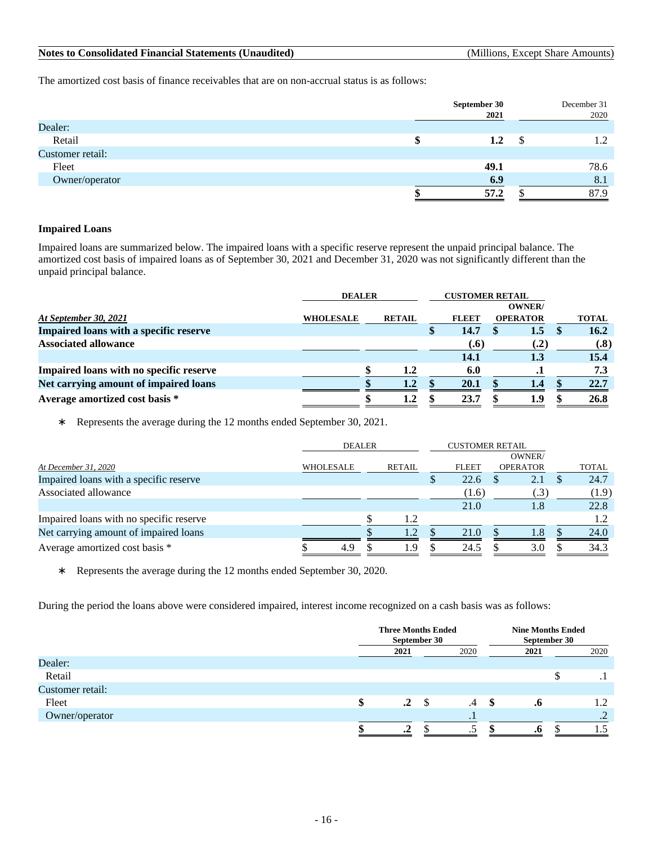| <b>Notes to Consolidated Financial Statements (Unaudited)</b> |  |
|---------------------------------------------------------------|--|
|---------------------------------------------------------------|--|

**(Millions, Except Share Amounts)** 

The amortized cost basis of finance receivables that are on non-accrual status is as follows:

|                  | September 30<br>2021 | December 31<br>2020 |
|------------------|----------------------|---------------------|
| Dealer:          |                      |                     |
| Retail           | $1.2\phantom{0}$     | 1.2                 |
| Customer retail: |                      |                     |
| Fleet            | 49.1                 | 78.6                |
| Owner/operator   | 6.9                  | 8.1                 |
|                  | 57.2                 | 87.9                |

### **Impaired Loans**

Impaired loans are summarized below. The impaired loans with a specific reserve represent the unpaid principal balance. The amortized cost basis of impaired loans as of September 30, 2021 and December 31, 2020 was not significantly different than the unpaid principal balance.

|                                         | <b>DEALER</b>    |  |               | <b>CUSTOMER RETAIL</b><br><b>OWNER</b> |              |  |                 |              |
|-----------------------------------------|------------------|--|---------------|----------------------------------------|--------------|--|-----------------|--------------|
| At September 30, 2021                   | <b>WHOLESALE</b> |  | <b>RETAIL</b> |                                        | <b>FLEET</b> |  | <b>OPERATOR</b> | <b>TOTAL</b> |
| Impaired loans with a specific reserve  |                  |  |               |                                        | 14.7         |  | 1.5             | 16.2         |
| <b>Associated allowance</b>             |                  |  |               |                                        | (.6)         |  | (.2)            | (.8)         |
|                                         |                  |  |               |                                        | 14.1         |  | 1.3             | 15.4         |
| Impaired loans with no specific reserve |                  |  | 1.2           |                                        | 6.0          |  | . .             | 7.3          |
| Net carrying amount of impaired loans   |                  |  | 1.2           |                                        | 20.1         |  | 1.4             | 22.7         |
| Average amortized cost basis *          |                  |  | 1.2           |                                        | 23.7         |  | 1.9             | 26.8         |

∗ Represents the average during the 12 months ended September 30, 2021.

|                                         | <b>DEALER</b>    |  |               | <b>CUSTOMER RETAIL</b> |              |  |                 |       |
|-----------------------------------------|------------------|--|---------------|------------------------|--------------|--|-----------------|-------|
|                                         |                  |  |               |                        |              |  | OWNER/          |       |
| At December 31, 2020                    | <b>WHOLESALE</b> |  | <b>RETAIL</b> |                        | <b>FLEET</b> |  | <b>OPERATOR</b> | TOTAL |
| Impaired loans with a specific reserve  |                  |  |               |                        | 22.6         |  | 2.1             | 24.7  |
| Associated allowance                    |                  |  |               |                        | (1.6)        |  | $.3^{\circ}$    | (1.9) |
|                                         |                  |  |               |                        | 21.0         |  | 1.8             | 22.8  |
| Impaired loans with no specific reserve |                  |  | 1.2           |                        |              |  |                 |       |
| Net carrying amount of impaired loans   |                  |  | 1.2           |                        | 21.0         |  | 1.8             | 24.0  |
| Average amortized cost basis *          | 4.9              |  | 1.9           |                        | 24.5         |  | 3.0             | 34.3  |

∗ Represents the average during the 12 months ended September 30, 2020.

During the period the loans above were considered impaired, interest income recognized on a cash basis was as follows:

|                  |        | <b>Three Months Ended</b><br>September 30 |      |                 | <b>Nine Months Ended</b><br>September 30 |      |  |                 |
|------------------|--------|-------------------------------------------|------|-----------------|------------------------------------------|------|--|-----------------|
|                  |        | 2021                                      | 2020 |                 |                                          | 2021 |  | 2020            |
| Dealer:          |        |                                           |      |                 |                                          |      |  |                 |
| Retail           |        |                                           |      |                 |                                          |      |  |                 |
| Customer retail: |        |                                           |      |                 |                                          |      |  |                 |
| Fleet            | \$     | $\cdot$ <sup>2</sup>                      |      | $.4\phantom{0}$ | -SS                                      | .0   |  | 1.2             |
| Owner/operator   |        |                                           |      | . .             |                                          |      |  | $\bigcap$<br>تە |
|                  | æ<br>л | $\cdot$ <sup>2</sup>                      |      | ر.              |                                          | .0   |  |                 |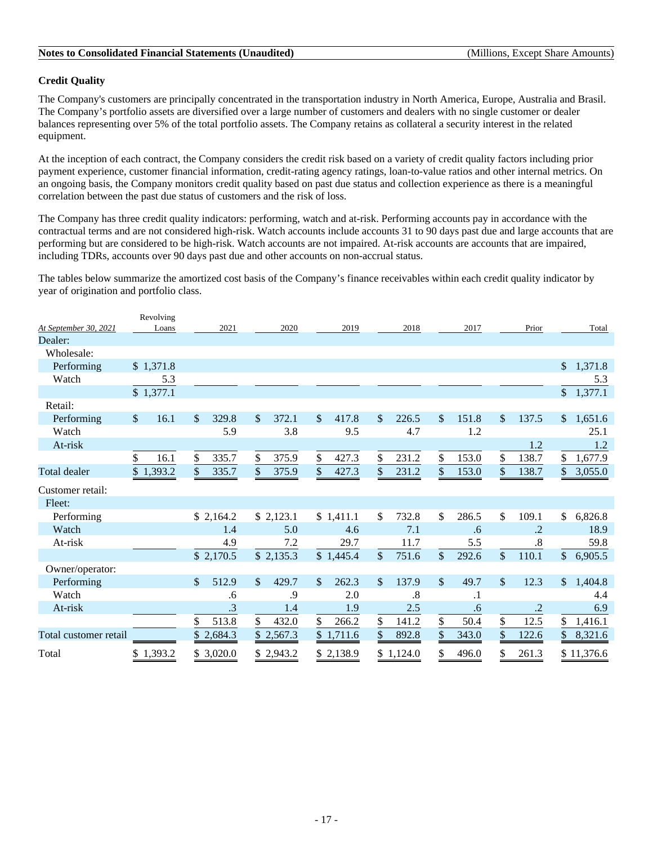### **Credit Quality**

The Company's customers are principally concentrated in the transportation industry in North America, Europe, Australia and Brasil. The Company's portfolio assets are diversified over a large number of customers and dealers with no single customer or dealer balances representing over 5% of the total portfolio assets. The Company retains as collateral a security interest in the related equipment.

At the inception of each contract, the Company considers the credit risk based on a variety of credit quality factors including prior payment experience, customer financial information, credit-rating agency ratings, loan-to-value ratios and other internal metrics. On an ongoing basis, the Company monitors credit quality based on past due status and collection experience as there is a meaningful correlation between the past due status of customers and the risk of loss.

The Company has three credit quality indicators: performing, watch and at-risk. Performing accounts pay in accordance with the contractual terms and are not considered high-risk. Watch accounts include accounts 31 to 90 days past due and large accounts that are performing but are considered to be high-risk. Watch accounts are not impaired. At-risk accounts are accounts that are impaired, including TDRs, accounts over 90 days past due and other accounts on non-accrual status.

The tables below summarize the amortized cost basis of the Company's finance receivables within each credit quality indicator by year of origination and portfolio class.

|                       | Revolving             |             |                        |                        |             |             |                       |                          |
|-----------------------|-----------------------|-------------|------------------------|------------------------|-------------|-------------|-----------------------|--------------------------|
| At September 30, 2021 | Loans                 | 2021        | 2020                   | 2019                   | 2018        | 2017        | Prior                 | Total                    |
| Dealer:               |                       |             |                        |                        |             |             |                       |                          |
| Wholesale:            |                       |             |                        |                        |             |             |                       |                          |
| Performing            | \$1,371.8             |             |                        |                        |             |             |                       | $\frac{1}{2}$<br>1,371.8 |
| Watch                 | 5.3                   |             |                        |                        |             |             |                       | 5.3                      |
|                       | \$1,377.1             |             |                        |                        |             |             |                       | 1,377.1<br>$\mathbb{S}$  |
| Retail:               |                       |             |                        |                        |             |             |                       |                          |
| Performing            | $\mathcal{S}$<br>16.1 | \$<br>329.8 | 372.1<br>\$.           | $\mathcal{S}$<br>417.8 | \$<br>226.5 | 151.8<br>\$ | \$<br>137.5           | 1,651.6<br>$\mathbb{S}$  |
| Watch                 |                       | 5.9         | 3.8                    | 9.5                    | 4.7         | 1.2         |                       | 25.1                     |
| At-risk               |                       |             |                        |                        |             |             | 1.2                   | 1.2                      |
|                       | \$<br>16.1            | \$<br>335.7 | \$<br>375.9            | \$<br>427.3            | \$<br>231.2 | \$<br>153.0 | \$<br>138.7           | \$<br>1,677.9            |
| <b>Total dealer</b>   | \$1,393.2             | \$<br>335.7 | \$<br>375.9            | \$<br>427.3            | \$<br>231.2 | \$<br>153.0 | \$<br>138.7           | 3,055.0<br>\$            |
| Customer retail:      |                       |             |                        |                        |             |             |                       |                          |
| Fleet:                |                       |             |                        |                        |             |             |                       |                          |
| Performing            |                       | \$2,164.2   | \$2,123.1              | \$1,411.1              | 732.8<br>\$ | \$<br>286.5 | \$<br>109.1           | \$<br>6,826.8            |
| Watch                 |                       | 1.4         | 5.0                    | 4.6                    | 7.1         | .6          | $\cdot$ .2            | 18.9                     |
| At-risk               |                       | 4.9         | 7.2                    | 29.7                   | 11.7        | 5.5         | .8                    | 59.8                     |
|                       |                       | \$2,170.5   | \$2,135.3              | \$1,445.4              | \$<br>751.6 | \$<br>292.6 | $\mathbb{S}$<br>110.1 | $\mathbb{S}$<br>6,905.5  |
| Owner/operator:       |                       |             |                        |                        |             |             |                       |                          |
| Performing            |                       | 512.9<br>\$ | $\mathcal{S}$<br>429.7 | 262.3<br>\$.           | 137.9<br>\$ | \$<br>49.7  | \$<br>12.3            | 1,404.8<br>$\mathcal{S}$ |
| Watch                 |                       | .6          | .9                     | 2.0                    | .8          | $\cdot$ 1   |                       | 4.4                      |
| At-risk               |                       | .3          | 1.4                    | 1.9                    | 2.5         | .6          | $\cdot$ .2            | 6.9                      |
|                       |                       | \$<br>513.8 | \$<br>432.0            | \$<br>266.2            | 141.2<br>\$ | \$<br>50.4  | \$<br>12.5            | \$<br>1,416.1            |
| Total customer retail |                       | 2,684.3     | \$2,567.3              | \$1,711.6              | 892.8<br>\$ | \$<br>343.0 | \$<br>122.6           | 8,321.6<br>\$            |
| Total                 | 1,393.2               | \$3,020.0   | 2,943.2                | 2,138.9                | \$1,124.0   | \$<br>496.0 | \$<br>261.3           | \$11,376.6               |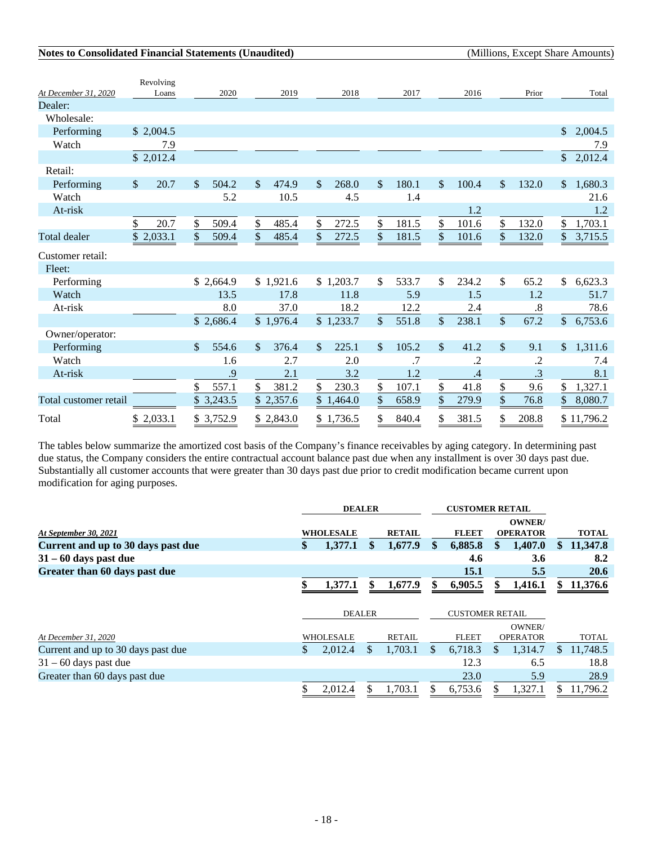|                       | Revolving            |                        |                        |                                    |             |                      |                        |                           |
|-----------------------|----------------------|------------------------|------------------------|------------------------------------|-------------|----------------------|------------------------|---------------------------|
| At December 31, 2020  | Loans                | 2020                   | 2019                   | 2018                               | 2017        | 2016                 | Prior                  | Total                     |
| Dealer:               |                      |                        |                        |                                    |             |                      |                        |                           |
| Wholesale:            |                      |                        |                        |                                    |             |                      |                        |                           |
| Performing            | \$2,004.5            |                        |                        |                                    |             |                      |                        | 2,004.5<br>\$.            |
| Watch                 | 7.9                  |                        |                        |                                    |             |                      |                        | 7.9                       |
|                       | \$2,012.4            |                        |                        |                                    |             |                      |                        | 2,012.4<br>$\frac{1}{2}$  |
| Retail:               |                      |                        |                        |                                    |             |                      |                        |                           |
| Performing            | $\mathbb{S}$<br>20.7 | $\mathcal{S}$<br>504.2 | <sup>\$</sup><br>474.9 | 268.0<br>\$                        | 180.1<br>\$ | 100.4<br>\$          | $\mathcal{S}$<br>132.0 | 1,680.3<br>$\mathbb{S}^-$ |
| Watch                 |                      | 5.2                    | 10.5                   | 4.5                                | 1.4         |                      |                        | 21.6                      |
| At-risk               |                      |                        |                        |                                    |             | 1.2                  |                        | 1.2                       |
|                       | \$<br>20.7           | \$<br>509.4            | \$<br>485.4            | \$<br>272.5                        | \$<br>181.5 | \$<br>101.6          | \$<br>132.0            | \$<br>1,703.1             |
| <b>Total</b> dealer   | 2,033.1<br>\$        | \$<br>509.4            | \$<br>485.4            | $\boldsymbol{\mathsf{S}}$<br>272.5 | \$<br>181.5 | \$<br>101.6          | \$<br>132.0            | \$<br>3,715.5             |
| Customer retail:      |                      |                        |                        |                                    |             |                      |                        |                           |
| Fleet:                |                      |                        |                        |                                    |             |                      |                        |                           |
| Performing            |                      | \$2,664.9              | \$1,921.6              | \$1,203.7                          | \$<br>533.7 | \$<br>234.2          | \$<br>65.2             | \$<br>6,623.3             |
| Watch                 |                      | 13.5                   | 17.8                   | 11.8                               | 5.9         | 1.5                  | 1.2                    | 51.7                      |
| At-risk               |                      | 8.0                    | 37.0                   | 18.2                               | 12.2        | 2.4                  | .8                     | 78.6                      |
|                       |                      | \$2,686.4              | \$1,976.4              | \$1,233.7                          | \$<br>551.8 | $\sqrt$<br>238.1     | $\frac{1}{2}$<br>67.2  | $\mathcal{S}$<br>6,753.6  |
| Owner/operator:       |                      |                        |                        |                                    |             |                      |                        |                           |
| Performing            |                      | <sup>\$</sup><br>554.6 | \$<br>376.4            | 225.1<br>\$                        | \$<br>105.2 | $\mathbb{S}$<br>41.2 | \$<br>9.1              | 1,311.6<br>$\mathbb{S}^-$ |
| Watch                 |                      | 1.6                    | 2.7                    | 2.0                                | .7          | .2                   | $\cdot$                | 7.4                       |
| At-risk               |                      | .9                     | 2.1                    | 3.2                                | 1.2         | $\cdot$ 4            | .3                     | 8.1                       |
|                       |                      | \$<br>557.1            | \$<br>381.2            | \$<br>230.3                        | \$<br>107.1 | \$<br>41.8           | \$<br>9.6              | 1,327.1<br>\$             |
| Total customer retail |                      | \$<br>3,243.5          | \$2,357.6              | \$1,464.0                          | \$<br>658.9 | \$<br>279.9          | \$<br>76.8             | \$<br>8,080.7             |
| Total                 | 2,033.1<br>\$        | \$3,752.9              | \$2,843.0              | \$1,736.5                          | \$<br>840.4 | \$<br>381.5          | \$<br>208.8            | \$11,796.2                |

The tables below summarize the amortized cost basis of the Company's finance receivables by aging category. In determining past due status, the Company considers the entire contractual account balance past due when any installment is over 30 days past due. Substantially all customer accounts that were greater than 30 days past due prior to credit modification became current upon modification for aging purposes.

|                                    | <b>DEALER</b> |                  |    |               |    | <b>CUSTOMER RETAIL</b> |    |                 |     |              |
|------------------------------------|---------------|------------------|----|---------------|----|------------------------|----|-----------------|-----|--------------|
|                                    |               |                  |    |               |    |                        |    | OWNER/          |     |              |
| At September 30, 2021              |               | <b>WHOLESALE</b> |    | <b>RETAIL</b> |    | <b>FLEET</b>           |    | <b>OPERATOR</b> |     | <b>TOTAL</b> |
| Current and up to 30 days past due | \$            | 1,377.1          | \$ | 1,677.9       | \$ | 6,885.8                | S  | 1,407.0         | SS. | 11,347.8     |
| $31 - 60$ days past due            |               |                  |    |               |    | 4.6                    |    | 3.6             |     | 8.2          |
| Greater than 60 days past due      |               |                  |    |               |    | 15.1                   |    | 5.5             |     | <b>20.6</b>  |
|                                    |               | 1,377.1          |    | 1,677.9       |    | 6,905.5                |    | 1,416.1         | \$  | 11,376.6     |
|                                    |               |                  |    |               |    |                        |    |                 |     |              |
|                                    | <b>DEALER</b> |                  |    |               |    | <b>CUSTOMER RETAIL</b> |    |                 |     |              |
|                                    |               |                  |    |               |    |                        |    | OWNER/          |     |              |
| At December 31, 2020               |               | <b>WHOLESALE</b> |    | <b>RETAIL</b> |    | <b>FLEET</b>           |    | <b>OPERATOR</b> |     | <b>TOTAL</b> |
| Current and up to 30 days past due |               | 2,012.4          | S. | 1.703.1       | S. | 6,718.3                | S. | 1,314.7         | S.  | 11,748.5     |
| $31 - 60$ days past due            |               |                  |    |               |    | 12.3                   |    | 6.5             |     | 18.8         |
| Greater than 60 days past due      |               |                  |    |               |    | 23.0                   |    | 5.9             |     | 28.9         |
|                                    |               | 2.012.4          |    | 1.703.1       | Я  | 6,753.6                |    | 1,327.1         |     | 11,796.2     |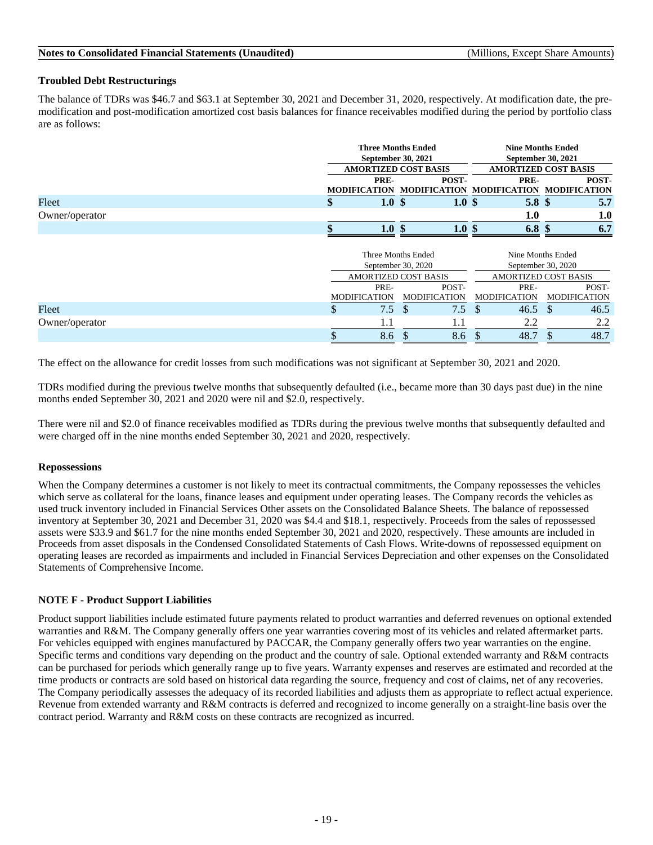### **Troubled Debt Restructurings**

The balance of TDRs was \$46.7 and \$63.1 at September 30, 2021 and December 31, 2020, respectively. At modification date, the premodification and post-modification amortized cost basis balances for finance receivables modified during the period by portfolio class are as follows:

|                | <b>Three Months Ended</b><br><b>September 30, 2021</b><br><b>AMORTIZED COST BASIS</b> |                  | <b>Nine Months Ended</b><br>September 30, 2021<br><b>AMORTIZED COST BASIS</b> |       |  |  |  |
|----------------|---------------------------------------------------------------------------------------|------------------|-------------------------------------------------------------------------------|-------|--|--|--|
|                | PRE-                                                                                  | POST-            | PRE-                                                                          | POST- |  |  |  |
|                |                                                                                       |                  | MODIFICATION MODIFICATION MODIFICATION MODIFICATION                           |       |  |  |  |
| Fleet          | 1.0 <sup>5</sup>                                                                      | 1.0 <sup>5</sup> | 5.8 <sup>°</sup>                                                              | 5.7   |  |  |  |
| Owner/operator |                                                                                       |                  | $1.0\,$                                                                       | 1.0   |  |  |  |
|                | 1.0 <sub>l</sub>                                                                      | 1.0 S            | 6.8                                                                           | 6.7   |  |  |  |

|                |    | September 30, 2020  | Three Months Ended<br><b>AMORTIZED COST BASIS</b> | Nine Months Ended<br>September 30, 2020<br><b>AMORTIZED COST BASIS</b> |                     |  |  |  |
|----------------|----|---------------------|---------------------------------------------------|------------------------------------------------------------------------|---------------------|--|--|--|
|                |    | PRE-                | POST-                                             | PRE-                                                                   | POST-               |  |  |  |
|                |    | <b>MODIFICATION</b> | <b>MODIFICATION</b>                               | <b>MODIFICATION</b>                                                    | <b>MODIFICATION</b> |  |  |  |
| Fleet          | D  | $7.5^{\circ}$       | 7.5                                               | 46.5<br>Ъ                                                              | 46.5                |  |  |  |
| Owner/operator |    | 1.1                 |                                                   | 2.2                                                                    | 2.2                 |  |  |  |
|                | ۰D | 8.6                 | 8.6                                               | 48.7                                                                   | 48.7                |  |  |  |

The effect on the allowance for credit losses from such modifications was not significant at September 30, 2021 and 2020.

TDRs modified during the previous twelve months that subsequently defaulted (i.e., became more than 30 days past due) in the nine months ended September 30, 2021 and 2020 were nil and \$2.0, respectively.

There were nil and \$2.0 of finance receivables modified as TDRs during the previous twelve months that subsequently defaulted and were charged off in the nine months ended September 30, 2021 and 2020, respectively.

#### **Repossessions**

When the Company determines a customer is not likely to meet its contractual commitments, the Company repossesses the vehicles which serve as collateral for the loans, finance leases and equipment under operating leases. The Company records the vehicles as used truck inventory included in Financial Services Other assets on the Consolidated Balance Sheets. The balance of repossessed inventory at September 30, 2021 and December 31, 2020 was \$4.4 and \$18.1, respectively. Proceeds from the sales of repossessed assets were \$33.9 and \$61.7 for the nine months ended September 30, 2021 and 2020, respectively. These amounts are included in Proceeds from asset disposals in the Condensed Consolidated Statements of Cash Flows. Write-downs of repossessed equipment on operating leases are recorded as impairments and included in Financial Services Depreciation and other expenses on the Consolidated Statements of Comprehensive Income.

#### **NOTE F - Product Support Liabilities**

Product support liabilities include estimated future payments related to product warranties and deferred revenues on optional extended warranties and R&M. The Company generally offers one year warranties covering most of its vehicles and related aftermarket parts. For vehicles equipped with engines manufactured by PACCAR, the Company generally offers two year warranties on the engine. Specific terms and conditions vary depending on the product and the country of sale. Optional extended warranty and R&M contracts can be purchased for periods which generally range up to five years. Warranty expenses and reserves are estimated and recorded at the time products or contracts are sold based on historical data regarding the source, frequency and cost of claims, net of any recoveries. The Company periodically assesses the adequacy of its recorded liabilities and adjusts them as appropriate to reflect actual experience. Revenue from extended warranty and R&M contracts is deferred and recognized to income generally on a straight-line basis over the contract period. Warranty and R&M costs on these contracts are recognized as incurred.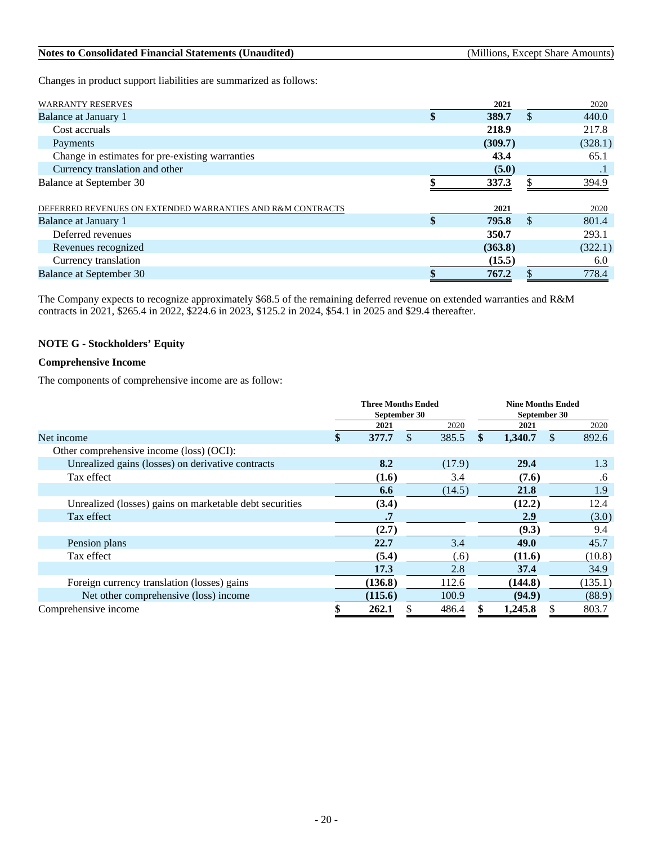| <b>Notes to Consolidated Financial Statements (Unaudited)</b><br>(Millions, Except Share Amounts) |
|---------------------------------------------------------------------------------------------------|
|---------------------------------------------------------------------------------------------------|

Changes in product support liabilities are summarized as follows:

| <b>WARRANTY RESERVES</b>                                   | 2021        |               | 2020      |
|------------------------------------------------------------|-------------|---------------|-----------|
| Balance at January 1                                       | \$<br>389.7 | $\mathcal{S}$ | 440.0     |
| Cost accruals                                              | 218.9       |               | 217.8     |
| Payments                                                   | (309.7)     |               | (328.1)   |
| Change in estimates for pre-existing warranties            | 43.4        |               | 65.1      |
| Currency translation and other                             | (5.0)       |               | $\cdot$ 1 |
| Balance at September 30                                    | 337.3       |               | 394.9     |
| DEFERRED REVENUES ON EXTENDED WARRANTIES AND R&M CONTRACTS | 2021        |               | 2020      |
| Balance at January 1                                       | \$<br>795.8 | <sup>\$</sup> | 801.4     |
| Deferred revenues                                          | 350.7       |               | 293.1     |
| Revenues recognized                                        | (363.8)     |               | (322.1)   |
| Currency translation                                       | (15.5)      |               | 6.0       |
| <b>Balance at September 30</b>                             | 767.2       |               | 778.4     |

The Company expects to recognize approximately \$68.5 of the remaining deferred revenue on extended warranties and R&M contracts in 2021, \$265.4 in 2022, \$224.6 in 2023, \$125.2 in 2024, \$54.1 in 2025 and \$29.4 thereafter.

### **NOTE G - Stockholders' Equity**

### **Comprehensive Income**

The components of comprehensive income are as follow:

|                                                         | <b>Three Months Ended</b> |             | <b>Nine Months Ended</b> |               |         |  |
|---------------------------------------------------------|---------------------------|-------------|--------------------------|---------------|---------|--|
|                                                         | September 30              |             | September 30             |               |         |  |
|                                                         | 2021                      | 2020        | 2021                     |               | 2020    |  |
| Net income                                              | \$<br>377.7               | \$<br>385.5 | \$<br>1,340.7            | <sup>\$</sup> | 892.6   |  |
| Other comprehensive income (loss) (OCI):                |                           |             |                          |               |         |  |
| Unrealized gains (losses) on derivative contracts       | 8.2                       | (17.9)      | 29.4                     |               | 1.3     |  |
| Tax effect                                              | (1.6)                     | 3.4         | (7.6)                    |               | .6      |  |
|                                                         | 6.6                       | (14.5)      | 21.8                     |               | 1.9     |  |
| Unrealized (losses) gains on marketable debt securities | (3.4)                     |             | (12.2)                   |               | 12.4    |  |
| Tax effect                                              | .7                        |             | <b>2.9</b>               |               | (3.0)   |  |
|                                                         | (2.7)                     |             | (9.3)                    |               | 9.4     |  |
| Pension plans                                           | 22.7                      | 3.4         | 49.0                     |               | 45.7    |  |
| Tax effect                                              | (5.4)                     | (.6)        | (11.6)                   |               | (10.8)  |  |
|                                                         | 17.3                      | 2.8         | 37.4                     |               | 34.9    |  |
| Foreign currency translation (losses) gains             | (136.8)                   | 112.6       | (144.8)                  |               | (135.1) |  |
| Net other comprehensive (loss) income                   | (115.6)                   | 100.9       | (94.9)                   |               | (88.9)  |  |
| Comprehensive income                                    | 262.1                     | 486.4       | \$<br>1,245.8            |               | 803.7   |  |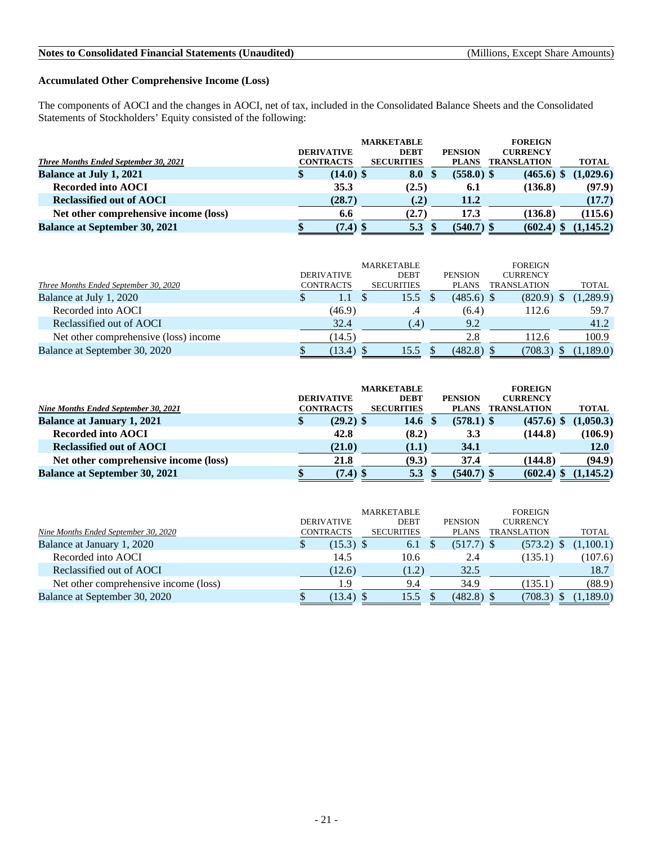### **Accumulated Other Comprehensive Income (Loss)**

The components of AOCI and the changes in AOCI, net of tax, included in the Consolidated Balance Sheets and the Consolidated Statements of Stockholders' Equity consisted of the following:

|                                              | <b>DERIVATIVE</b> | <b>MARKETABLE</b><br><b>DEBT</b> |      |      | <b>PENSION</b> | <b>FOREIGN</b><br><b>CURRENCY</b> |              |
|----------------------------------------------|-------------------|----------------------------------|------|------|----------------|-----------------------------------|--------------|
| <b>Three Months Ended September 30, 2021</b> | <b>CONTRACTS</b>  | <b>SECURITIES</b>                |      |      | <b>PLANS</b>   | <b>TRANSLATION</b>                | <b>TOTAL</b> |
| <b>Balance at July 1, 2021</b>               | \$<br>$(14.0)$ \$ | 8.0                              |      | - \$ | $(558.0)$ \$   | $(465.6)$ \$                      | (1,029.6)    |
| <b>Recorded into AOCI</b>                    | 35.3              | (2.5)                            |      |      | 6.1            | (136.8)                           | (97.9)       |
| <b>Reclassified out of AOCI</b>              | (28.7)            |                                  | (.2) |      | 11.2           |                                   | (17.7)       |
| Net other comprehensive income (loss)        | 6.6               | (2.7)                            |      |      | 17.3           | (136.8)                           | (115.6)      |
| <b>Balance at September 30, 2021</b>         | $(7.4)$ \$        | 5.3                              |      |      | $(540.7)$ \$   | $(602.4)$ \$                      | (1,145.2)    |

| Three Months Ended September 30, 2020 |   | <b>DERIVATIVE</b><br><b>CONTRACTS</b> | MARKETABLE<br><b>DEBT</b><br><b>SECURITIES</b> | <b>PENSION</b><br><b>PLANS</b> | <b>FOREIGN</b><br><b>CURRENCY</b><br><b>TRANSLATION</b> | TOTAL     |
|---------------------------------------|---|---------------------------------------|------------------------------------------------|--------------------------------|---------------------------------------------------------|-----------|
| Balance at July 1, 2020               | S | 1.1                                   | 15.5                                           | $(485.6)$ \$                   | (820.9)                                                 | (1,289.9) |
| Recorded into AOCI                    |   | (46.9)                                |                                                | (6.4)                          | 112.6                                                   | 59.7      |
| Reclassified out of AOCI              |   | 32.4                                  | $\left(4\right)$                               | 9.2                            |                                                         | 41.2      |
| Net other comprehensive (loss) income |   | (14.5)                                |                                                | 2.8                            | 112.6                                                   | 100.9     |
| Balance at September 30, 2020         |   | $(13.4)$ \$                           | 15.5                                           | $(482.8)$ \$                   | (708.3)                                                 | (1,189.0) |

|                                       |                   |             | <b>MARKETABLE</b> |                |                    |              |
|---------------------------------------|-------------------|-------------|-------------------|----------------|--------------------|--------------|
|                                       | <b>DERIVATIVE</b> |             | <b>DEBT</b>       | <b>PENSION</b> | <b>CURRENCY</b>    |              |
| Nine Months Ended September 30, 2021  | <b>CONTRACTS</b>  |             | <b>SECURITIES</b> | <b>PLANS</b>   | <b>TRANSLATION</b> | <b>TOTAL</b> |
| <b>Balance at January 1, 2021</b>     | \$                | $(29.2)$ \$ | 14.6 $\sqrt{s}$   | $(578.1)$ \$   | $(457.6)$ \$       | (1,050.3)    |
| <b>Recorded into AOCI</b>             |                   | 42.8        | (8.2)             | 3.3            | (144.8)            | (106.9)      |
| <b>Reclassified out of AOCI</b>       |                   | (21.0)      | (1.1)             | 34.1           |                    | <b>12.0</b>  |
| Net other comprehensive income (loss) |                   | 21.8        | (9.3)             | 37.4           | (144.8)            | (94.9)       |
| <b>Balance at September 30, 2021</b>  |                   | $(7.4)$ \$  | 5.3               | $(540.7)$ \$   | (602.4)            | (1.145.2)    |

|                                       |                   | <b>MARKETABLE</b> |                | <b>FOREIGN</b>     |              |
|---------------------------------------|-------------------|-------------------|----------------|--------------------|--------------|
|                                       | <b>DERIVATIVE</b> | <b>DEBT</b>       | <b>PENSION</b> | <b>CURRENCY</b>    |              |
| Nine Months Ended September 30, 2020  | <b>CONTRACTS</b>  | <b>SECURITIES</b> | <b>PLANS</b>   | <b>TRANSLATION</b> | <b>TOTAL</b> |
| Balance at January 1, 2020            | $(15.3)$ \$<br>\$ | 6.1               | $(517.7)$ \$   | (573.2)            | 1,100.1)     |
| Recorded into AOCI                    | 14.5              | 10.6              | 2.4            | (135.1)            | (107.6)      |
| Reclassified out of AOCI              | (12.6)            | (1.2)             | 32.5           |                    | 18.7         |
| Net other comprehensive income (loss) | و.ر               | 9.4               | 34.9           | (135.1)            | (88.9)       |
| Balance at September 30, 2020         | (13.4)            | 15.5              | $(482.8)$ \$   | (708.3)            | 1,189.0)     |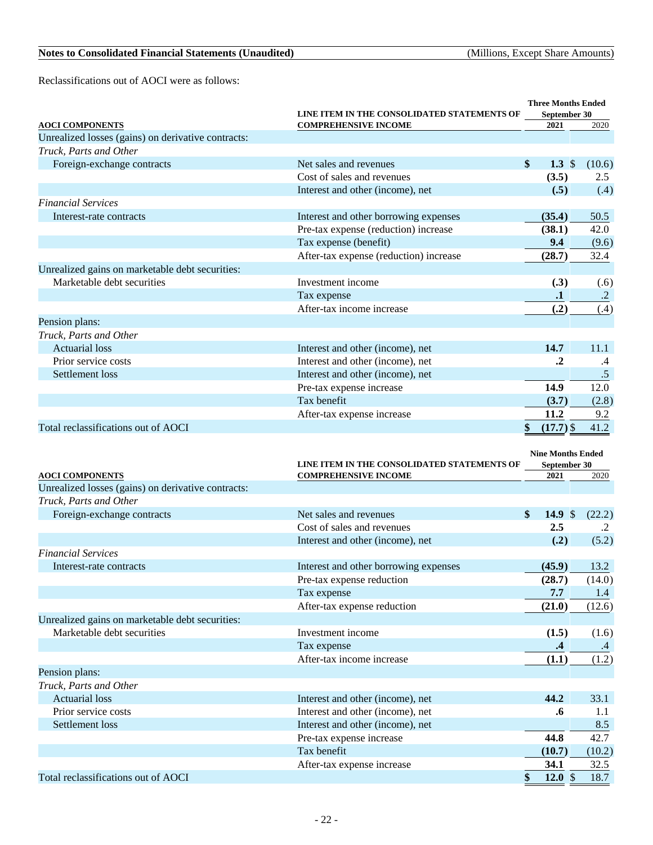Reclassifications out of AOCI were as follows:

| <b>AOCI COMPONENTS</b>                             | LINE ITEM IN THE CONSOLIDATED STATEMENTS OF<br><b>COMPREHENSIVE INCOME</b> | <b>Three Months Ended</b><br>September 30<br>2021 | 2020                   |
|----------------------------------------------------|----------------------------------------------------------------------------|---------------------------------------------------|------------------------|
| Unrealized losses (gains) on derivative contracts: |                                                                            |                                                   |                        |
| Truck, Parts and Other                             |                                                                            |                                                   |                        |
| Foreign-exchange contracts                         | Net sales and revenues                                                     | \$<br>1.3 $$$                                     | (10.6)                 |
|                                                    | Cost of sales and revenues                                                 | (3.5)                                             | 2.5                    |
|                                                    | Interest and other (income), net                                           | (.5)                                              | (.4)                   |
| <b>Financial Services</b>                          |                                                                            |                                                   |                        |
| Interest-rate contracts                            | Interest and other borrowing expenses                                      | (35.4)                                            | 50.5                   |
|                                                    | Pre-tax expense (reduction) increase                                       | (38.1)                                            | 42.0                   |
|                                                    | Tax expense (benefit)                                                      | 9.4                                               | (9.6)                  |
|                                                    | After-tax expense (reduction) increase                                     | (28.7)                                            | 32.4                   |
| Unrealized gains on marketable debt securities:    |                                                                            |                                                   |                        |
| Marketable debt securities                         | Investment income                                                          | (.3)                                              | (.6)                   |
|                                                    | Tax expense                                                                | $\cdot$                                           | $\cdot$ .2             |
|                                                    | After-tax income increase                                                  | (.2)                                              | (.4)                   |
| Pension plans:                                     |                                                                            |                                                   |                        |
| Truck, Parts and Other                             |                                                                            |                                                   |                        |
| <b>Actuarial loss</b>                              | Interest and other (income), net                                           | 14.7                                              | 11.1                   |
| Prior service costs                                | Interest and other (income), net                                           | $\cdot^2$                                         | .4                     |
| Settlement loss                                    | Interest and other (income), net                                           |                                                   | .5                     |
|                                                    | Pre-tax expense increase                                                   | 14.9                                              | 12.0                   |
|                                                    | Tax benefit                                                                | (3.7)                                             | (2.8)                  |
|                                                    | After-tax expense increase                                                 | 11.2                                              | 9.2                    |
| Total reclassifications out of AOCI                |                                                                            | $(17.7)$ \$                                       | 41.2                   |
|                                                    |                                                                            |                                                   |                        |
| <b>AOCI COMPONENTS</b>                             | LINE ITEM IN THE CONSOLIDATED STATEMENTS OF<br><b>COMPREHENSIVE INCOME</b> | <b>Nine Months Ended</b><br>September 30<br>2021  | 2020                   |
| Unrealized losses (gains) on derivative contracts: |                                                                            |                                                   |                        |
| Truck, Parts and Other                             |                                                                            |                                                   |                        |
| Foreign-exchange contracts                         | Net sales and revenues                                                     | $\mathbf{s}$<br>14.9 $\frac{1}{2}$                |                        |
|                                                    | Cost of sales and revenues                                                 | 2.5                                               | $\cdot$ .2             |
|                                                    | Interest and other (income), net                                           | (.2)                                              | (5.2)                  |
| <b>Financial Services</b>                          |                                                                            |                                                   |                        |
| Interest-rate contracts                            | Interest and other borrowing expenses                                      | (45.9)                                            | 13.2                   |
|                                                    | Pre-tax expense reduction                                                  | (28.7)                                            | (14.0)                 |
|                                                    | Tax expense                                                                | 7.7                                               | 1.4                    |
|                                                    | After-tax expense reduction                                                | (21.0)                                            | (12.6)                 |
| Unrealized gains on marketable debt securities:    |                                                                            |                                                   |                        |
| Marketable debt securities                         | Investment income                                                          | (1.5)                                             | (1.6)                  |
|                                                    | Tax expense                                                                | $\cdot$ 4                                         | .4                     |
|                                                    | After-tax income increase                                                  | (1.1)                                             | (1.2)                  |
| Pension plans:                                     |                                                                            |                                                   |                        |
| Truck, Parts and Other                             |                                                                            |                                                   |                        |
| <b>Actuarial loss</b>                              | Interest and other (income), net                                           | 44.2                                              | 33.1                   |
| Prior service costs                                | Interest and other (income), net                                           | .6                                                | 1.1                    |
| Settlement loss                                    | Interest and other (income), net                                           |                                                   | 8.5                    |
|                                                    | Pre-tax expense increase                                                   | 44.8                                              | 42.7                   |
|                                                    | Tax benefit                                                                | (10.7)                                            | (10.2)                 |
| Total reclassifications out of AOCI                | After-tax expense increase                                                 | 34.1<br>\$<br>12.0 $$$                            | (22.2)<br>32.5<br>18.7 |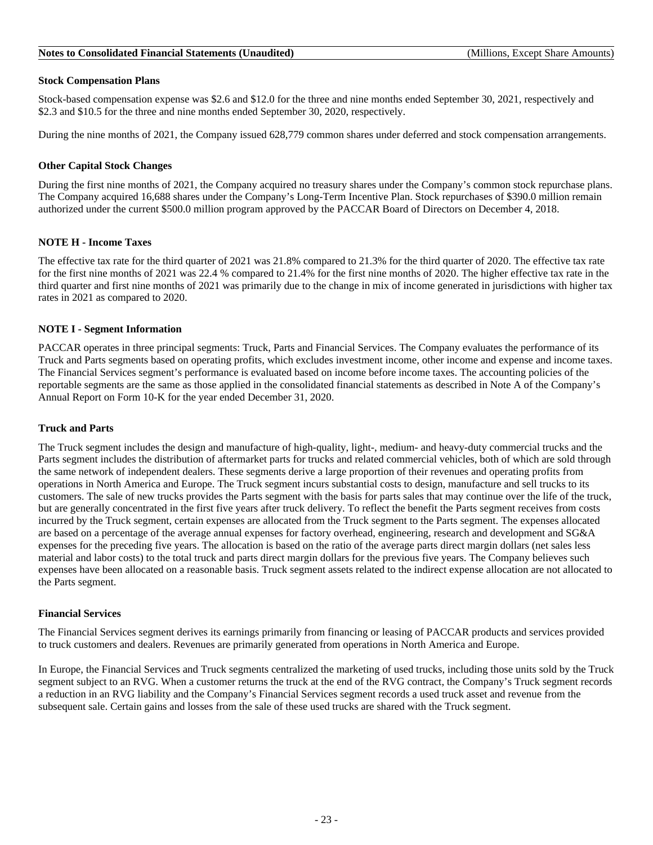#### **Stock Compensation Plans**

Stock-based compensation expense was \$2.6 and \$12.0 for the three and nine months ended September 30, 2021, respectively and \$2.3 and \$10.5 for the three and nine months ended September 30, 2020, respectively.

During the nine months of 2021, the Company issued 628,779 common shares under deferred and stock compensation arrangements.

#### **Other Capital Stock Changes**

During the first nine months of 2021, the Company acquired no treasury shares under the Company's common stock repurchase plans. The Company acquired 16,688 shares under the Company's Long-Term Incentive Plan. Stock repurchases of \$390.0 million remain authorized under the current \$500.0 million program approved by the PACCAR Board of Directors on December 4, 2018.

#### **NOTE H - Income Taxes**

The effective tax rate for the third quarter of 2021 was 21.8% compared to 21.3% for the third quarter of 2020. The effective tax rate for the first nine months of 2021 was 22.4 % compared to 21.4% for the first nine months of 2020. The higher effective tax rate in the third quarter and first nine months of 2021 was primarily due to the change in mix of income generated in jurisdictions with higher tax rates in 2021 as compared to 2020.

#### **NOTE I - Segment Information**

PACCAR operates in three principal segments: Truck, Parts and Financial Services. The Company evaluates the performance of its Truck and Parts segments based on operating profits, which excludes investment income, other income and expense and income taxes. The Financial Services segment's performance is evaluated based on income before income taxes. The accounting policies of the reportable segments are the same as those applied in the consolidated financial statements as described in Note A of the Company's Annual Report on Form 10-K for the year ended December 31, 2020.

### **Truck and Parts**

The Truck segment includes the design and manufacture of high-quality, light-, medium- and heavy-duty commercial trucks and the Parts segment includes the distribution of aftermarket parts for trucks and related commercial vehicles, both of which are sold through the same network of independent dealers. These segments derive a large proportion of their revenues and operating profits from operations in North America and Europe. The Truck segment incurs substantial costs to design, manufacture and sell trucks to its customers. The sale of new trucks provides the Parts segment with the basis for parts sales that may continue over the life of the truck, but are generally concentrated in the first five years after truck delivery. To reflect the benefit the Parts segment receives from costs incurred by the Truck segment, certain expenses are allocated from the Truck segment to the Parts segment. The expenses allocated are based on a percentage of the average annual expenses for factory overhead, engineering, research and development and SG&A expenses for the preceding five years. The allocation is based on the ratio of the average parts direct margin dollars (net sales less material and labor costs) to the total truck and parts direct margin dollars for the previous five years. The Company believes such expenses have been allocated on a reasonable basis. Truck segment assets related to the indirect expense allocation are not allocated to the Parts segment.

#### **Financial Services**

The Financial Services segment derives its earnings primarily from financing or leasing of PACCAR products and services provided to truck customers and dealers. Revenues are primarily generated from operations in North America and Europe.

In Europe, the Financial Services and Truck segments centralized the marketing of used trucks, including those units sold by the Truck segment subject to an RVG. When a customer returns the truck at the end of the RVG contract, the Company's Truck segment records a reduction in an RVG liability and the Company's Financial Services segment records a used truck asset and revenue from the subsequent sale. Certain gains and losses from the sale of these used trucks are shared with the Truck segment.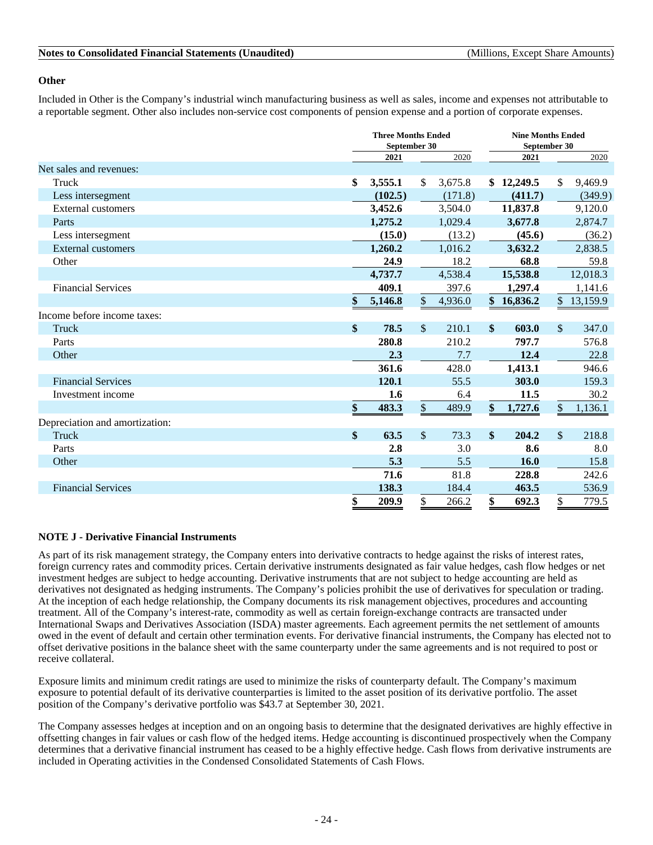### **Other**

Included in Other is the Company's industrial winch manufacturing business as well as sales, income and expenses not attributable to a reportable segment. Other also includes non-service cost components of pension expense and a portion of corporate expenses.

|                                | <b>Three Months Ended</b><br>September 30 |               |         |    | <b>Nine Months Ended</b><br>September 30 |               |          |
|--------------------------------|-------------------------------------------|---------------|---------|----|------------------------------------------|---------------|----------|
|                                | 2021                                      |               | 2020    |    | 2021                                     |               | 2020     |
| Net sales and revenues:        |                                           |               |         |    |                                          |               |          |
| Truck                          | \$<br>3,555.1                             | $\mathbb{S}$  | 3,675.8 |    | \$12,249.5                               | \$            | 9,469.9  |
| Less intersegment              | (102.5)                                   |               | (171.8) |    | (411.7)                                  |               | (349.9)  |
| <b>External customers</b>      | 3,452.6                                   |               | 3,504.0 |    | 11,837.8                                 |               | 9,120.0  |
| Parts                          | 1,275.2                                   |               | 1,029.4 |    | 3,677.8                                  |               | 2,874.7  |
| Less intersegment              | (15.0)                                    |               | (13.2)  |    | (45.6)                                   |               | (36.2)   |
| <b>External customers</b>      | 1,260.2                                   |               | 1,016.2 |    | 3,632.2                                  |               | 2,838.5  |
| Other                          | 24.9                                      |               | 18.2    |    | 68.8                                     |               | 59.8     |
|                                | 4,737.7                                   |               | 4,538.4 |    | 15,538.8                                 |               | 12,018.3 |
| <b>Financial Services</b>      | 409.1                                     |               | 397.6   |    | 1,297.4                                  |               | 1,141.6  |
|                                | \$<br>5,146.8                             | \$            | 4,936.0 |    | \$16,836.2                               | $\frac{1}{2}$ | 13,159.9 |
| Income before income taxes:    |                                           |               |         |    |                                          |               |          |
| Truck                          | \$<br>78.5                                | $\mathbb{S}$  | 210.1   | \$ | 603.0                                    | $\mathcal{S}$ | 347.0    |
| Parts                          | 280.8                                     |               | 210.2   |    | 797.7                                    |               | 576.8    |
| Other                          | 2.3                                       |               | 7.7     |    | 12.4                                     |               | 22.8     |
|                                | 361.6                                     |               | 428.0   |    | 1,413.1                                  |               | 946.6    |
| <b>Financial Services</b>      | 120.1                                     |               | 55.5    |    | 303.0                                    |               | 159.3    |
| Investment income              | 1.6                                       |               | 6.4     |    | 11.5                                     |               | 30.2     |
|                                | \$<br>483.3                               | $\frac{1}{2}$ | 489.9   | \$ | 1,727.6                                  | \$            | 1,136.1  |
| Depreciation and amortization: |                                           |               |         |    |                                          |               |          |
| Truck                          | \$<br>63.5                                | $\sqrt{\ }$   | 73.3    | \$ | 204.2                                    | \$            | 218.8    |
| Parts                          | 2.8                                       |               | 3.0     |    | 8.6                                      |               | 8.0      |
| Other                          | 5.3                                       |               | 5.5     |    | 16.0                                     |               | 15.8     |
|                                | 71.6                                      |               | 81.8    |    | 228.8                                    |               | 242.6    |
| <b>Financial Services</b>      | 138.3                                     |               | 184.4   |    | 463.5                                    |               | 536.9    |
|                                | \$<br>209.9                               | \$            | 266.2   | \$ | 692.3                                    | \$            | 779.5    |

### **NOTE J - Derivative Financial Instruments**

As part of its risk management strategy, the Company enters into derivative contracts to hedge against the risks of interest rates, foreign currency rates and commodity prices. Certain derivative instruments designated as fair value hedges, cash flow hedges or net investment hedges are subject to hedge accounting. Derivative instruments that are not subject to hedge accounting are held as derivatives not designated as hedging instruments. The Company's policies prohibit the use of derivatives for speculation or trading. At the inception of each hedge relationship, the Company documents its risk management objectives, procedures and accounting treatment. All of the Company's interest-rate, commodity as well as certain foreign-exchange contracts are transacted under International Swaps and Derivatives Association (ISDA) master agreements. Each agreement permits the net settlement of amounts owed in the event of default and certain other termination events. For derivative financial instruments, the Company has elected not to offset derivative positions in the balance sheet with the same counterparty under the same agreements and is not required to post or receive collateral.

Exposure limits and minimum credit ratings are used to minimize the risks of counterparty default. The Company's maximum exposure to potential default of its derivative counterparties is limited to the asset position of its derivative portfolio. The asset position of the Company's derivative portfolio was \$43.7 at September 30, 2021.

The Company assesses hedges at inception and on an ongoing basis to determine that the designated derivatives are highly effective in offsetting changes in fair values or cash flow of the hedged items. Hedge accounting is discontinued prospectively when the Company determines that a derivative financial instrument has ceased to be a highly effective hedge. Cash flows from derivative instruments are included in Operating activities in the Condensed Consolidated Statements of Cash Flows.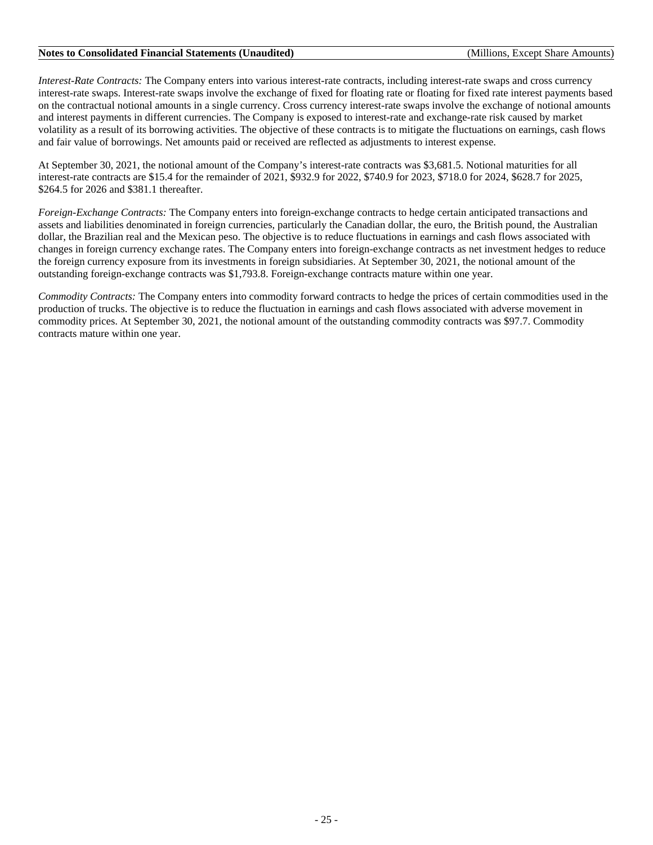*Interest-Rate Contracts:* The Company enters into various interest-rate contracts, including interest-rate swaps and cross currency interest-rate swaps. Interest-rate swaps involve the exchange of fixed for floating rate or floating for fixed rate interest payments based on the contractual notional amounts in a single currency. Cross currency interest-rate swaps involve the exchange of notional amounts and interest payments in different currencies. The Company is exposed to interest-rate and exchange-rate risk caused by market volatility as a result of its borrowing activities. The objective of these contracts is to mitigate the fluctuations on earnings, cash flows and fair value of borrowings. Net amounts paid or received are reflected as adjustments to interest expense.

At September 30, 2021, the notional amount of the Company's interest-rate contracts was \$3,681.5. Notional maturities for all interest-rate contracts are \$15.4 for the remainder of 2021, \$932.9 for 2022, \$740.9 for 2023, \$718.0 for 2024, \$628.7 for 2025, \$264.5 for 2026 and \$381.1 thereafter.

*Foreign-Exchange Contracts:* The Company enters into foreign-exchange contracts to hedge certain anticipated transactions and assets and liabilities denominated in foreign currencies, particularly the Canadian dollar, the euro, the British pound, the Australian dollar, the Brazilian real and the Mexican peso. The objective is to reduce fluctuations in earnings and cash flows associated with changes in foreign currency exchange rates. The Company enters into foreign-exchange contracts as net investment hedges to reduce the foreign currency exposure from its investments in foreign subsidiaries. At September 30, 2021, the notional amount of the outstanding foreign-exchange contracts was \$1,793.8. Foreign-exchange contracts mature within one year.

*Commodity Contracts:* The Company enters into commodity forward contracts to hedge the prices of certain commodities used in the production of trucks. The objective is to reduce the fluctuation in earnings and cash flows associated with adverse movement in commodity prices. At September 30, 2021, the notional amount of the outstanding commodity contracts was \$97.7. Commodity contracts mature within one year.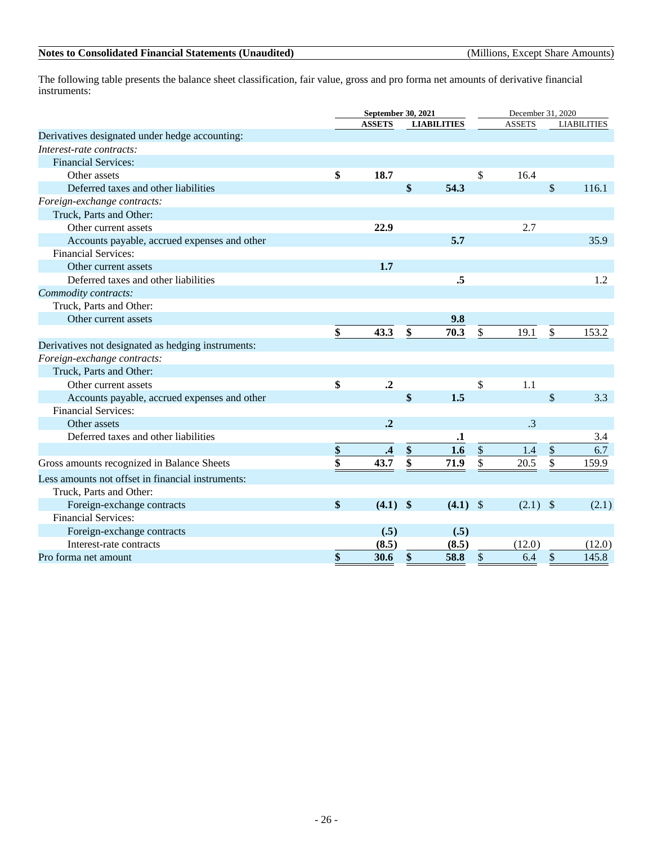The following table presents the balance sheet classification, fair value, gross and pro forma net amounts of derivative financial instruments:

|                                                    | September 30, 2021     |                      |               |                    |                  | December 31, 2020 |                             |                    |  |
|----------------------------------------------------|------------------------|----------------------|---------------|--------------------|------------------|-------------------|-----------------------------|--------------------|--|
|                                                    |                        | <b>ASSETS</b>        |               | <b>LIABILITIES</b> |                  | <b>ASSETS</b>     |                             | <b>LIABILITIES</b> |  |
| Derivatives designated under hedge accounting:     |                        |                      |               |                    |                  |                   |                             |                    |  |
| Interest-rate contracts:                           |                        |                      |               |                    |                  |                   |                             |                    |  |
| <b>Financial Services:</b>                         |                        |                      |               |                    |                  |                   |                             |                    |  |
| Other assets                                       | \$                     | 18.7                 |               |                    | \$               | 16.4              |                             |                    |  |
| Deferred taxes and other liabilities               |                        |                      | \$            | 54.3               |                  |                   | $\mathbb{S}$                | 116.1              |  |
| Foreign-exchange contracts:                        |                        |                      |               |                    |                  |                   |                             |                    |  |
| Truck, Parts and Other:                            |                        |                      |               |                    |                  |                   |                             |                    |  |
| Other current assets                               |                        | 22.9                 |               |                    |                  | 2.7               |                             |                    |  |
| Accounts payable, accrued expenses and other       |                        |                      |               | 5.7                |                  |                   |                             | 35.9               |  |
| <b>Financial Services:</b>                         |                        |                      |               |                    |                  |                   |                             |                    |  |
| Other current assets                               |                        | 1.7                  |               |                    |                  |                   |                             |                    |  |
| Deferred taxes and other liabilities               |                        |                      |               | .5                 |                  |                   |                             | 1.2                |  |
| Commodity contracts:                               |                        |                      |               |                    |                  |                   |                             |                    |  |
| Truck, Parts and Other:                            |                        |                      |               |                    |                  |                   |                             |                    |  |
| Other current assets                               |                        |                      |               | 9.8                |                  |                   |                             |                    |  |
|                                                    | \$                     | 43.3                 | \$            | 70.3               | \$               | 19.1              | \$                          | 153.2              |  |
| Derivatives not designated as hedging instruments: |                        |                      |               |                    |                  |                   |                             |                    |  |
| Foreign-exchange contracts:                        |                        |                      |               |                    |                  |                   |                             |                    |  |
| Truck, Parts and Other:                            |                        |                      |               |                    |                  |                   |                             |                    |  |
| Other current assets                               | \$                     | $\cdot$ <sup>2</sup> |               |                    | \$               | 1.1               |                             |                    |  |
| Accounts payable, accrued expenses and other       |                        |                      | \$            | 1.5                |                  |                   | $\mathbb{S}$                | 3.3                |  |
| <b>Financial Services:</b>                         |                        |                      |               |                    |                  |                   |                             |                    |  |
| Other assets                                       |                        | $\cdot$ <sup>2</sup> |               |                    |                  | $\cdot$ 3         |                             |                    |  |
| Deferred taxes and other liabilities               |                        |                      |               | $\mathbf{.1}$      |                  |                   |                             | 3.4                |  |
|                                                    | $\frac{\mathbf{\$}}{}$ | $\cdot$ <sup>4</sup> | $\frac{\$}{}$ | 1.6                | $\underline{\$}$ | 1.4               | $\frac{\text{S}}{\text{S}}$ | 6.7                |  |
| Gross amounts recognized in Balance Sheets         | \$                     | 43.7                 | \$            | 71.9               | \$               | 20.5              | \$                          | 159.9              |  |
| Less amounts not offset in financial instruments:  |                        |                      |               |                    |                  |                   |                             |                    |  |
| Truck, Parts and Other:                            |                        |                      |               |                    |                  |                   |                             |                    |  |
| Foreign-exchange contracts                         | \$                     | $(4.1)$ \$           |               | $(4.1)$ \$         |                  | $(2.1)$ \$        |                             | (2.1)              |  |
| <b>Financial Services:</b>                         |                        |                      |               |                    |                  |                   |                             |                    |  |
| Foreign-exchange contracts                         |                        | (.5)                 |               | (.5)               |                  |                   |                             |                    |  |
| Interest-rate contracts                            |                        | (8.5)                |               | (8.5)              |                  | (12.0)            |                             | (12.0)             |  |
| Pro forma net amount                               | \$                     | 30.6                 | \$            | 58.8               | \$               | 6.4               | $\$\,$                      | 145.8              |  |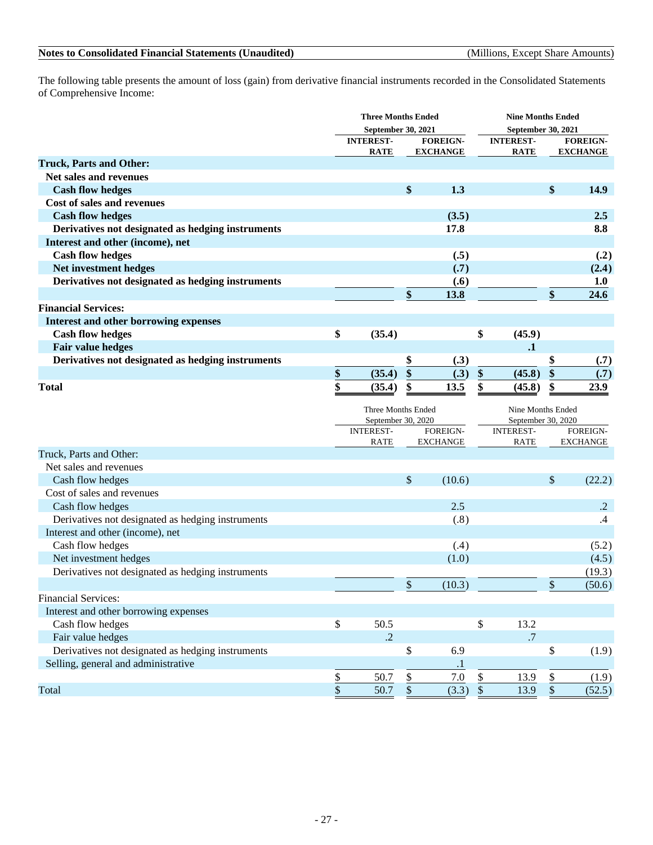### - 27 -

### **Notes to Consolidated Financial Statements (Unaudited)** (Millions, Except Share Amounts)

The following table presents the amount of loss (gain) from derivative financial instruments recorded in the Consolidated Statements of Comprehensive Income:

|                                                   | <b>Three Months Ended</b>       |                          |                   |                             |              | <b>Nine Months Ended</b>        |              |                             |  |
|---------------------------------------------------|---------------------------------|--------------------------|-------------------|-----------------------------|--------------|---------------------------------|--------------|-----------------------------|--|
|                                                   |                                 | September 30, 2021       |                   |                             |              | September 30, 2021              |              |                             |  |
|                                                   |                                 | <b>INTEREST-</b>         |                   | <b>FOREIGN-</b>             |              | <b>INTEREST-</b>                |              | <b>FOREIGN-</b>             |  |
|                                                   |                                 | <b>RATE</b>              |                   | <b>EXCHANGE</b>             |              | <b>RATE</b>                     |              | <b>EXCHANGE</b>             |  |
| <b>Truck, Parts and Other:</b>                    |                                 |                          |                   |                             |              |                                 |              |                             |  |
| Net sales and revenues                            |                                 |                          |                   |                             |              |                                 |              |                             |  |
| <b>Cash flow hedges</b>                           |                                 |                          | \$                | 1.3                         |              |                                 | \$           | 14.9                        |  |
| Cost of sales and revenues                        |                                 |                          |                   |                             |              |                                 |              |                             |  |
| <b>Cash flow hedges</b>                           |                                 |                          |                   | (3.5)                       |              |                                 |              | 2.5                         |  |
| Derivatives not designated as hedging instruments |                                 |                          |                   | 17.8                        |              |                                 |              | 8.8                         |  |
| Interest and other (income), net                  |                                 |                          |                   |                             |              |                                 |              |                             |  |
| <b>Cash flow hedges</b>                           |                                 |                          |                   | (.5)                        |              |                                 |              | (.2)                        |  |
| Net investment hedges                             |                                 |                          |                   | (.7)                        |              |                                 |              | (2.4)                       |  |
| Derivatives not designated as hedging instruments |                                 |                          |                   | (.6)                        |              |                                 |              | 1.0                         |  |
|                                                   |                                 |                          | \$                | 13.8                        |              |                                 | \$           | 24.6                        |  |
| <b>Financial Services:</b>                        |                                 |                          |                   |                             |              |                                 |              |                             |  |
| <b>Interest and other borrowing expenses</b>      |                                 |                          |                   |                             |              |                                 |              |                             |  |
| <b>Cash flow hedges</b>                           | \$                              | (35.4)                   |                   |                             | \$           | (45.9)                          |              |                             |  |
| Fair value hedges                                 |                                 |                          |                   |                             |              | $\mathbf{.1}$                   |              |                             |  |
| Derivatives not designated as hedging instruments |                                 |                          | \$                | (.3)                        |              |                                 | \$           | (.7)                        |  |
|                                                   | $\frac{\mathbf{S}}{\mathbf{S}}$ | (35.4)                   | \$                | (.3)                        | \$           | (45.8)                          | \$           | (.7)                        |  |
| <b>Total</b>                                      | \$                              | (35.4)                   | \$                | 13.5                        | \$           | (45.8)                          | \$           | 23.9                        |  |
|                                                   |                                 |                          |                   |                             |              |                                 |              |                             |  |
|                                                   |                                 | Three Months Ended       |                   |                             |              | Nine Months Ended               |              |                             |  |
|                                                   |                                 | September 30, 2020       |                   |                             |              | September 30, 2020              |              |                             |  |
|                                                   |                                 | <b>INTEREST-</b><br>RATE |                   | FOREIGN-<br><b>EXCHANGE</b> |              | <b>INTEREST-</b><br><b>RATE</b> |              | FOREIGN-<br><b>EXCHANGE</b> |  |
| Truck, Parts and Other:                           |                                 |                          |                   |                             |              |                                 |              |                             |  |
| Net sales and revenues                            |                                 |                          |                   |                             |              |                                 |              |                             |  |
| Cash flow hedges                                  |                                 |                          | \$                | (10.6)                      |              |                                 | \$           | (22.2)                      |  |
| Cost of sales and revenues                        |                                 |                          |                   |                             |              |                                 |              |                             |  |
| Cash flow hedges                                  |                                 |                          |                   | 2.5                         |              |                                 |              | $\cdot$ .2                  |  |
| Derivatives not designated as hedging instruments |                                 |                          |                   | (.8)                        |              |                                 |              | .4                          |  |
| Interest and other (income), net                  |                                 |                          |                   |                             |              |                                 |              |                             |  |
| Cash flow hedges                                  |                                 |                          |                   | (.4)                        |              |                                 |              | (5.2)                       |  |
| Net investment hedges                             |                                 |                          |                   | (1.0)                       |              |                                 |              | (4.5)                       |  |
| Derivatives not designated as hedging instruments |                                 |                          |                   |                             |              |                                 |              | (19.3)                      |  |
|                                                   |                                 |                          | \$                | (10.3)                      |              |                                 | \$           | (50.6)                      |  |
| <b>Financial Services:</b>                        |                                 |                          |                   |                             |              |                                 |              |                             |  |
|                                                   |                                 |                          |                   |                             |              |                                 |              |                             |  |
| Interest and other borrowing expenses             | $\$\,$                          |                          |                   |                             |              |                                 |              |                             |  |
| Cash flow hedges                                  |                                 | 50.5<br>$\cdot$ .2       |                   |                             | \$           | 13.2<br>.7                      |              |                             |  |
| Fair value hedges                                 |                                 |                          |                   |                             |              |                                 |              |                             |  |
| Derivatives not designated as hedging instruments |                                 |                          | \$                | 6.9                         |              |                                 | \$           | (1.9)                       |  |
| Selling, general and administrative               |                                 |                          |                   | $\cdot$ 1                   |              |                                 |              |                             |  |
|                                                   | $\overline{\mathcal{E}}$        | 50.7                     | \$                | 7.0                         | \$           | 13.9                            | $\$$         | (1.9)                       |  |
| Total                                             | $\frac{1}{2}$                   | 50.7                     | $\boldsymbol{\$}$ | (3.3)                       | $\mathbb{S}$ | 13.9                            | $\mathbb{S}$ | (52.5)                      |  |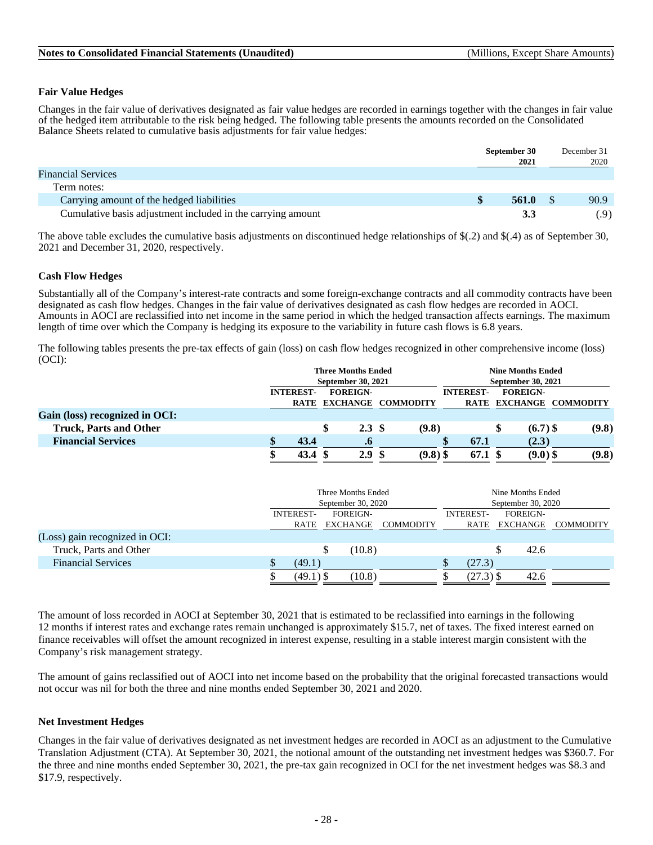### **Fair Value Hedges**

Changes in the fair value of derivatives designated as fair value hedges are recorded in earnings together with the changes in fair value of the hedged item attributable to the risk being hedged. The following table presents the amounts recorded on the Consolidated Balance Sheets related to cumulative basis adjustments for fair value hedges:

|                                                             | September 30 | December 31 |      |
|-------------------------------------------------------------|--------------|-------------|------|
|                                                             | 2021         |             | 2020 |
| <b>Financial Services</b>                                   |              |             |      |
| Term notes:                                                 |              |             |      |
| Carrying amount of the hedged liabilities                   | 561.0        |             | 90.9 |
| Cumulative basis adjustment included in the carrying amount | 3.3          |             | .9)  |

The above table excludes the cumulative basis adjustments on discontinued hedge relationships of  $\S(.2)$  and  $\S(.4)$  as of September 30, 2021 and December 31, 2020, respectively.

### **Cash Flow Hedges**

Substantially all of the Company's interest-rate contracts and some foreign-exchange contracts and all commodity contracts have been designated as cash flow hedges. Changes in the fair value of derivatives designated as cash flow hedges are recorded in AOCI. Amounts in AOCI are reclassified into net income in the same period in which the hedged transaction affects earnings. The maximum length of time over which the Company is hedging its exposure to the variability in future cash flows is 6.8 years.

The following tables presents the pre-tax effects of gain (loss) on cash flow hedges recognized in other comprehensive income (loss) (OCI):

|                                | <b>Three Months Ended</b>           |  |                  |                         |            |                  | <b>Nine Months Ended</b>  |            |                         |  |  |
|--------------------------------|-------------------------------------|--|------------------|-------------------------|------------|------------------|---------------------------|------------|-------------------------|--|--|
|                                | September 30, 2021                  |  |                  |                         |            |                  | <b>September 30, 2021</b> |            |                         |  |  |
|                                | <b>FOREIGN-</b><br><b>INTEREST-</b> |  |                  |                         |            | <b>INTEREST-</b> | <b>FOREIGN-</b>           |            |                         |  |  |
|                                |                                     |  |                  | RATE EXCHANGE COMMODITY |            |                  |                           |            | RATE EXCHANGE COMMODITY |  |  |
| Gain (loss) recognized in OCI: |                                     |  |                  |                         |            |                  |                           |            |                         |  |  |
| <b>Truck, Parts and Other</b>  |                                     |  | 2.3 <sup>°</sup> |                         | (9.8)      |                  |                           | $(6.7)$ \$ | (9.8)                   |  |  |
| <b>Financial Services</b>      | 43.4                                |  | $\cdot$ o        |                         |            | 67.1             |                           | (2.3)      |                         |  |  |
|                                | 43.4                                |  | 2.9              |                         | $(9.8)$ \$ | 67.1 S           |                           | $(9.0)$ \$ | (9.8)                   |  |  |

|                                |                  | Three Months Ended |                  |                    | Nine Months Ended |                  |  |  |  |
|--------------------------------|------------------|--------------------|------------------|--------------------|-------------------|------------------|--|--|--|
|                                |                  | September 30, 2020 |                  | September 30, 2020 |                   |                  |  |  |  |
|                                | <b>INTEREST-</b> | <b>FOREIGN-</b>    |                  | <b>INTEREST-</b>   | <b>FOREIGN-</b>   |                  |  |  |  |
|                                | RATE             | EXCHANGE           | <b>COMMODITY</b> | RATE               | EXCHANGE          | <b>COMMODITY</b> |  |  |  |
| (Loss) gain recognized in OCI: |                  |                    |                  |                    |                   |                  |  |  |  |
| Truck, Parts and Other         |                  | (10.8)             |                  |                    | 42.6<br>S         |                  |  |  |  |
| <b>Financial Services</b>      | (49.1)<br>D      |                    |                  | (27.3)             |                   |                  |  |  |  |
|                                | $(49.1)$ \$      | (10.8)             |                  | $(27.3)$ \$        | 42.6              |                  |  |  |  |

The amount of loss recorded in AOCI at September 30, 2021 that is estimated to be reclassified into earnings in the following 12 months if interest rates and exchange rates remain unchanged is approximately \$15.7, net of taxes. The fixed interest earned on finance receivables will offset the amount recognized in interest expense, resulting in a stable interest margin consistent with the Company's risk management strategy.

The amount of gains reclassified out of AOCI into net income based on the probability that the original forecasted transactions would not occur was nil for both the three and nine months ended September 30, 2021 and 2020.

#### **Net Investment Hedges**

Changes in the fair value of derivatives designated as net investment hedges are recorded in AOCI as an adjustment to the Cumulative Translation Adjustment (CTA). At September 30, 2021, the notional amount of the outstanding net investment hedges was \$360.7. For the three and nine months ended September 30, 2021, the pre-tax gain recognized in OCI for the net investment hedges was \$8.3 and \$17.9, respectively.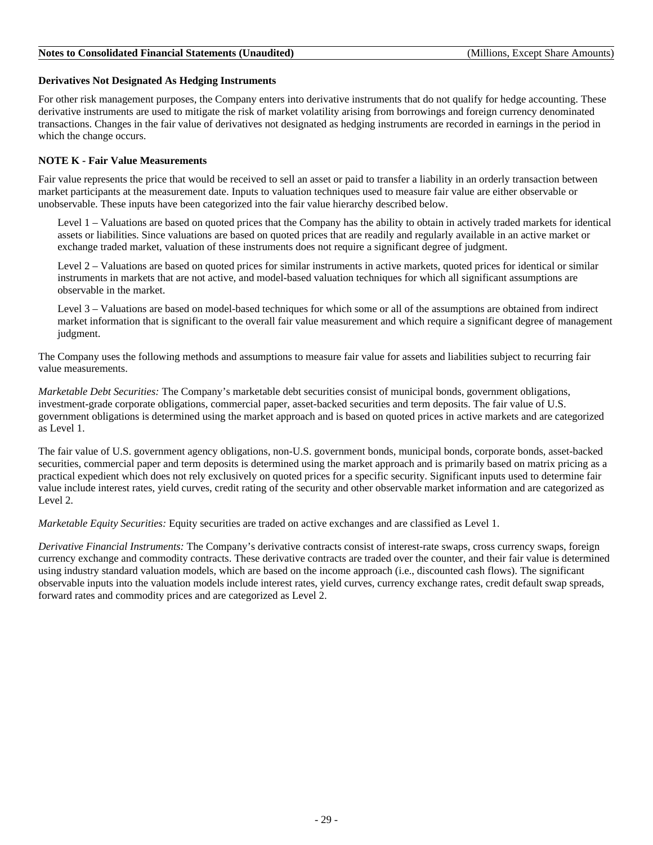### **Derivatives Not Designated As Hedging Instruments**

For other risk management purposes, the Company enters into derivative instruments that do not qualify for hedge accounting. These derivative instruments are used to mitigate the risk of market volatility arising from borrowings and foreign currency denominated transactions. Changes in the fair value of derivatives not designated as hedging instruments are recorded in earnings in the period in which the change occurs.

### **NOTE K - Fair Value Measurements**

Fair value represents the price that would be received to sell an asset or paid to transfer a liability in an orderly transaction between market participants at the measurement date. Inputs to valuation techniques used to measure fair value are either observable or unobservable. These inputs have been categorized into the fair value hierarchy described below.

Level 1 – Valuations are based on quoted prices that the Company has the ability to obtain in actively traded markets for identical assets or liabilities. Since valuations are based on quoted prices that are readily and regularly available in an active market or exchange traded market, valuation of these instruments does not require a significant degree of judgment.

Level 2 – Valuations are based on quoted prices for similar instruments in active markets, quoted prices for identical or similar instruments in markets that are not active, and model-based valuation techniques for which all significant assumptions are observable in the market.

Level 3 – Valuations are based on model-based techniques for which some or all of the assumptions are obtained from indirect market information that is significant to the overall fair value measurement and which require a significant degree of management judgment.

The Company uses the following methods and assumptions to measure fair value for assets and liabilities subject to recurring fair value measurements.

*Marketable Debt Securities:* The Company's marketable debt securities consist of municipal bonds, government obligations, investment-grade corporate obligations, commercial paper, asset-backed securities and term deposits. The fair value of U.S. government obligations is determined using the market approach and is based on quoted prices in active markets and are categorized as Level 1.

The fair value of U.S. government agency obligations, non-U.S. government bonds, municipal bonds, corporate bonds, asset-backed securities, commercial paper and term deposits is determined using the market approach and is primarily based on matrix pricing as a practical expedient which does not rely exclusively on quoted prices for a specific security. Significant inputs used to determine fair value include interest rates, yield curves, credit rating of the security and other observable market information and are categorized as Level 2.

*Marketable Equity Securities:* Equity securities are traded on active exchanges and are classified as Level 1.

*Derivative Financial Instruments:* The Company's derivative contracts consist of interest-rate swaps, cross currency swaps, foreign currency exchange and commodity contracts. These derivative contracts are traded over the counter, and their fair value is determined using industry standard valuation models, which are based on the income approach (i.e., discounted cash flows). The significant observable inputs into the valuation models include interest rates, yield curves, currency exchange rates, credit default swap spreads, forward rates and commodity prices and are categorized as Level 2.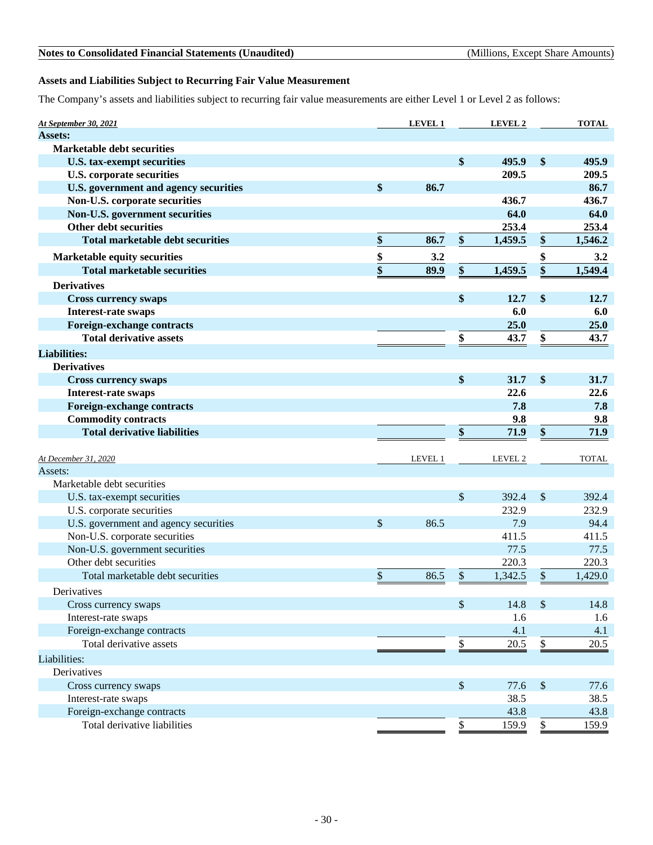### **Assets and Liabilities Subject to Recurring Fair Value Measurement**

The Company's assets and liabilities subject to recurring fair value measurements are either Level 1 or Level 2 as follows:

| At September 30, 2021                   |                 | LEVEL 1 |                           | LEVEL 2 |             | <b>TOTAL</b> |
|-----------------------------------------|-----------------|---------|---------------------------|---------|-------------|--------------|
| <b>Assets:</b>                          |                 |         |                           |         |             |              |
| <b>Marketable debt securities</b>       |                 |         |                           |         |             |              |
| <b>U.S. tax-exempt securities</b>       |                 |         | \$                        | 495.9   | \$          | 495.9        |
| <b>U.S. corporate securities</b>        |                 |         |                           | 209.5   |             | 209.5        |
| U.S. government and agency securities   | \$              | 86.7    |                           |         |             | 86.7         |
| Non-U.S. corporate securities           |                 |         |                           | 436.7   |             | 436.7        |
| Non-U.S. government securities          |                 |         |                           | 64.0    |             | 64.0         |
| Other debt securities                   |                 |         |                           | 253.4   |             | 253.4        |
| <b>Total marketable debt securities</b> | \$              | 86.7    | \$                        | 1,459.5 | \$          | 1,546.2      |
| Marketable equity securities            |                 | 3.2     |                           |         | \$          | 3.2          |
| <b>Total marketable securities</b>      | $\frac{\$}{\$}$ | 89.9    | \$                        | 1,459.5 | \$          | 1,549.4      |
| <b>Derivatives</b>                      |                 |         |                           |         |             |              |
| <b>Cross currency swaps</b>             |                 |         | \$                        | 12.7    | \$          | 12.7         |
| Interest-rate swaps                     |                 |         |                           | 6.0     |             | 6.0          |
| Foreign-exchange contracts              |                 |         |                           | 25.0    |             | 25.0         |
| <b>Total derivative assets</b>          |                 |         | \$                        | 43.7    | \$          | 43.7         |
| <b>Liabilities:</b>                     |                 |         |                           |         |             |              |
| <b>Derivatives</b>                      |                 |         |                           |         |             |              |
| <b>Cross currency swaps</b>             |                 |         | \$                        | 31.7    | \$          | 31.7         |
| Interest-rate swaps                     |                 |         |                           | 22.6    |             | 22.6         |
| Foreign-exchange contracts              |                 |         |                           | 7.8     |             | 7.8          |
| <b>Commodity contracts</b>              |                 |         |                           | 9.8     |             | 9.8          |
| <b>Total derivative liabilities</b>     |                 |         | \$                        | 71.9    | \$          | 71.9         |
|                                         |                 |         |                           |         |             |              |
| At December 31, 2020                    |                 | LEVEL 1 |                           | LEVEL 2 |             | <b>TOTAL</b> |
| Assets:                                 |                 |         |                           |         |             |              |
| Marketable debt securities              |                 |         |                           |         |             |              |
| U.S. tax-exempt securities              |                 |         | $\sqrt$                   | 392.4   | $\sqrt{\ }$ | 392.4        |
| U.S. corporate securities               |                 |         |                           | 232.9   |             | 232.9        |
| U.S. government and agency securities   | \$              | 86.5    |                           | 7.9     |             | 94.4         |
| Non-U.S. corporate securities           |                 |         |                           | 411.5   |             | 411.5        |
| Non-U.S. government securities          |                 |         |                           | 77.5    |             | 77.5         |
| Other debt securities                   |                 |         |                           | 220.3   |             | 220.3        |
| Total marketable debt securities        | \$              | 86.5    | $\boldsymbol{\$}$         | 1,342.5 | $\$$        | 1,429.0      |
| Derivatives                             |                 |         |                           |         |             |              |
| Cross currency swaps                    |                 |         | \$                        | 14.8    | $\sqrt$     | 14.8         |
| Interest-rate swaps                     |                 |         |                           | 1.6     |             | 1.6          |
| Foreign-exchange contracts              |                 |         |                           | 4.1     |             | 4.1          |
| Total derivative assets                 |                 |         | \$                        | 20.5    | \$          | 20.5         |
| Liabilities:                            |                 |         |                           |         |             |              |
| Derivatives                             |                 |         |                           |         |             |              |
| Cross currency swaps                    |                 |         | $\boldsymbol{\mathsf{S}}$ | 77.6    | $\$\,$      | 77.6         |
| Interest-rate swaps                     |                 |         |                           | 38.5    |             | 38.5         |
| Foreign-exchange contracts              |                 |         |                           | 43.8    |             | 43.8         |
| Total derivative liabilities            |                 |         | $\mathsf{\$}$             | 159.9   | $\$\,$      | 159.9        |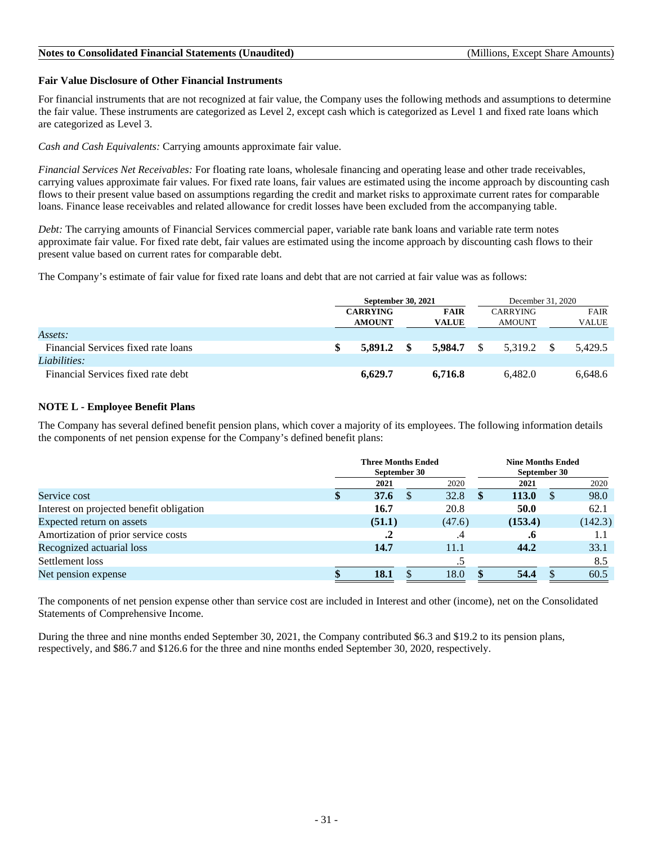### **Fair Value Disclosure of Other Financial Instruments**

For financial instruments that are not recognized at fair value, the Company uses the following methods and assumptions to determine the fair value. These instruments are categorized as Level 2, except cash which is categorized as Level 1 and fixed rate loans which are categorized as Level 3.

*Cash and Cash Equivalents:* Carrying amounts approximate fair value.

*Financial Services Net Receivables:* For floating rate loans, wholesale financing and operating lease and other trade receivables, carrying values approximate fair values. For fixed rate loans, fair values are estimated using the income approach by discounting cash flows to their present value based on assumptions regarding the credit and market risks to approximate current rates for comparable loans. Finance lease receivables and related allowance for credit losses have been excluded from the accompanying table.

*Debt:* The carrying amounts of Financial Services commercial paper, variable rate bank loans and variable rate term notes approximate fair value. For fixed rate debt, fair values are estimated using the income approach by discounting cash flows to their present value based on current rates for comparable debt.

The Company's estimate of fair value for fixed rate loans and debt that are not carried at fair value was as follows:

|                                     | <b>September 30, 2021</b> |         |      |              |  | December 31, 2020 |  |             |  |
|-------------------------------------|---------------------------|---------|------|--------------|--|-------------------|--|-------------|--|
|                                     | <b>CARRYING</b>           |         |      | <b>FAIR</b>  |  | <b>CARRYING</b>   |  | <b>FAIR</b> |  |
|                                     | <b>AMOUNT</b>             |         |      | <b>VALUE</b> |  | <b>AMOUNT</b>     |  | VALUE       |  |
| Assets:                             |                           |         |      |              |  |                   |  |             |  |
| Financial Services fixed rate loans |                           | 5.891.2 | - \$ | 5.984.7      |  | 5.319.2           |  | 5.429.5     |  |
| Liabilities:                        |                           |         |      |              |  |                   |  |             |  |
| Financial Services fixed rate debt  |                           | 6.629.7 |      | 6.716.8      |  | 6.482.0           |  | 6,648.6     |  |

### **NOTE L - Employee Benefit Plans**

The Company has several defined benefit pension plans, which cover a majority of its employees. The following information details the components of net pension expense for the Company's defined benefit plans:

|                                          | <b>Three Months Ended</b><br>September 30 |             |          |           |     | <b>Nine Months Ended</b><br>September 30 |  |         |  |  |
|------------------------------------------|-------------------------------------------|-------------|----------|-----------|-----|------------------------------------------|--|---------|--|--|
|                                          |                                           | 2021        |          | 2020      |     | 2021                                     |  | 2020    |  |  |
| Service cost                             |                                           | 37.6        | <b>S</b> | 32.8      | SS. | <b>113.0</b>                             |  | 98.0    |  |  |
| Interest on projected benefit obligation |                                           | 16.7        |          | 20.8      |     | 50.0                                     |  | 62.1    |  |  |
| Expected return on assets                |                                           | (51.1)      |          | (47.6)    |     | (153.4)                                  |  | (142.3) |  |  |
| Amortization of prior service costs      |                                           | .2          |          | $\cdot^4$ |     | .0                                       |  | 1.1     |  |  |
| Recognized actuarial loss                |                                           | 14.7        |          | 11.1      |     | 44.2                                     |  | 33.1    |  |  |
| Settlement loss                          |                                           |             |          |           |     |                                          |  | 8.5     |  |  |
| Net pension expense                      |                                           | <b>18.1</b> |          | 18.0      |     | 54.4                                     |  | 60.5    |  |  |

The components of net pension expense other than service cost are included in Interest and other (income), net on the Consolidated Statements of Comprehensive Income.

During the three and nine months ended September 30, 2021, the Company contributed \$6.3 and \$19.2 to its pension plans, respectively, and \$86.7 and \$126.6 for the three and nine months ended September 30, 2020, respectively.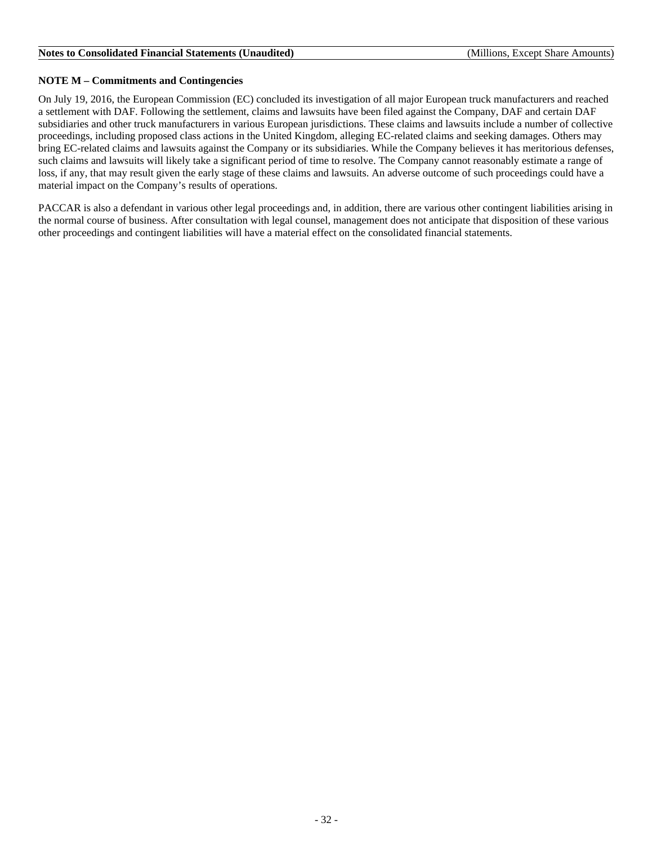### **NOTE M – Commitments and Contingencies**

On July 19, 2016, the European Commission (EC) concluded its investigation of all major European truck manufacturers and reached a settlement with DAF. Following the settlement, claims and lawsuits have been filed against the Company, DAF and certain DAF subsidiaries and other truck manufacturers in various European jurisdictions. These claims and lawsuits include a number of collective proceedings, including proposed class actions in the United Kingdom, alleging EC-related claims and seeking damages. Others may bring EC-related claims and lawsuits against the Company or its subsidiaries. While the Company believes it has meritorious defenses, such claims and lawsuits will likely take a significant period of time to resolve. The Company cannot reasonably estimate a range of loss, if any, that may result given the early stage of these claims and lawsuits. An adverse outcome of such proceedings could have a material impact on the Company's results of operations.

PACCAR is also a defendant in various other legal proceedings and, in addition, there are various other contingent liabilities arising in the normal course of business. After consultation with legal counsel, management does not anticipate that disposition of these various other proceedings and contingent liabilities will have a material effect on the consolidated financial statements.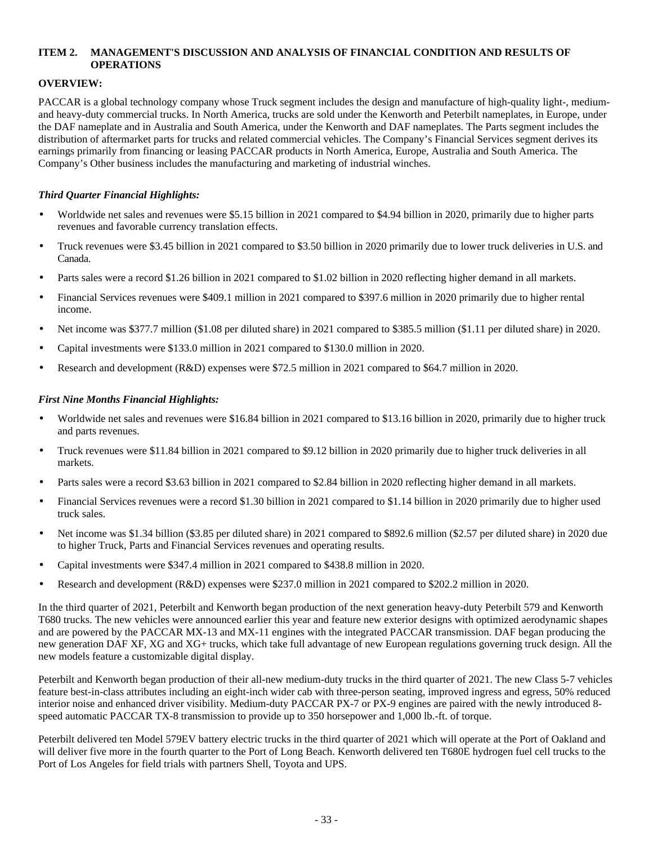### <span id="page-32-0"></span>**ITEM 2. MANAGEMENT'S DISCUSSION AND ANALYSIS OF FINANCIAL CONDITION AND RESULTS OF OPERATIONS**

### **OVERVIEW:**

PACCAR is a global technology company whose Truck segment includes the design and manufacture of high-quality light-, mediumand heavy-duty commercial trucks. In North America, trucks are sold under the Kenworth and Peterbilt nameplates, in Europe, under the DAF nameplate and in Australia and South America, under the Kenworth and DAF nameplates. The Parts segment includes the distribution of aftermarket parts for trucks and related commercial vehicles. The Company's Financial Services segment derives its earnings primarily from financing or leasing PACCAR products in North America, Europe, Australia and South America. The Company's Other business includes the manufacturing and marketing of industrial winches.

### *Third Quarter Financial Highlights:*

- Worldwide net sales and revenues were \$5.15 billion in 2021 compared to \$4.94 billion in 2020, primarily due to higher parts revenues and favorable currency translation effects.
- Truck revenues were \$3.45 billion in 2021 compared to \$3.50 billion in 2020 primarily due to lower truck deliveries in U.S. and Canada.
- Parts sales were a record \$1.26 billion in 2021 compared to \$1.02 billion in 2020 reflecting higher demand in all markets.
- Financial Services revenues were \$409.1 million in 2021 compared to \$397.6 million in 2020 primarily due to higher rental income.
- Net income was \$377.7 million (\$1.08 per diluted share) in 2021 compared to \$385.5 million (\$1.11 per diluted share) in 2020.
- Capital investments were \$133.0 million in 2021 compared to \$130.0 million in 2020.
- Research and development (R&D) expenses were \$72.5 million in 2021 compared to \$64.7 million in 2020.

### *First Nine Months Financial Highlights:*

- Worldwide net sales and revenues were \$16.84 billion in 2021 compared to \$13.16 billion in 2020, primarily due to higher truck and parts revenues.
- Truck revenues were \$11.84 billion in 2021 compared to \$9.12 billion in 2020 primarily due to higher truck deliveries in all markets.
- Parts sales were a record \$3.63 billion in 2021 compared to \$2.84 billion in 2020 reflecting higher demand in all markets.
- Financial Services revenues were a record \$1.30 billion in 2021 compared to \$1.14 billion in 2020 primarily due to higher used truck sales.
- Net income was \$1.34 billion (\$3.85 per diluted share) in 2021 compared to \$892.6 million (\$2.57 per diluted share) in 2020 due to higher Truck, Parts and Financial Services revenues and operating results.
- Capital investments were \$347.4 million in 2021 compared to \$438.8 million in 2020.
- Research and development (R&D) expenses were \$237.0 million in 2021 compared to \$202.2 million in 2020.

In the third quarter of 2021, Peterbilt and Kenworth began production of the next generation heavy-duty Peterbilt 579 and Kenworth T680 trucks. The new vehicles were announced earlier this year and feature new exterior designs with optimized aerodynamic shapes and are powered by the PACCAR MX-13 and MX-11 engines with the integrated PACCAR transmission. DAF began producing the new generation DAF XF, XG and XG+ trucks, which take full advantage of new European regulations governing truck design. All the new models feature a customizable digital display.

Peterbilt and Kenworth began production of their all-new medium-duty trucks in the third quarter of 2021. The new Class 5-7 vehicles feature best-in-class attributes including an eight-inch wider cab with three-person seating, improved ingress and egress, 50% reduced interior noise and enhanced driver visibility. Medium-duty PACCAR PX-7 or PX-9 engines are paired with the newly introduced 8 speed automatic PACCAR TX-8 transmission to provide up to 350 horsepower and 1,000 lb.-ft. of torque.

Peterbilt delivered ten Model 579EV battery electric trucks in the third quarter of 2021 which will operate at the Port of Oakland and will deliver five more in the fourth quarter to the Port of Long Beach. Kenworth delivered ten T680E hydrogen fuel cell trucks to the Port of Los Angeles for field trials with partners Shell, Toyota and UPS.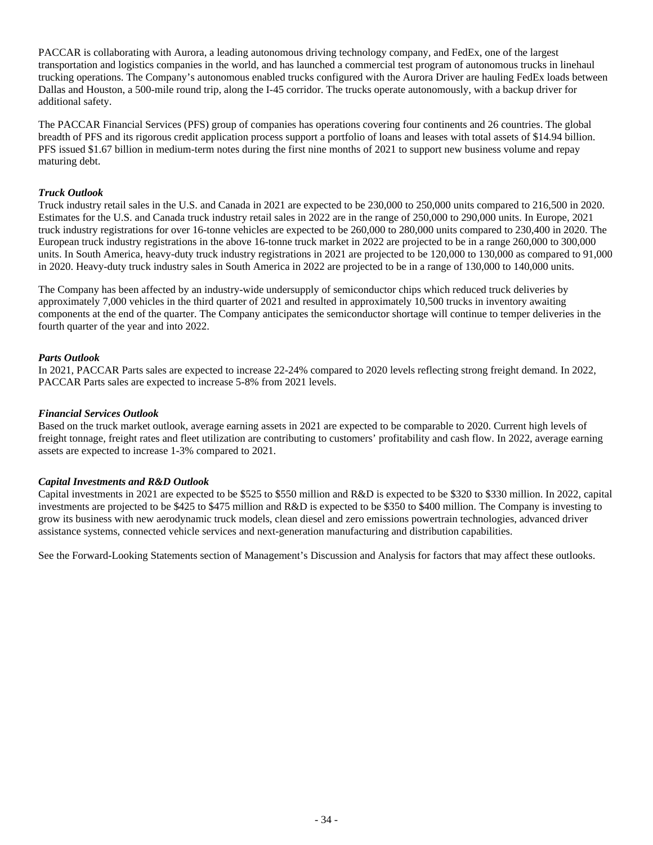PACCAR is collaborating with Aurora, a leading autonomous driving technology company, and FedEx, one of the largest transportation and logistics companies in the world, and has launched a commercial test program of autonomous trucks in linehaul trucking operations. The Company's autonomous enabled trucks configured with the Aurora Driver are hauling FedEx loads between Dallas and Houston, a 500-mile round trip, along the I-45 corridor. The trucks operate autonomously, with a backup driver for additional safety.

The PACCAR Financial Services (PFS) group of companies has operations covering four continents and 26 countries. The global breadth of PFS and its rigorous credit application process support a portfolio of loans and leases with total assets of \$14.94 billion. PFS issued \$1.67 billion in medium-term notes during the first nine months of 2021 to support new business volume and repay maturing debt.

### *Truck Outlook*

Truck industry retail sales in the U.S. and Canada in 2021 are expected to be 230,000 to 250,000 units compared to 216,500 in 2020. Estimates for the U.S. and Canada truck industry retail sales in 2022 are in the range of 250,000 to 290,000 units. In Europe, 2021 truck industry registrations for over 16-tonne vehicles are expected to be 260,000 to 280,000 units compared to 230,400 in 2020. The European truck industry registrations in the above 16-tonne truck market in 2022 are projected to be in a range 260,000 to 300,000 units. In South America, heavy-duty truck industry registrations in 2021 are projected to be 120,000 to 130,000 as compared to 91,000 in 2020. Heavy-duty truck industry sales in South America in 2022 are projected to be in a range of 130,000 to 140,000 units.

The Company has been affected by an industry-wide undersupply of semiconductor chips which reduced truck deliveries by approximately 7,000 vehicles in the third quarter of 2021 and resulted in approximately 10,500 trucks in inventory awaiting components at the end of the quarter. The Company anticipates the semiconductor shortage will continue to temper deliveries in the fourth quarter of the year and into 2022.

### *Parts Outlook*

In 2021, PACCAR Parts sales are expected to increase 22-24% compared to 2020 levels reflecting strong freight demand. In 2022, PACCAR Parts sales are expected to increase 5-8% from 2021 levels.

### *Financial Services Outlook*

Based on the truck market outlook, average earning assets in 2021 are expected to be comparable to 2020. Current high levels of freight tonnage, freight rates and fleet utilization are contributing to customers' profitability and cash flow. In 2022, average earning assets are expected to increase 1-3% compared to 2021.

### *Capital Investments and R&D Outlook*

Capital investments in 2021 are expected to be \$525 to \$550 million and R&D is expected to be \$320 to \$330 million. In 2022, capital investments are projected to be \$425 to \$475 million and R&D is expected to be \$350 to \$400 million. The Company is investing to grow its business with new aerodynamic truck models, clean diesel and zero emissions powertrain technologies, advanced driver assistance systems, connected vehicle services and next-generation manufacturing and distribution capabilities.

See the Forward-Looking Statements section of Management's Discussion and Analysis for factors that may affect these outlooks.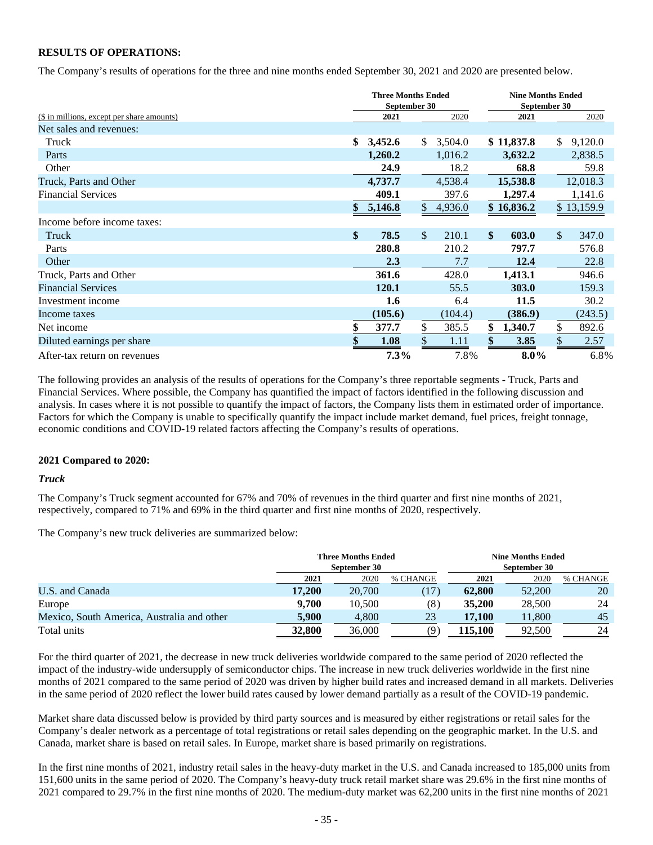### **RESULTS OF OPERATIONS:**

The Company's results of operations for the three and nine months ended September 30, 2021 and 2020 are presented below.

|                                            | <b>Three Months Ended</b> |              |         | <b>Nine Months Ended</b> |              |               |            |  |
|--------------------------------------------|---------------------------|--------------|---------|--------------------------|--------------|---------------|------------|--|
|                                            | September 30              |              |         |                          | September 30 |               |            |  |
| (\$ in millions, except per share amounts) | 2021                      |              | 2020    |                          | 2021         |               | 2020       |  |
| Net sales and revenues:                    |                           |              |         |                          |              |               |            |  |
| Truck                                      | \$<br>3,452.6             | \$           | 3,504.0 |                          | \$11,837.8   | \$            | 9,120.0    |  |
| Parts                                      | 1,260.2                   |              | 1,016.2 |                          | 3,632.2      |               | 2,838.5    |  |
| Other                                      | 24.9                      |              | 18.2    |                          | 68.8         |               | 59.8       |  |
| Truck, Parts and Other                     | 4,737.7                   |              | 4,538.4 |                          | 15,538.8     |               | 12,018.3   |  |
| <b>Financial Services</b>                  | 409.1                     |              | 397.6   |                          | 1,297.4      |               | 1,141.6    |  |
|                                            | \$<br>5,146.8             | $\mathbb{S}$ | 4,936.0 |                          | \$16,836.2   |               | \$13,159.9 |  |
| Income before income taxes:                |                           |              |         |                          |              |               |            |  |
| Truck                                      | \$<br>78.5                | $\mathbb{S}$ | 210.1   | $\mathbf{\$}$            | 603.0        | $\mathcal{S}$ | 347.0      |  |
| Parts                                      | 280.8                     |              | 210.2   |                          | 797.7        |               | 576.8      |  |
| Other                                      | 2.3                       |              | 7.7     |                          | 12.4         |               | 22.8       |  |
| Truck, Parts and Other                     | 361.6                     |              | 428.0   |                          | 1,413.1      |               | 946.6      |  |
| <b>Financial Services</b>                  | 120.1                     |              | 55.5    |                          | 303.0        |               | 159.3      |  |
| Investment income                          | 1.6                       |              | 6.4     |                          | 11.5         |               | 30.2       |  |
| Income taxes                               | (105.6)                   |              | (104.4) |                          | (386.9)      |               | (243.5)    |  |
| Net income                                 | \$<br>377.7               | \$           | 385.5   | \$                       | 1,340.7      | \$            | 892.6      |  |
| Diluted earnings per share                 | 1.08                      |              | 1.11    |                          | 3.85         |               | 2.57       |  |
| After-tax return on revenues               | 7.3%                      |              | 7.8%    |                          | $8.0\%$      |               | 6.8%       |  |

The following provides an analysis of the results of operations for the Company's three reportable segments - Truck, Parts and Financial Services. Where possible, the Company has quantified the impact of factors identified in the following discussion and analysis. In cases where it is not possible to quantify the impact of factors, the Company lists them in estimated order of importance. Factors for which the Company is unable to specifically quantify the impact include market demand, fuel prices, freight tonnage, economic conditions and COVID-19 related factors affecting the Company's results of operations.

### **2021 Compared to 2020:**

#### *Truck*

The Company's Truck segment accounted for 67% and 70% of revenues in the third quarter and first nine months of 2021, respectively, compared to 71% and 69% in the third quarter and first nine months of 2020, respectively.

The Company's new truck deliveries are summarized below:

|                                            | <b>Three Months Ended</b><br>September 30 |        |          | <b>Nine Months Ended</b><br>September 30 |        |          |  |  |  |
|--------------------------------------------|-------------------------------------------|--------|----------|------------------------------------------|--------|----------|--|--|--|
|                                            | 2021                                      | 2020   | % CHANGE | 2021                                     | 2020   | % CHANGE |  |  |  |
| U.S. and Canada                            | 17.200                                    | 20,700 |          | 62,800                                   | 52,200 | 20       |  |  |  |
| Europe                                     | 9.700                                     | 10.500 | (8)      | 35,200                                   | 28,500 | 24       |  |  |  |
| Mexico, South America, Australia and other | 5,900                                     | 4,800  | 23       | 17,100                                   | 11,800 | 45       |  |  |  |
| Total units                                | 32,800                                    | 36,000 |          | 115,100                                  | 92,500 | 24       |  |  |  |

For the third quarter of 2021, the decrease in new truck deliveries worldwide compared to the same period of 2020 reflected the impact of the industry-wide undersupply of semiconductor chips. The increase in new truck deliveries worldwide in the first nine months of 2021 compared to the same period of 2020 was driven by higher build rates and increased demand in all markets. Deliveries in the same period of 2020 reflect the lower build rates caused by lower demand partially as a result of the COVID-19 pandemic.

Market share data discussed below is provided by third party sources and is measured by either registrations or retail sales for the Company's dealer network as a percentage of total registrations or retail sales depending on the geographic market. In the U.S. and Canada, market share is based on retail sales. In Europe, market share is based primarily on registrations.

In the first nine months of 2021, industry retail sales in the heavy-duty market in the U.S. and Canada increased to 185,000 units from 151,600 units in the same period of 2020. The Company's heavy-duty truck retail market share was 29.6% in the first nine months of 2021 compared to 29.7% in the first nine months of 2020. The medium-duty market was 62,200 units in the first nine months of 2021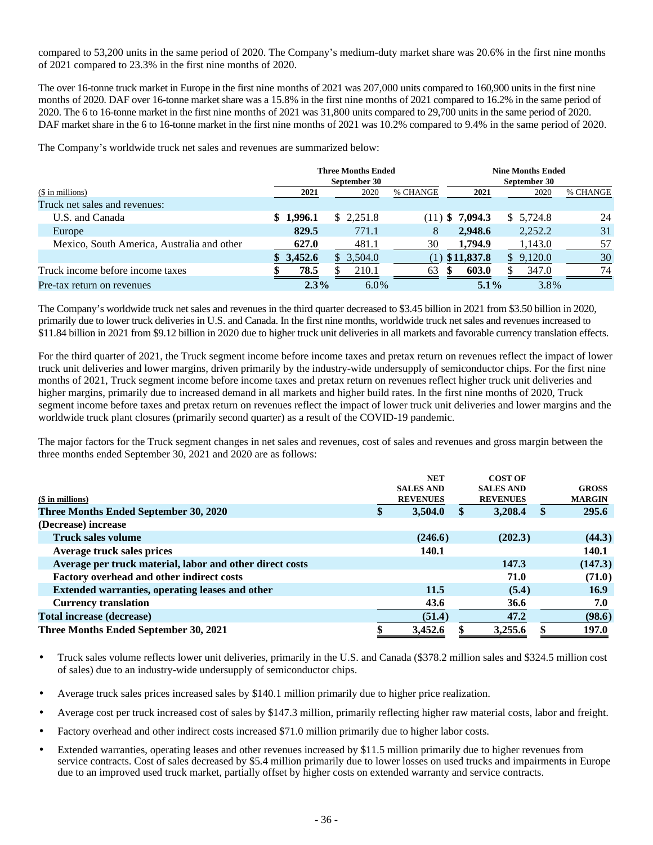compared to 53,200 units in the same period of 2020. The Company's medium-duty market share was 20.6% in the first nine months of 2021 compared to 23.3% in the first nine months of 2020.

The over 16-tonne truck market in Europe in the first nine months of 2021 was 207,000 units compared to 160,900 units in the first nine months of 2020. DAF over 16-tonne market share was a 15.8% in the first nine months of 2021 compared to 16.2% in the same period of 2020. The 6 to 16-tonne market in the first nine months of 2021 was 31,800 units compared to 29,700 units in the same period of 2020. DAF market share in the 6 to 16-tonne market in the first nine months of 2021 was 10.2% compared to 9.4% in the same period of 2020.

The Company's worldwide truck net sales and revenues are summarized below:

|                                            |           | <b>Three Months Ended</b><br>September 30 |          |                   | <b>Nine Months Ended</b> |          |
|--------------------------------------------|-----------|-------------------------------------------|----------|-------------------|--------------------------|----------|
| (\$ in millions)                           | 2021      | 2020                                      | % CHANGE | 2021              | 2020                     | % CHANGE |
| Truck net sales and revenues:              |           |                                           |          |                   |                          |          |
| U.S. and Canada                            | \$1,996.1 | \$2.251.8                                 |          | $(11)$ \$ 7,094.3 | \$5,724.8                | 24       |
| Europe                                     | 829.5     | 771.1                                     | 8        | 2,948.6           | 2,252.2                  | 31       |
| Mexico, South America, Australia and other | 627.0     | 481.1                                     | 30       | 1,794.9           | 1,143.0                  | 57       |
|                                            | \$3,452.6 | \$3,504.0                                 | (1)      | \$11,837.8        | \$9,120.0                | 30       |
| Truck income before income taxes           | 78.5      | 210.1                                     | 63       | 603.0<br>-SS      | 347.0                    | 74       |
| Pre-tax return on revenues                 | $2.3\%$   | $6.0\%$                                   |          | $5.1\%$           | 3.8%                     |          |

The Company's worldwide truck net sales and revenues in the third quarter decreased to \$3.45 billion in 2021 from \$3.50 billion in 2020, primarily due to lower truck deliveries in U.S. and Canada. In the first nine months, worldwide truck net sales and revenues increased to \$11.84 billion in 2021 from \$9.12 billion in 2020 due to higher truck unit deliveries in all markets and favorable currency translation effects.

For the third quarter of 2021, the Truck segment income before income taxes and pretax return on revenues reflect the impact of lower truck unit deliveries and lower margins, driven primarily by the industry-wide undersupply of semiconductor chips. For the first nine months of 2021, Truck segment income before income taxes and pretax return on revenues reflect higher truck unit deliveries and higher margins, primarily due to increased demand in all markets and higher build rates. In the first nine months of 2020, Truck segment income before taxes and pretax return on revenues reflect the impact of lower truck unit deliveries and lower margins and the worldwide truck plant closures (primarily second quarter) as a result of the COVID-19 pandemic.

The major factors for the Truck segment changes in net sales and revenues, cost of sales and revenues and gross margin between the three months ended September 30, 2021 and 2020 are as follows:

| $($$ in millions)<br>Three Months Ended September 30, 2020<br>(Decrease) increase | \$<br><b>NET</b><br><b>SALES AND</b><br><b>REVENUES</b><br><b>3,504.0</b> | <b>COST OF</b><br><b>SALES AND</b><br><b>REVENUES</b><br>3,208.4 | \$. | <b>GROSS</b><br><b>MARGIN</b><br>295.6 |
|-----------------------------------------------------------------------------------|---------------------------------------------------------------------------|------------------------------------------------------------------|-----|----------------------------------------|
| <b>Truck sales volume</b>                                                         | (246.6)                                                                   | (202.3)                                                          |     | (44.3)                                 |
| Average truck sales prices                                                        | 140.1                                                                     |                                                                  |     | 140.1                                  |
| Average per truck material, labor and other direct costs                          |                                                                           | 147.3                                                            |     | (147.3)                                |
| Factory overhead and other indirect costs                                         |                                                                           | 71.0                                                             |     | (71.0)                                 |
| Extended warranties, operating leases and other                                   | 11.5                                                                      | (5.4)                                                            |     | <b>16.9</b>                            |
| <b>Currency translation</b>                                                       | 43.6                                                                      | 36.6                                                             |     | 7.0                                    |
| <b>Total increase (decrease)</b>                                                  | (51.4)                                                                    | 47.2                                                             |     | (98.6)                                 |
| Three Months Ended September 30, 2021                                             | \$<br>3.452.6                                                             | 3,255.6                                                          |     | 197.0                                  |

- Truck sales volume reflects lower unit deliveries, primarily in the U.S. and Canada (\$378.2 million sales and \$324.5 million cost of sales) due to an industry-wide undersupply of semiconductor chips.
- Average truck sales prices increased sales by \$140.1 million primarily due to higher price realization.
- Average cost per truck increased cost of sales by \$147.3 million, primarily reflecting higher raw material costs, labor and freight.
- Factory overhead and other indirect costs increased \$71.0 million primarily due to higher labor costs.
- Extended warranties, operating leases and other revenues increased by \$11.5 million primarily due to higher revenues from service contracts. Cost of sales decreased by \$5.4 million primarily due to lower losses on used trucks and impairments in Europe due to an improved used truck market, partially offset by higher costs on extended warranty and service contracts.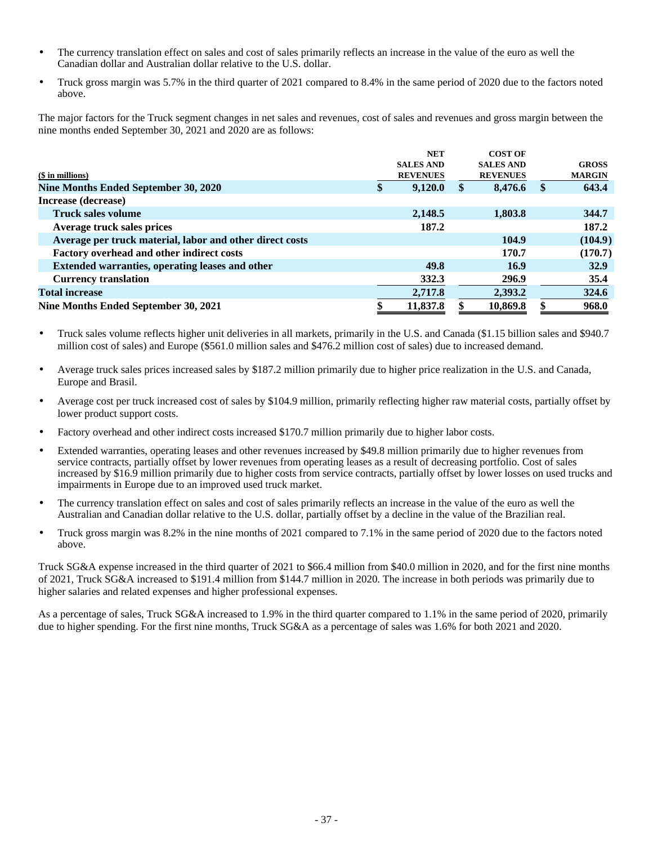- The currency translation effect on sales and cost of sales primarily reflects an increase in the value of the euro as well the Canadian dollar and Australian dollar relative to the U.S. dollar.
- Truck gross margin was 5.7% in the third quarter of 2021 compared to 8.4% in the same period of 2020 due to the factors noted above.

The major factors for the Truck segment changes in net sales and revenues, cost of sales and revenues and gross margin between the nine months ended September 30, 2021 and 2020 are as follows:

|                                                          | <b>NET</b>       | <b>COST OF</b>   |     |               |
|----------------------------------------------------------|------------------|------------------|-----|---------------|
|                                                          | <b>SALES AND</b> | <b>SALES AND</b> |     | <b>GROSS</b>  |
| (\$ in millions)                                         | <b>REVENUES</b>  | <b>REVENUES</b>  |     | <b>MARGIN</b> |
| Nine Months Ended September 30, 2020                     | \$<br>9,120.0    | 8,476.6          | \$. | 643.4         |
| Increase (decrease)                                      |                  |                  |     |               |
| <b>Truck sales volume</b>                                | 2,148.5          | 1,803.8          |     | 344.7         |
| Average truck sales prices                               | 187.2            |                  |     | 187.2         |
| Average per truck material, labor and other direct costs |                  | 104.9            |     | (104.9)       |
| Factory overhead and other indirect costs                |                  | 170.7            |     | (170.7)       |
| <b>Extended warranties, operating leases and other</b>   | 49.8             | 16.9             |     | <b>32.9</b>   |
| <b>Currency translation</b>                              | 332.3            | 296.9            |     | 35.4          |
| <b>Total increase</b>                                    | 2,717.8          | 2,393.2          |     | 324.6         |
| Nine Months Ended September 30, 2021                     | 11,837.8         | 10,869.8         |     | 968.0         |
|                                                          |                  |                  |     |               |

- Truck sales volume reflects higher unit deliveries in all markets, primarily in the U.S. and Canada (\$1.15 billion sales and \$940.7 million cost of sales) and Europe (\$561.0 million sales and \$476.2 million cost of sales) due to increased demand.
- Average truck sales prices increased sales by \$187.2 million primarily due to higher price realization in the U.S. and Canada, Europe and Brasil.
- Average cost per truck increased cost of sales by \$104.9 million, primarily reflecting higher raw material costs, partially offset by lower product support costs.
- Factory overhead and other indirect costs increased \$170.7 million primarily due to higher labor costs.
- Extended warranties, operating leases and other revenues increased by \$49.8 million primarily due to higher revenues from service contracts, partially offset by lower revenues from operating leases as a result of decreasing portfolio. Cost of sales increased by \$16.9 million primarily due to higher costs from service contracts, partially offset by lower losses on used trucks and impairments in Europe due to an improved used truck market.
- The currency translation effect on sales and cost of sales primarily reflects an increase in the value of the euro as well the Australian and Canadian dollar relative to the U.S. dollar, partially offset by a decline in the value of the Brazilian real.
- Truck gross margin was 8.2% in the nine months of 2021 compared to 7.1% in the same period of 2020 due to the factors noted above.

Truck SG&A expense increased in the third quarter of 2021 to \$66.4 million from \$40.0 million in 2020, and for the first nine months of 2021, Truck SG&A increased to \$191.4 million from \$144.7 million in 2020. The increase in both periods was primarily due to higher salaries and related expenses and higher professional expenses.

As a percentage of sales, Truck SG&A increased to 1.9% in the third quarter compared to 1.1% in the same period of 2020, primarily due to higher spending. For the first nine months, Truck SG&A as a percentage of sales was 1.6% for both 2021 and 2020.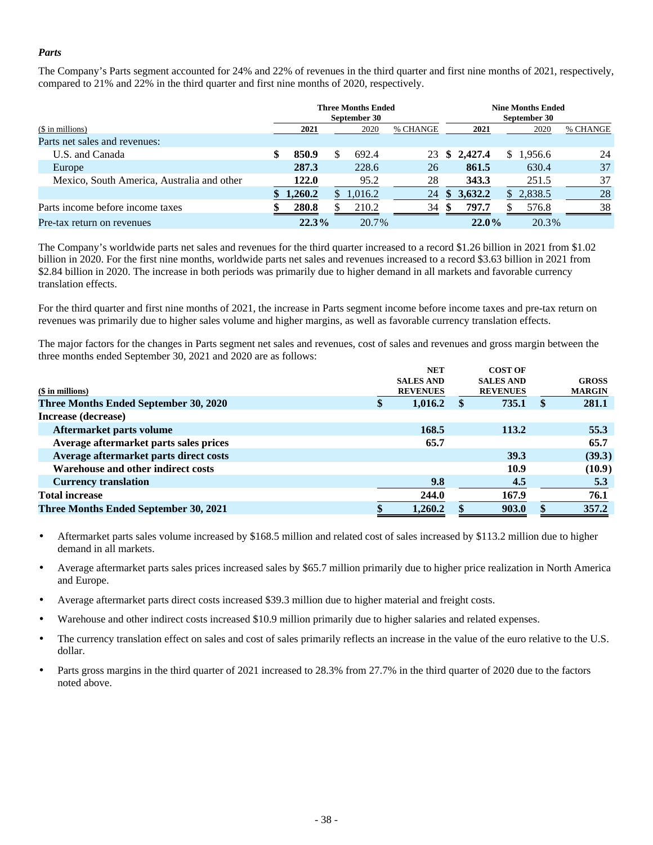### *Parts*

The Company's Parts segment accounted for 24% and 22% of revenues in the third quarter and first nine months of 2021, respectively, compared to 21% and 22% in the third quarter and first nine months of 2020, respectively.

|                                            |             | <b>Three Months Ended</b><br>September 30 |          |     |           | <b>Nine Months Ended</b><br>September 30 |          |
|--------------------------------------------|-------------|-------------------------------------------|----------|-----|-----------|------------------------------------------|----------|
| (\$ in millions)                           | 2021        | 2020                                      | % CHANGE |     | 2021      | 2020                                     | % CHANGE |
| Parts net sales and revenues:              |             |                                           |          |     |           |                                          |          |
| U.S. and Canada                            | \$<br>850.9 | 692.4                                     | 23       |     | \$2,427.4 | \$1,956.6                                | 24       |
| Europe                                     | 287.3       | 228.6                                     | 26       |     | 861.5     | 630.4                                    | 37       |
| Mexico, South America, Australia and other | 122.0       | 95.2                                      | 28       |     | 343.3     | 251.5                                    | 37       |
|                                            | 1,260.2     | 1.016.2                                   | 24       | \$. | 3.632.2   | 2,838.5<br>S.                            | 28       |
| Parts income before income taxes           | 280.8       | 210.2                                     | 34       | \$. | 797.7     | 576.8                                    | 38       |
| Pre-tax return on revenues                 | 22.3%       | 20.7%                                     |          |     | $22.0\%$  | 20.3%                                    |          |

The Company's worldwide parts net sales and revenues for the third quarter increased to a record \$1.26 billion in 2021 from \$1.02 billion in 2020. For the first nine months, worldwide parts net sales and revenues increased to a record \$3.63 billion in 2021 from \$2.84 billion in 2020. The increase in both periods was primarily due to higher demand in all markets and favorable currency translation effects.

For the third quarter and first nine months of 2021, the increase in Parts segment income before income taxes and pre-tax return on revenues was primarily due to higher sales volume and higher margins, as well as favorable currency translation effects.

The major factors for the changes in Parts segment net sales and revenues, cost of sales and revenues and gross margin between the three months ended September 30, 2021 and 2020 are as follows:

|                                        | <b>NET</b>       | <b>COST OF</b>   |     |               |
|----------------------------------------|------------------|------------------|-----|---------------|
|                                        | <b>SALES AND</b> | <b>SALES AND</b> |     | <b>GROSS</b>  |
| $$$ in millions)                       | <b>REVENUES</b>  | <b>REVENUES</b>  |     | <b>MARGIN</b> |
| Three Months Ended September 30, 2020  | \$<br>1,016.2    | 735.1            | \$. | 281.1         |
| Increase (decrease)                    |                  |                  |     |               |
| Aftermarket parts volume               | 168.5            | 113.2            |     | 55.3          |
| Average aftermarket parts sales prices | 65.7             |                  |     | 65.7          |
| Average aftermarket parts direct costs |                  | 39.3             |     | (39.3)        |
| Warehouse and other indirect costs     |                  | 10.9             |     | (10.9)        |
| <b>Currency translation</b>            | 9.8              | 4.5              |     | 5.3           |
| <b>Total increase</b>                  | 244.0            | 167.9            |     | 76.1          |
| Three Months Ended September 30, 2021  | 1,260.2          | 903.0            |     | 357.2         |
|                                        |                  |                  |     |               |

- Aftermarket parts sales volume increased by \$168.5 million and related cost of sales increased by \$113.2 million due to higher demand in all markets.
- Average aftermarket parts sales prices increased sales by \$65.7 million primarily due to higher price realization in North America and Europe.
- Average aftermarket parts direct costs increased \$39.3 million due to higher material and freight costs.
- Warehouse and other indirect costs increased \$10.9 million primarily due to higher salaries and related expenses.
- The currency translation effect on sales and cost of sales primarily reflects an increase in the value of the euro relative to the U.S. dollar.
- Parts gross margins in the third quarter of 2021 increased to 28.3% from 27.7% in the third quarter of 2020 due to the factors noted above.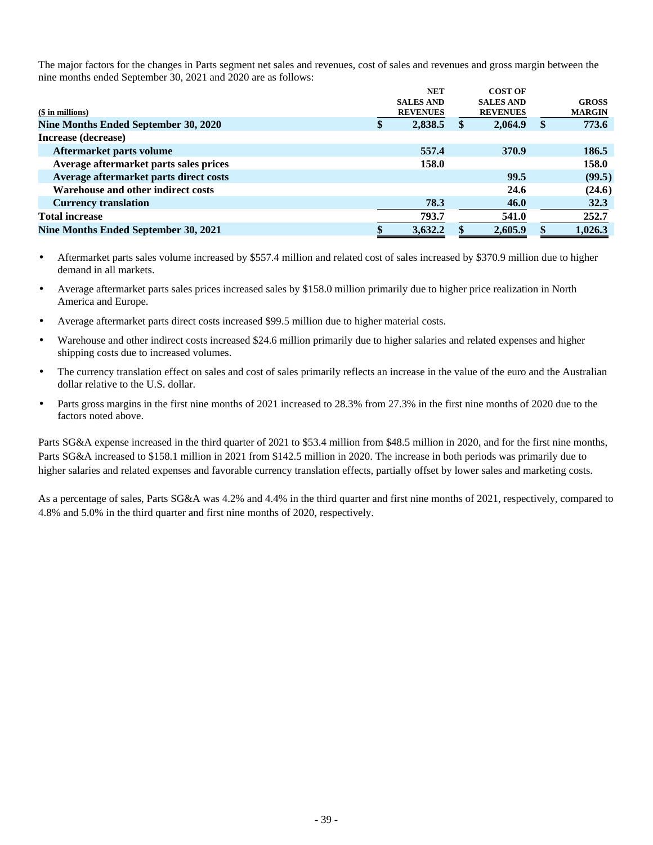The major factors for the changes in Parts segment net sales and revenues, cost of sales and revenues and gross margin between the nine months ended September 30, 2021 and 2020 are as follows:

|                                        | <b>NET</b>       | <b>COST OF</b>   |               |
|----------------------------------------|------------------|------------------|---------------|
|                                        | <b>SALES AND</b> | <b>SALES AND</b> | <b>GROSS</b>  |
| $($$ in millions)                      | <b>REVENUES</b>  | <b>REVENUES</b>  | <b>MARGIN</b> |
| Nine Months Ended September 30, 2020   | \$<br>2,838.5    | 2,064.9          | \$<br>773.6   |
| Increase (decrease)                    |                  |                  |               |
| Aftermarket parts volume               | 557.4            | 370.9            | 186.5         |
| Average aftermarket parts sales prices | 158.0            |                  | 158.0         |
| Average aftermarket parts direct costs |                  | 99.5             | (99.5)        |
| Warehouse and other indirect costs     |                  | 24.6             | (24.6)        |
| <b>Currency translation</b>            | 78.3             | 46.0             | 32.3          |
| <b>Total increase</b>                  | 793.7            | 541.0            | 252.7         |
| Nine Months Ended September 30, 2021   | 3,632.2          | 2,605.9          | 1,026.3       |
|                                        |                  |                  |               |

- Aftermarket parts sales volume increased by \$557.4 million and related cost of sales increased by \$370.9 million due to higher demand in all markets.
- Average aftermarket parts sales prices increased sales by \$158.0 million primarily due to higher price realization in North America and Europe.
- Average aftermarket parts direct costs increased \$99.5 million due to higher material costs.
- Warehouse and other indirect costs increased \$24.6 million primarily due to higher salaries and related expenses and higher shipping costs due to increased volumes.
- The currency translation effect on sales and cost of sales primarily reflects an increase in the value of the euro and the Australian dollar relative to the U.S. dollar.
- Parts gross margins in the first nine months of 2021 increased to 28.3% from 27.3% in the first nine months of 2020 due to the factors noted above.

Parts SG&A expense increased in the third quarter of 2021 to \$53.4 million from \$48.5 million in 2020, and for the first nine months, Parts SG&A increased to \$158.1 million in 2021 from \$142.5 million in 2020. The increase in both periods was primarily due to higher salaries and related expenses and favorable currency translation effects, partially offset by lower sales and marketing costs.

As a percentage of sales, Parts SG&A was 4.2% and 4.4% in the third quarter and first nine months of 2021, respectively, compared to 4.8% and 5.0% in the third quarter and first nine months of 2020, respectively.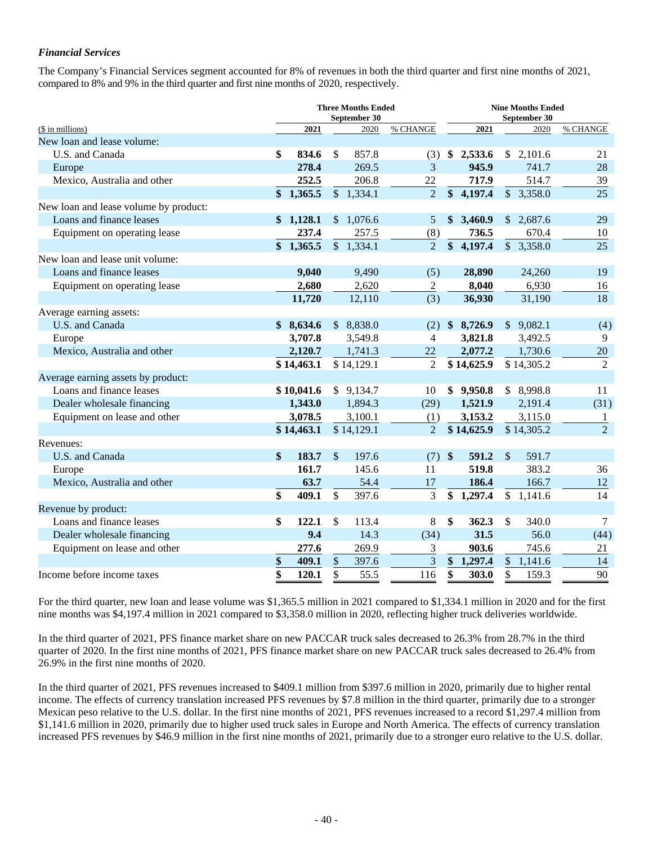### *Financial Services*

The Company's Financial Services segment accounted for 8% of revenues in both the third quarter and first nine months of 2021, compared to 8% and 9% in the third quarter and first nine months of 2020, respectively.

|                                       | <b>Three Months Ended</b><br>September 30 |            |                           |            |                  |                   | <b>Nine Months Ended</b><br>September 30 |                       |                |  |  |
|---------------------------------------|-------------------------------------------|------------|---------------------------|------------|------------------|-------------------|------------------------------------------|-----------------------|----------------|--|--|
| (\$ in millions)                      |                                           | 2021       |                           | 2020       | % CHANGE         |                   | 2021                                     | 2020                  | % CHANGE       |  |  |
| New loan and lease volume:            |                                           |            |                           |            |                  |                   |                                          |                       |                |  |  |
| U.S. and Canada                       | \$                                        | 834.6      | \$                        | 857.8      | (3)              |                   | \$2,533.6                                | \$2,101.6             | 21             |  |  |
| Europe                                |                                           | 278.4      |                           | 269.5      | 3                |                   | 945.9                                    | 741.7                 | 28             |  |  |
| Mexico, Australia and other           |                                           | 252.5      |                           | 206.8      | 22               |                   | 717.9                                    | 514.7                 | 39             |  |  |
|                                       |                                           | \$1,365.5  |                           | \$1,334.1  | $\overline{2}$   |                   | \$4,197.4                                | \$3,358.0             | 25             |  |  |
| New loan and lease volume by product: |                                           |            |                           |            |                  |                   |                                          |                       |                |  |  |
| Loans and finance leases              |                                           | \$1,128.1  |                           | \$1,076.6  | 5                | \$                | 3,460.9                                  | \$2,687.6             | 29             |  |  |
| Equipment on operating lease          |                                           | 237.4      |                           | 257.5      | (8)              |                   | 736.5                                    | 670.4                 | 10             |  |  |
|                                       | $\mathbf{\$}$                             | 1,365.5    |                           | \$1,334.1  | $\overline{2}$   | $\boldsymbol{\$}$ | 4,197.4                                  | \$3,358.0             | 25             |  |  |
| New loan and lease unit volume:       |                                           |            |                           |            |                  |                   |                                          |                       |                |  |  |
| Loans and finance leases              |                                           | 9,040      |                           | 9,490      | (5)              |                   | 28,890                                   | 24,260                | 19             |  |  |
| Equipment on operating lease          |                                           | 2,680      |                           | 2,620      | $\boldsymbol{2}$ |                   | 8,040                                    | 6,930                 | 16             |  |  |
|                                       |                                           | 11,720     |                           | 12,110     | (3)              |                   | 36,930                                   | 31,190                | 18             |  |  |
| Average earning assets:               |                                           |            |                           |            |                  |                   |                                          |                       |                |  |  |
| U.S. and Canada                       |                                           | \$8,634.6  |                           | \$8,838.0  | (2)              |                   | \$8,726.9                                | \$9,082.1             | (4)            |  |  |
| Europe                                |                                           | 3,707.8    |                           | 3,549.8    | $\overline{4}$   |                   | 3,821.8                                  | 3,492.5               | 9              |  |  |
| Mexico, Australia and other           |                                           | 2,120.7    |                           | 1,741.3    | 22               |                   | 2,077.2                                  | 1,730.6               | $20\,$         |  |  |
|                                       |                                           | \$14,463.1 |                           | \$14,129.1 | $\overline{2}$   |                   | \$14,625.9                               | \$14,305.2            | $\overline{2}$ |  |  |
| Average earning assets by product:    |                                           |            |                           |            |                  |                   |                                          |                       |                |  |  |
| Loans and finance leases              |                                           | \$10,041.6 |                           | \$9,134.7  | 10               |                   | \$9,950.8                                | \$8,998.8             | 11             |  |  |
| Dealer wholesale financing            |                                           | 1,343.0    |                           | 1,894.3    | (29)             |                   | 1,521.9                                  | 2,191.4               | (31)           |  |  |
| Equipment on lease and other          |                                           | 3,078.5    |                           | 3,100.1    | (1)              |                   | 3,153.2                                  | 3,115.0               | 1              |  |  |
|                                       |                                           | \$14,463.1 |                           | \$14,129.1 | $\overline{2}$   |                   | \$14,625.9                               | \$14,305.2            | $\overline{2}$ |  |  |
| Revenues:                             |                                           |            |                           |            |                  |                   |                                          |                       |                |  |  |
| U.S. and Canada                       | \$                                        | 183.7      | $\mathbb{S}$              | 197.6      | (7)              | $\frac{1}{2}$     | 591.2                                    | $\mathbb{S}$<br>591.7 |                |  |  |
| Europe                                |                                           | 161.7      |                           | 145.6      | 11               |                   | 519.8                                    | 383.2                 | 36             |  |  |
| Mexico, Australia and other           |                                           | 63.7       |                           | 54.4       | 17               |                   | 186.4                                    | 166.7                 | 12             |  |  |
|                                       | \$                                        | 409.1      | $\boldsymbol{\mathsf{S}}$ | 397.6      | 3                |                   | \$1,297.4                                | \$1,141.6             | 14             |  |  |
| Revenue by product:                   |                                           |            |                           |            |                  |                   |                                          |                       |                |  |  |
| Loans and finance leases              | \$                                        | 122.1      | \$                        | 113.4      | 8                | \$                | 362.3                                    | 340.0<br>\$           | $\tau$         |  |  |
| Dealer wholesale financing            |                                           | 9.4        |                           | 14.3       | (34)             |                   | 31.5                                     | 56.0                  | (44)           |  |  |
| Equipment on lease and other          |                                           | 277.6      |                           | 269.9      | 3                |                   | 903.6                                    | 745.6                 | 21             |  |  |
|                                       | \$                                        | 409.1      | $\mathcal{S}$             | 397.6      | $\overline{3}$   | \$                | 1,297.4                                  | \$1,141.6             | 14             |  |  |
| Income before income taxes            | \$                                        | 120.1      | \$                        | 55.5       | 116              | \$                | 303.0                                    | \$<br>159.3           | 90             |  |  |

For the third quarter, new loan and lease volume was \$1,365.5 million in 2021 compared to \$1,334.1 million in 2020 and for the first nine months was \$4,197.4 million in 2021 compared to \$3,358.0 million in 2020, reflecting higher truck deliveries worldwide.

In the third quarter of 2021, PFS finance market share on new PACCAR truck sales decreased to 26.3% from 28.7% in the third quarter of 2020. In the first nine months of 2021, PFS finance market share on new PACCAR truck sales decreased to 26.4% from 26.9% in the first nine months of 2020.

In the third quarter of 2021, PFS revenues increased to \$409.1 million from \$397.6 million in 2020, primarily due to higher rental income. The effects of currency translation increased PFS revenues by \$7.8 million in the third quarter, primarily due to a stronger Mexican peso relative to the U.S. dollar. In the first nine months of 2021, PFS revenues increased to a record \$1,297.4 million from \$1,141.6 million in 2020, primarily due to higher used truck sales in Europe and North America. The effects of currency translation increased PFS revenues by \$46.9 million in the first nine months of 2021, primarily due to a stronger euro relative to the U.S. dollar.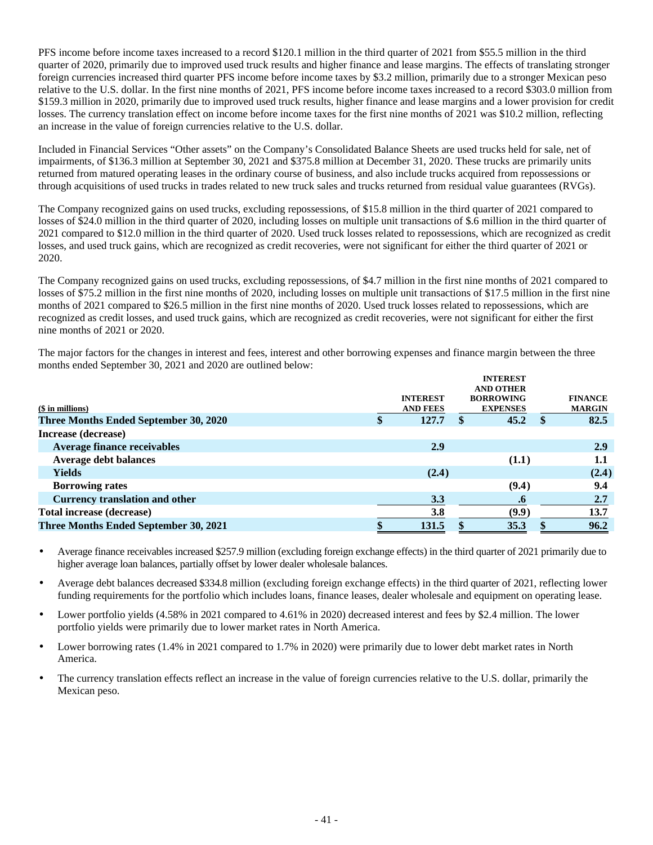PFS income before income taxes increased to a record \$120.1 million in the third quarter of 2021 from \$55.5 million in the third quarter of 2020, primarily due to improved used truck results and higher finance and lease margins. The effects of translating stronger foreign currencies increased third quarter PFS income before income taxes by \$3.2 million, primarily due to a stronger Mexican peso relative to the U.S. dollar. In the first nine months of 2021, PFS income before income taxes increased to a record \$303.0 million from \$159.3 million in 2020, primarily due to improved used truck results, higher finance and lease margins and a lower provision for credit losses. The currency translation effect on income before income taxes for the first nine months of 2021 was \$10.2 million, reflecting an increase in the value of foreign currencies relative to the U.S. dollar.

Included in Financial Services "Other assets" on the Company's Consolidated Balance Sheets are used trucks held for sale, net of impairments, of \$136.3 million at September 30, 2021 and \$375.8 million at December 31, 2020. These trucks are primarily units returned from matured operating leases in the ordinary course of business, and also include trucks acquired from repossessions or through acquisitions of used trucks in trades related to new truck sales and trucks returned from residual value guarantees (RVGs).

The Company recognized gains on used trucks, excluding repossessions, of \$15.8 million in the third quarter of 2021 compared to losses of \$24.0 million in the third quarter of 2020, including losses on multiple unit transactions of \$.6 million in the third quarter of 2021 compared to \$12.0 million in the third quarter of 2020. Used truck losses related to repossessions, which are recognized as credit losses, and used truck gains, which are recognized as credit recoveries, were not significant for either the third quarter of 2021 or 2020.

The Company recognized gains on used trucks, excluding repossessions, of \$4.7 million in the first nine months of 2021 compared to losses of \$75.2 million in the first nine months of 2020, including losses on multiple unit transactions of \$17.5 million in the first nine months of 2021 compared to \$26.5 million in the first nine months of 2020. Used truck losses related to repossessions, which are recognized as credit losses, and used truck gains, which are recognized as credit recoveries, were not significant for either the first nine months of 2021 or 2020.

The major factors for the changes in interest and fees, interest and other borrowing expenses and finance margin between the three months ended September 30, 2021 and 2020 are outlined below:

|                                              |                 |   | <b>INTEREST</b>  |               |                |
|----------------------------------------------|-----------------|---|------------------|---------------|----------------|
|                                              |                 |   | <b>AND OTHER</b> |               |                |
|                                              | <b>INTEREST</b> |   | <b>BORROWING</b> |               | <b>FINANCE</b> |
| $$$ in millions)                             | <b>AND FEES</b> |   | <b>EXPENSES</b>  |               | <b>MARGIN</b>  |
| Three Months Ended September 30, 2020        | \$<br>127.7     | S | 45.2             | <sup>\$</sup> | 82.5           |
| Increase (decrease)                          |                 |   |                  |               |                |
| <b>Average finance receivables</b>           | 2.9             |   |                  |               | 2.9            |
| <b>Average debt balances</b>                 |                 |   | (1.1)            |               | $1.1\,$        |
| <b>Yields</b>                                | (2.4)           |   |                  |               | (2.4)          |
| <b>Borrowing rates</b>                       |                 |   | (9.4)            |               | 9.4            |
| <b>Currency translation and other</b>        | 3.3             |   | $\cdot$          |               | 2.7            |
| <b>Total increase (decrease)</b>             | 3.8             |   | (9.9)            |               | 13.7           |
| <b>Three Months Ended September 30, 2021</b> | 131.5           |   | 35.3             |               | 96.2           |
|                                              |                 |   |                  |               |                |

• Average finance receivables increased \$257.9 million (excluding foreign exchange effects) in the third quarter of 2021 primarily due to higher average loan balances, partially offset by lower dealer wholesale balances.

• Average debt balances decreased \$334.8 million (excluding foreign exchange effects) in the third quarter of 2021, reflecting lower funding requirements for the portfolio which includes loans, finance leases, dealer wholesale and equipment on operating lease.

• Lower portfolio yields (4.58% in 2021 compared to 4.61% in 2020) decreased interest and fees by \$2.4 million. The lower portfolio yields were primarily due to lower market rates in North America.

• Lower borrowing rates (1.4% in 2021 compared to 1.7% in 2020) were primarily due to lower debt market rates in North America.

• The currency translation effects reflect an increase in the value of foreign currencies relative to the U.S. dollar, primarily the Mexican peso.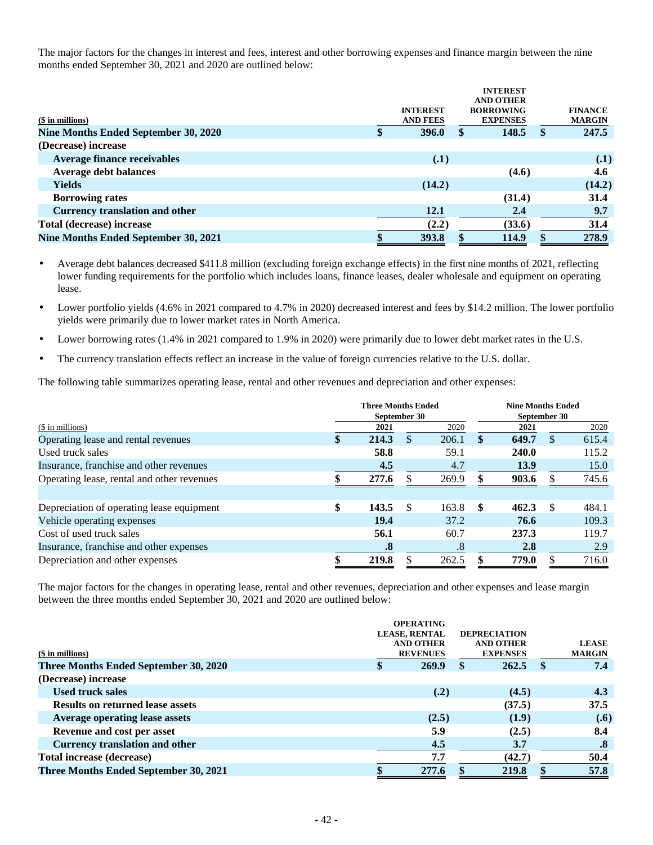The major factors for the changes in interest and fees, interest and other borrowing expenses and finance margin between the nine months ended September 30, 2021 and 2020 are outlined below:

|                                       |                 |   | <b>INTEREST</b>  |     |                |
|---------------------------------------|-----------------|---|------------------|-----|----------------|
|                                       |                 |   | <b>AND OTHER</b> |     |                |
|                                       | <b>INTEREST</b> |   | <b>BORROWING</b> |     | <b>FINANCE</b> |
| (\$ in millions)                      | <b>AND FEES</b> |   | <b>EXPENSES</b>  |     | <b>MARGIN</b>  |
| Nine Months Ended September 30, 2020  | \$<br>396.0     | S | 148.5            | SS. | 247.5          |
| (Decrease) increase                   |                 |   |                  |     |                |
| <b>Average finance receivables</b>    | (.1)            |   |                  |     | (.1)           |
| <b>Average debt balances</b>          |                 |   | (4.6)            |     | 4.6            |
| <b>Yields</b>                         | (14.2)          |   |                  |     | (14.2)         |
| <b>Borrowing rates</b>                |                 |   | (31.4)           |     | 31.4           |
| <b>Currency translation and other</b> | 12.1            |   | 2,4              |     | 9.7            |
| Total (decrease) increase             | (2.2)           |   | (33.6)           |     | 31.4           |
| Nine Months Ended September 30, 2021  | \$<br>393.8     |   | 114.9            |     | 278.9          |

• Average debt balances decreased \$411.8 million (excluding foreign exchange effects) in the first nine months of 2021, reflecting lower funding requirements for the portfolio which includes loans, finance leases, dealer wholesale and equipment on operating lease.

• Lower portfolio yields (4.6% in 2021 compared to 4.7% in 2020) decreased interest and fees by \$14.2 million. The lower portfolio yields were primarily due to lower market rates in North America.

• Lower borrowing rates (1.4% in 2021 compared to 1.9% in 2020) were primarily due to lower debt market rates in the U.S.

• The currency translation effects reflect an increase in the value of foreign currencies relative to the U.S. dollar.

The following table summarizes operating lease, rental and other revenues and depreciation and other expenses:

|                                            |    | <b>Three Months Ended</b><br>September 30 |               | <b>Nine Months Ended</b><br>September 30 |     |       |     |       |
|--------------------------------------------|----|-------------------------------------------|---------------|------------------------------------------|-----|-------|-----|-------|
| (\$ in millions)                           |    | 2021                                      |               | 2020                                     |     | 2021  |     | 2020  |
| Operating lease and rental revenues        | S  | 214.3                                     | S             | 206.1                                    | S   | 649.7 | \$. | 615.4 |
| Used truck sales                           |    | 58.8                                      |               | 59.1                                     |     | 240.0 |     | 115.2 |
| Insurance, franchise and other revenues    |    | 4.5                                       |               | 4.7                                      |     | 13.9  |     | 15.0  |
| Operating lease, rental and other revenues |    | 277.6                                     |               | 269.9                                    |     | 903.6 | S   | 745.6 |
|                                            |    |                                           |               |                                          |     |       |     |       |
| Depreciation of operating lease equipment  | \$ | 143.5                                     | <sup>\$</sup> | 163.8                                    | -SS | 462.3 | -S  | 484.1 |
| Vehicle operating expenses                 |    | 19.4                                      |               | 37.2                                     |     | 76.6  |     | 109.3 |
| Cost of used truck sales                   |    | 56.1                                      |               | 60.7                                     |     | 237.3 |     | 119.7 |
| Insurance, franchise and other expenses    |    | $\boldsymbol{.8}$                         |               | .8                                       |     | 2.8   |     | 2.9   |
| Depreciation and other expenses            |    | 219.8                                     |               | 262.5                                    |     | 779.0 |     | 716.0 |

The major factors for the changes in operating lease, rental and other revenues, depreciation and other expenses and lease margin between the three months ended September 30, 2021 and 2020 are outlined below:

|                                         | <b>OPERATING</b><br><b>LEASE, RENTAL</b> | <b>DEPRECIATION</b>                 |               |                               |
|-----------------------------------------|------------------------------------------|-------------------------------------|---------------|-------------------------------|
| $$$ in millions)                        | <b>AND OTHER</b><br><b>REVENUES</b>      | <b>AND OTHER</b><br><b>EXPENSES</b> |               | <b>LEASE</b><br><b>MARGIN</b> |
| Three Months Ended September 30, 2020   | \$<br>269.9                              | 262.5                               | $\mathbf{\$}$ | 7.4                           |
| (Decrease) increase                     |                                          |                                     |               |                               |
| <b>Used truck sales</b>                 | (.2)                                     | (4.5)                               |               | 4.3                           |
| <b>Results on returned lease assets</b> |                                          | (37.5)                              |               | 37.5                          |
| <b>Average operating lease assets</b>   | (2.5)                                    | (1.9)                               |               | (.6)                          |
| Revenue and cost per asset              | 5.9                                      | (2.5)                               |               | 8.4                           |
| <b>Currency translation and other</b>   | 4.5                                      | 3.7                                 |               | .8                            |
| <b>Total increase (decrease)</b>        | 7.7                                      | (42.7)                              |               | 50.4                          |
| Three Months Ended September 30, 2021   | 277.6                                    | 219.8                               |               | 57.8                          |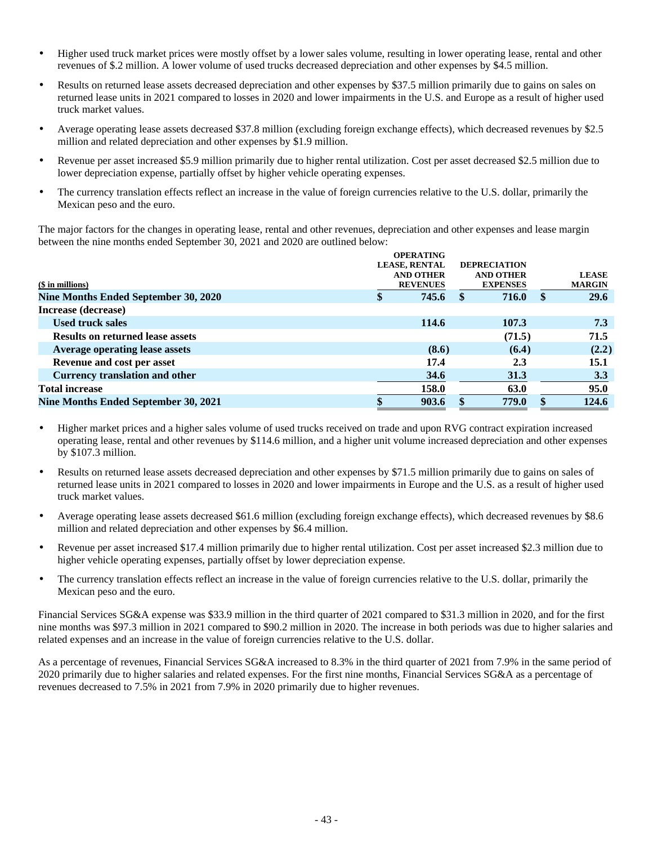- Higher used truck market prices were mostly offset by a lower sales volume, resulting in lower operating lease, rental and other revenues of \$.2 million. A lower volume of used trucks decreased depreciation and other expenses by \$4.5 million.
- Results on returned lease assets decreased depreciation and other expenses by \$37.5 million primarily due to gains on sales on returned lease units in 2021 compared to losses in 2020 and lower impairments in the U.S. and Europe as a result of higher used truck market values.
- Average operating lease assets decreased \$37.8 million (excluding foreign exchange effects), which decreased revenues by \$2.5 million and related depreciation and other expenses by \$1.9 million.
- Revenue per asset increased \$5.9 million primarily due to higher rental utilization. Cost per asset decreased \$2.5 million due to lower depreciation expense, partially offset by higher vehicle operating expenses.
- The currency translation effects reflect an increase in the value of foreign currencies relative to the U.S. dollar, primarily the Mexican peso and the euro.

The major factors for the changes in operating lease, rental and other revenues, depreciation and other expenses and lease margin between the nine months ended September 30, 2021 and 2020 are outlined below:

|                                         | <b>OPERATING</b>     |                     |          |               |
|-----------------------------------------|----------------------|---------------------|----------|---------------|
|                                         | <b>LEASE, RENTAL</b> | <b>DEPRECIATION</b> |          |               |
|                                         | <b>AND OTHER</b>     | <b>AND OTHER</b>    |          | <b>LEASE</b>  |
| (\$ in millions)                        | <b>REVENUES</b>      | <b>EXPENSES</b>     |          | <b>MARGIN</b> |
| Nine Months Ended September 30, 2020    | \$<br>745.6          | 716.0               | <b>S</b> | <b>29.6</b>   |
| Increase (decrease)                     |                      |                     |          |               |
| <b>Used truck sales</b>                 | 114.6                | 107.3               |          | 7.3           |
| <b>Results on returned lease assets</b> |                      | (71.5)              |          | 71.5          |
| <b>Average operating lease assets</b>   | (8.6)                | (6.4)               |          | (2.2)         |
| Revenue and cost per asset              | 17.4                 | 2.3                 |          | 15.1          |
| <b>Currency translation and other</b>   | 34.6                 | 31.3                |          | 3.3           |
| <b>Total increase</b>                   | 158.0                | 63.0                |          | 95.0          |
| Nine Months Ended September 30, 2021    | 903.6                | 779.0               |          | 124.6         |
|                                         |                      |                     |          |               |

- Higher market prices and a higher sales volume of used trucks received on trade and upon RVG contract expiration increased operating lease, rental and other revenues by \$114.6 million, and a higher unit volume increased depreciation and other expenses by \$107.3 million.
- Results on returned lease assets decreased depreciation and other expenses by \$71.5 million primarily due to gains on sales of returned lease units in 2021 compared to losses in 2020 and lower impairments in Europe and the U.S. as a result of higher used truck market values.
- Average operating lease assets decreased \$61.6 million (excluding foreign exchange effects), which decreased revenues by \$8.6 million and related depreciation and other expenses by \$6.4 million.
- Revenue per asset increased \$17.4 million primarily due to higher rental utilization. Cost per asset increased \$2.3 million due to higher vehicle operating expenses, partially offset by lower depreciation expense.
- The currency translation effects reflect an increase in the value of foreign currencies relative to the U.S. dollar, primarily the Mexican peso and the euro.

Financial Services SG&A expense was \$33.9 million in the third quarter of 2021 compared to \$31.3 million in 2020, and for the first nine months was \$97.3 million in 2021 compared to \$90.2 million in 2020. The increase in both periods was due to higher salaries and related expenses and an increase in the value of foreign currencies relative to the U.S. dollar.

As a percentage of revenues, Financial Services SG&A increased to 8.3% in the third quarter of 2021 from 7.9% in the same period of 2020 primarily due to higher salaries and related expenses. For the first nine months, Financial Services SG&A as a percentage of revenues decreased to 7.5% in 2021 from 7.9% in 2020 primarily due to higher revenues.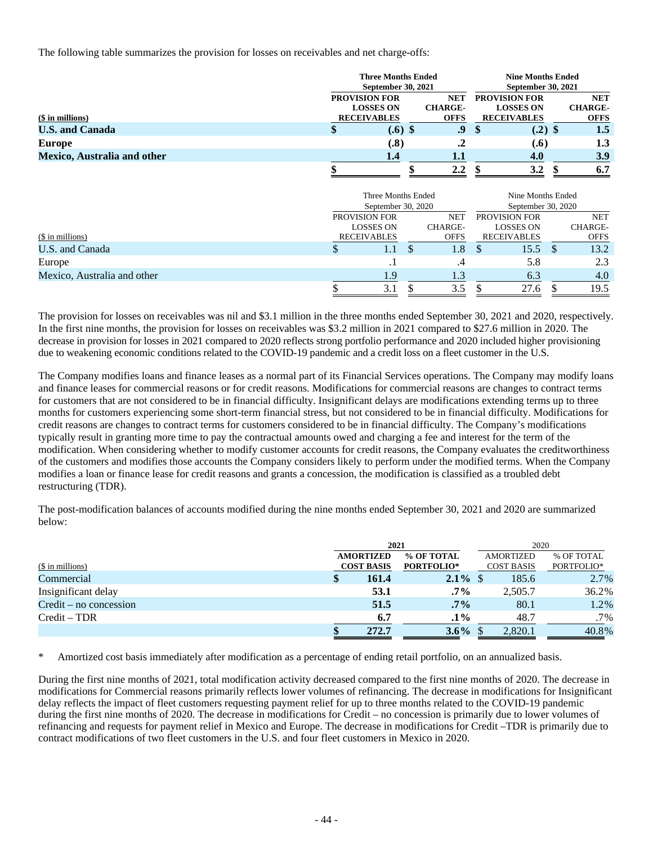The following table summarizes the provision for losses on receivables and net charge-offs:

|                             | <b>Three Months Ended</b><br>September 30, 2021 |                                                                |    | <b>Nine Months Ended</b><br>September 30, 2021 |                    |                                                                |     |                                             |
|-----------------------------|-------------------------------------------------|----------------------------------------------------------------|----|------------------------------------------------|--------------------|----------------------------------------------------------------|-----|---------------------------------------------|
| $($$ in millions)           |                                                 | <b>PROVISION FOR</b><br><b>LOSSES ON</b><br><b>RECEIVABLES</b> |    | <b>NET</b><br><b>CHARGE-</b><br><b>OFFS</b>    |                    | <b>PROVISION FOR</b><br><b>LOSSES ON</b><br><b>RECEIVABLES</b> |     | <b>NET</b><br><b>CHARGE-</b><br><b>OFFS</b> |
| <b>U.S. and Canada</b>      | \$                                              | $(.6)$ \$                                                      |    | 9.                                             | \$                 | $(.2)$ \$                                                      |     | 1.5                                         |
| <b>Europe</b>               |                                                 | (.8)                                                           |    | $\cdot$                                        |                    | (.6)                                                           |     | 1.3                                         |
| Mexico, Australia and other |                                                 | 1.4                                                            |    | $1.1\,$                                        |                    | 4.0                                                            |     | 3.9                                         |
|                             | ₼                                               |                                                                | ሐ  | 2.2                                            | \$                 | 3.2                                                            | \$  | 6.7                                         |
|                             |                                                 | Three Months Ended                                             |    |                                                |                    | Nine Months Ended                                              |     |                                             |
|                             |                                                 | September 30, 2020                                             |    |                                                | September 30, 2020 |                                                                |     |                                             |
|                             |                                                 | PROVISION FOR                                                  |    | <b>NET</b>                                     |                    | PROVISION FOR                                                  |     | <b>NET</b>                                  |
| (\$ in millions)            |                                                 | <b>LOSSES ON</b><br><b>RECEIVABLES</b>                         |    | CHARGE-<br><b>OFFS</b>                         |                    | <b>LOSSES ON</b><br><b>RECEIVABLES</b>                         |     | CHARGE-<br><b>OFFS</b>                      |
| U.S. and Canada             | \$                                              | 1.1                                                            | \$ | 1.8                                            | \$.                | 15.5                                                           | \$. | 13.2                                        |
| Europe                      |                                                 | $\cdot$ 1                                                      |    | .4                                             |                    | 5.8                                                            |     | 2.3                                         |
| Mexico, Australia and other |                                                 | 1.9                                                            |    | 1.3                                            |                    | 6.3                                                            |     | 4.0                                         |
|                             | \$                                              | 3.1                                                            | \$ | 3.5                                            | \$                 | 27.6                                                           | \$  | 19.5                                        |

The provision for losses on receivables was nil and \$3.1 million in the three months ended September 30, 2021 and 2020, respectively. In the first nine months, the provision for losses on receivables was \$3.2 million in 2021 compared to \$27.6 million in 2020. The decrease in provision for losses in 2021 compared to 2020 reflects strong portfolio performance and 2020 included higher provisioning due to weakening economic conditions related to the COVID-19 pandemic and a credit loss on a fleet customer in the U.S.

The Company modifies loans and finance leases as a normal part of its Financial Services operations. The Company may modify loans and finance leases for commercial reasons or for credit reasons. Modifications for commercial reasons are changes to contract terms for customers that are not considered to be in financial difficulty. Insignificant delays are modifications extending terms up to three months for customers experiencing some short-term financial stress, but not considered to be in financial difficulty. Modifications for credit reasons are changes to contract terms for customers considered to be in financial difficulty. The Company's modifications typically result in granting more time to pay the contractual amounts owed and charging a fee and interest for the term of the modification. When considering whether to modify customer accounts for credit reasons, the Company evaluates the creditworthiness of the customers and modifies those accounts the Company considers likely to perform under the modified terms. When the Company modifies a loan or finance lease for credit reasons and grants a concession, the modification is classified as a troubled debt restructuring (TDR).

The post-modification balances of accounts modified during the nine months ended September 30, 2021 and 2020 are summarized below:

|                          |                   | 2021              | 2020              |            |  |
|--------------------------|-------------------|-------------------|-------------------|------------|--|
|                          | <b>AMORTIZED</b>  | % OF TOTAL        | <b>AMORTIZED</b>  | % OF TOTAL |  |
| (\$ in millions)         | <b>COST BASIS</b> | <b>PORTFOLIO*</b> | <b>COST BASIS</b> | PORTFOLIO* |  |
| Commercial               | 161.4<br>S        | $2.1\%$ \$        | 185.6             | 2.7%       |  |
| Insignificant delay      | 53.1              | $.7\%$            | 2,505.7           | 36.2%      |  |
| $Credit - no concession$ | 51.5              | $.7\%$            | 80.1              | 1.2%       |  |
| $Credit - TDR$           | 6.7               | $.1\%$            | 48.7              | $.7\%$     |  |
|                          | 272.7             | $3.6\%$           | 2,820.1           | 40.8%      |  |

\* Amortized cost basis immediately after modification as a percentage of ending retail portfolio, on an annualized basis.

During the first nine months of 2021, total modification activity decreased compared to the first nine months of 2020. The decrease in modifications for Commercial reasons primarily reflects lower volumes of refinancing. The decrease in modifications for Insignificant delay reflects the impact of fleet customers requesting payment relief for up to three months related to the COVID-19 pandemic during the first nine months of 2020. The decrease in modifications for Credit – no concession is primarily due to lower volumes of refinancing and requests for payment relief in Mexico and Europe. The decrease in modifications for Credit –TDR is primarily due to contract modifications of two fleet customers in the U.S. and four fleet customers in Mexico in 2020.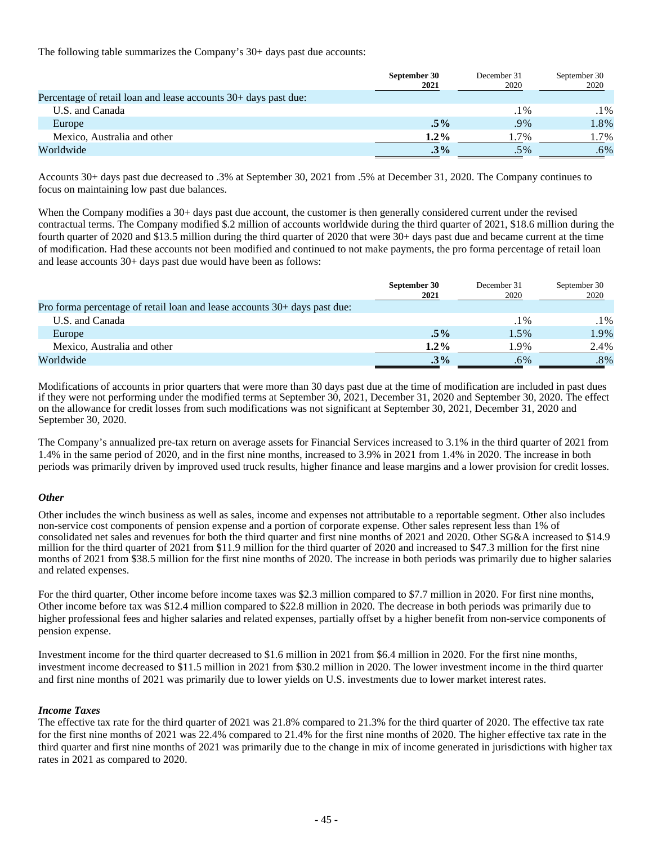The following table summarizes the Company's 30+ days past due accounts:

|                                                                 | September 30<br>2021 | December 31<br>2020 | September 30<br>2020 |
|-----------------------------------------------------------------|----------------------|---------------------|----------------------|
| Percentage of retail loan and lease accounts 30+ days past due: |                      |                     |                      |
| U.S. and Canada                                                 |                      | $.1\%$              | .1%                  |
| Europe                                                          | $.5\%$               | $.9\%$              | 1.8%                 |
| Mexico, Australia and other                                     | $1.2\%$              | $1.7\%$             | 1.7%                 |
| Worldwide                                                       | $.3\%$               | .5%                 | .6%                  |

Accounts 30+ days past due decreased to .3% at September 30, 2021 from .5% at December 31, 2020. The Company continues to focus on maintaining low past due balances.

When the Company modifies a 30+ days past due account, the customer is then generally considered current under the revised contractual terms. The Company modified \$.2 million of accounts worldwide during the third quarter of 2021, \$18.6 million during the fourth quarter of 2020 and \$13.5 million during the third quarter of 2020 that were 30+ days past due and became current at the time of modification. Had these accounts not been modified and continued to not make payments, the pro forma percentage of retail loan and lease accounts 30+ days past due would have been as follows:

|                                                                           | September 30<br>2021 | December 31<br>2020 | September 30<br>2020 |
|---------------------------------------------------------------------------|----------------------|---------------------|----------------------|
| Pro forma percentage of retail loan and lease accounts 30+ days past due: |                      |                     |                      |
| U.S. and Canada                                                           |                      | $.1\%$              | .1%                  |
| Europe                                                                    | $.5\%$               | 1.5%                | 1.9%                 |
| Mexico, Australia and other                                               | $1.2\%$              | 1.9%                | 2.4%                 |
| Worldwide                                                                 | $.3\%$               | .6%                 | .8%                  |

Modifications of accounts in prior quarters that were more than 30 days past due at the time of modification are included in past dues if they were not performing under the modified terms at September 30, 2021, December 31, 2020 and September 30, 2020. The effect on the allowance for credit losses from such modifications was not significant at September 30, 2021, December 31, 2020 and September 30, 2020.

The Company's annualized pre-tax return on average assets for Financial Services increased to 3.1% in the third quarter of 2021 from 1.4% in the same period of 2020, and in the first nine months, increased to 3.9% in 2021 from 1.4% in 2020. The increase in both periods was primarily driven by improved used truck results, higher finance and lease margins and a lower provision for credit losses.

#### *Other*

Other includes the winch business as well as sales, income and expenses not attributable to a reportable segment. Other also includes non-service cost components of pension expense and a portion of corporate expense. Other sales represent less than 1% of consolidated net sales and revenues for both the third quarter and first nine months of 2021 and 2020. Other SG&A increased to \$14.9 million for the third quarter of 2021 from \$11.9 million for the third quarter of 2020 and increased to \$47.3 million for the first nine months of 2021 from \$38.5 million for the first nine months of 2020. The increase in both periods was primarily due to higher salaries and related expenses.

For the third quarter, Other income before income taxes was \$2.3 million compared to \$7.7 million in 2020. For first nine months, Other income before tax was \$12.4 million compared to \$22.8 million in 2020. The decrease in both periods was primarily due to higher professional fees and higher salaries and related expenses, partially offset by a higher benefit from non-service components of pension expense.

Investment income for the third quarter decreased to \$1.6 million in 2021 from \$6.4 million in 2020. For the first nine months, investment income decreased to \$11.5 million in 2021 from \$30.2 million in 2020. The lower investment income in the third quarter and first nine months of 2021 was primarily due to lower yields on U.S. investments due to lower market interest rates.

### *Income Taxes*

The effective tax rate for the third quarter of 2021 was 21.8% compared to 21.3% for the third quarter of 2020. The effective tax rate for the first nine months of 2021 was 22.4% compared to 21.4% for the first nine months of 2020. The higher effective tax rate in the third quarter and first nine months of 2021 was primarily due to the change in mix of income generated in jurisdictions with higher tax rates in 2021 as compared to 2020.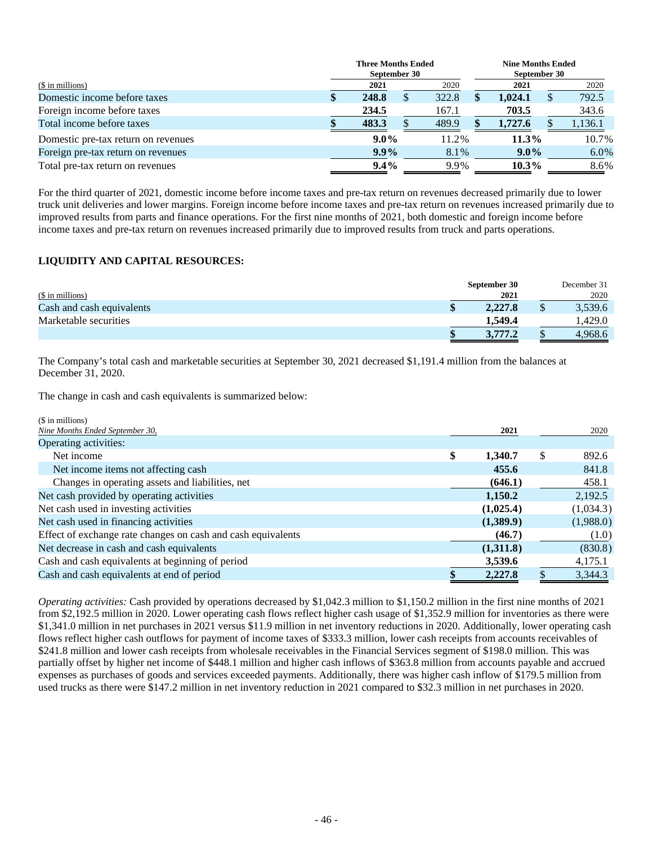|                                     | <b>Three Months Ended</b> |  |       | <b>Nine Months Ended</b> |          |  |         |
|-------------------------------------|---------------------------|--|-------|--------------------------|----------|--|---------|
|                                     | September 30              |  |       | September 30             |          |  |         |
| (\$ in millions)                    | 2021                      |  | 2020  |                          | 2021     |  | 2020    |
| Domestic income before taxes        | \$<br>248.8               |  | 322.8 |                          | 1.024.1  |  | 792.5   |
| Foreign income before taxes         | 234.5                     |  | 167.1 |                          | 703.5    |  | 343.6   |
| Total income before taxes           | 483.3                     |  | 489.9 |                          | 1,727.6  |  | 1.136.1 |
| Domestic pre-tax return on revenues | $9.0\%$                   |  | 11.2% |                          | $11.3\%$ |  | 10.7%   |
| Foreign pre-tax return on revenues  | $9.9\%$                   |  | 8.1%  |                          | $9.0\%$  |  | 6.0%    |
| Total pre-tax return on revenues    | $9.4\%$                   |  | 9.9%  |                          | $10.3\%$ |  | 8.6%    |

For the third quarter of 2021, domestic income before income taxes and pre-tax return on revenues decreased primarily due to lower truck unit deliveries and lower margins. Foreign income before income taxes and pre-tax return on revenues increased primarily due to improved results from parts and finance operations. For the first nine months of 2021, both domestic and foreign income before income taxes and pre-tax return on revenues increased primarily due to improved results from truck and parts operations.

### **LIQUIDITY AND CAPITAL RESOURCES:**

|                           | September 30 | December 31 |
|---------------------------|--------------|-------------|
| (\$ in millions)          | 2021         | 2020        |
| Cash and cash equivalents | 2.227.8      | 3,539.6     |
| Marketable securities     | 1.549.4      | .429.0      |
|                           | 3,777.2      | 4,968.6     |

The Company's total cash and marketable securities at September 30, 2021 decreased \$1,191.4 million from the balances at December 31, 2020.

The change in cash and cash equivalents is summarized below:

| (\$ in millions)                                             |               |             |
|--------------------------------------------------------------|---------------|-------------|
| Nine Months Ended September 30,                              | 2021          | 2020        |
| Operating activities:                                        |               |             |
| Net income                                                   | \$<br>1,340.7 | \$<br>892.6 |
| Net income items not affecting cash                          | 455.6         | 841.8       |
| Changes in operating assets and liabilities, net             | (646.1)       | 458.1       |
| Net cash provided by operating activities                    | 1,150.2       | 2,192.5     |
| Net cash used in investing activities                        | (1,025.4)     | (1,034.3)   |
| Net cash used in financing activities                        | (1,389.9)     | (1,988.0)   |
| Effect of exchange rate changes on cash and cash equivalents | (46.7)        | (1.0)       |
| Net decrease in cash and cash equivalents                    | (1,311.8)     | (830.8)     |
| Cash and cash equivalents at beginning of period             | 3,539.6       | 4,175.1     |
| Cash and cash equivalents at end of period                   | 2,227.8       | 3,344.3     |

*Operating activities:* Cash provided by operations decreased by \$1,042.3 million to \$1,150.2 million in the first nine months of 2021 from \$2,192.5 million in 2020. Lower operating cash flows reflect higher cash usage of \$1,352.9 million for inventories as there were \$1,341.0 million in net purchases in 2021 versus \$11.9 million in net inventory reductions in 2020. Additionally, lower operating cash flows reflect higher cash outflows for payment of income taxes of \$333.3 million, lower cash receipts from accounts receivables of \$241.8 million and lower cash receipts from wholesale receivables in the Financial Services segment of \$198.0 million. This was partially offset by higher net income of \$448.1 million and higher cash inflows of \$363.8 million from accounts payable and accrued expenses as purchases of goods and services exceeded payments. Additionally, there was higher cash inflow of \$179.5 million from used trucks as there were \$147.2 million in net inventory reduction in 2021 compared to \$32.3 million in net purchases in 2020.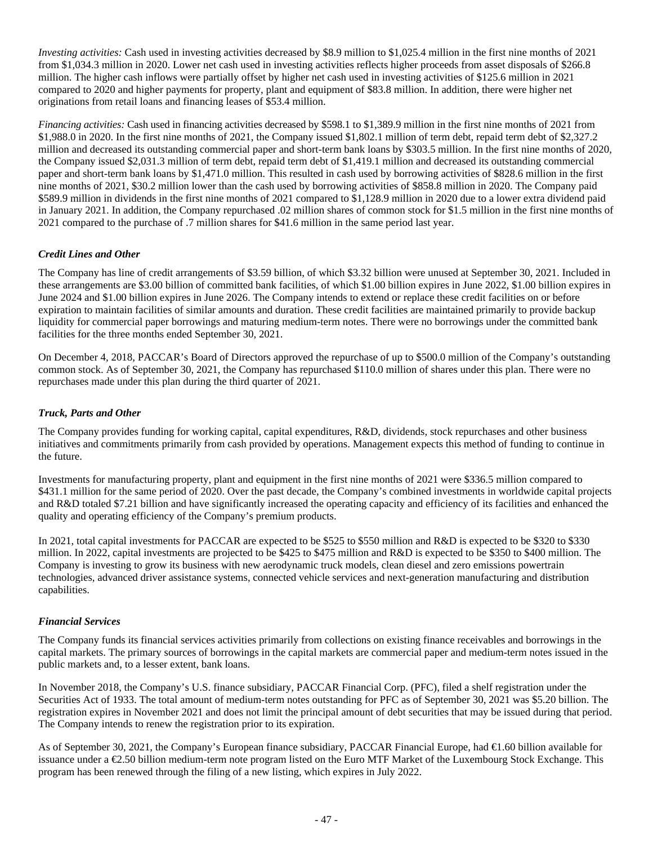*Investing activities:* Cash used in investing activities decreased by \$8.9 million to \$1,025.4 million in the first nine months of 2021 from \$1,034.3 million in 2020. Lower net cash used in investing activities reflects higher proceeds from asset disposals of \$266.8 million. The higher cash inflows were partially offset by higher net cash used in investing activities of \$125.6 million in 2021 compared to 2020 and higher payments for property, plant and equipment of \$83.8 million. In addition, there were higher net originations from retail loans and financing leases of \$53.4 million.

*Financing activities:* Cash used in financing activities decreased by \$598.1 to \$1,389.9 million in the first nine months of 2021 from \$1,988.0 in 2020. In the first nine months of 2021, the Company issued \$1,802.1 million of term debt, repaid term debt of \$2,327.2 million and decreased its outstanding commercial paper and short-term bank loans by \$303.5 million. In the first nine months of 2020, the Company issued \$2,031.3 million of term debt, repaid term debt of \$1,419.1 million and decreased its outstanding commercial paper and short-term bank loans by \$1,471.0 million. This resulted in cash used by borrowing activities of \$828.6 million in the first nine months of 2021, \$30.2 million lower than the cash used by borrowing activities of \$858.8 million in 2020. The Company paid \$589.9 million in dividends in the first nine months of 2021 compared to \$1,128.9 million in 2020 due to a lower extra dividend paid in January 2021. In addition, the Company repurchased .02 million shares of common stock for \$1.5 million in the first nine months of 2021 compared to the purchase of .7 million shares for \$41.6 million in the same period last year.

### *Credit Lines and Other*

The Company has line of credit arrangements of \$3.59 billion, of which \$3.32 billion were unused at September 30, 2021. Included in these arrangements are \$3.00 billion of committed bank facilities, of which \$1.00 billion expires in June 2022, \$1.00 billion expires in June 2024 and \$1.00 billion expires in June 2026. The Company intends to extend or replace these credit facilities on or before expiration to maintain facilities of similar amounts and duration. These credit facilities are maintained primarily to provide backup liquidity for commercial paper borrowings and maturing medium-term notes. There were no borrowings under the committed bank facilities for the three months ended September 30, 2021.

On December 4, 2018, PACCAR's Board of Directors approved the repurchase of up to \$500.0 million of the Company's outstanding common stock. As of September 30, 2021, the Company has repurchased \$110.0 million of shares under this plan. There were no repurchases made under this plan during the third quarter of 2021.

### *Truck, Parts and Other*

The Company provides funding for working capital, capital expenditures, R&D, dividends, stock repurchases and other business initiatives and commitments primarily from cash provided by operations. Management expects this method of funding to continue in the future.

Investments for manufacturing property, plant and equipment in the first nine months of 2021 were \$336.5 million compared to \$431.1 million for the same period of 2020. Over the past decade, the Company's combined investments in worldwide capital projects and R&D totaled \$7.21 billion and have significantly increased the operating capacity and efficiency of its facilities and enhanced the quality and operating efficiency of the Company's premium products.

In 2021, total capital investments for PACCAR are expected to be \$525 to \$550 million and R&D is expected to be \$320 to \$330 million. In 2022, capital investments are projected to be \$425 to \$475 million and R&D is expected to be \$350 to \$400 million. The Company is investing to grow its business with new aerodynamic truck models, clean diesel and zero emissions powertrain technologies, advanced driver assistance systems, connected vehicle services and next-generation manufacturing and distribution capabilities.

### *Financial Services*

The Company funds its financial services activities primarily from collections on existing finance receivables and borrowings in the capital markets. The primary sources of borrowings in the capital markets are commercial paper and medium-term notes issued in the public markets and, to a lesser extent, bank loans.

In November 2018, the Company's U.S. finance subsidiary, PACCAR Financial Corp. (PFC), filed a shelf registration under the Securities Act of 1933. The total amount of medium-term notes outstanding for PFC as of September 30, 2021 was \$5.20 billion. The registration expires in November 2021 and does not limit the principal amount of debt securities that may be issued during that period. The Company intends to renew the registration prior to its expiration.

As of September 30, 2021, the Company's European finance subsidiary, PACCAR Financial Europe, had €1.60 billion available for issuance under a €2.50 billion medium-term note program listed on the Euro MTF Market of the Luxembourg Stock Exchange. This program has been renewed through the filing of a new listing, which expires in July 2022.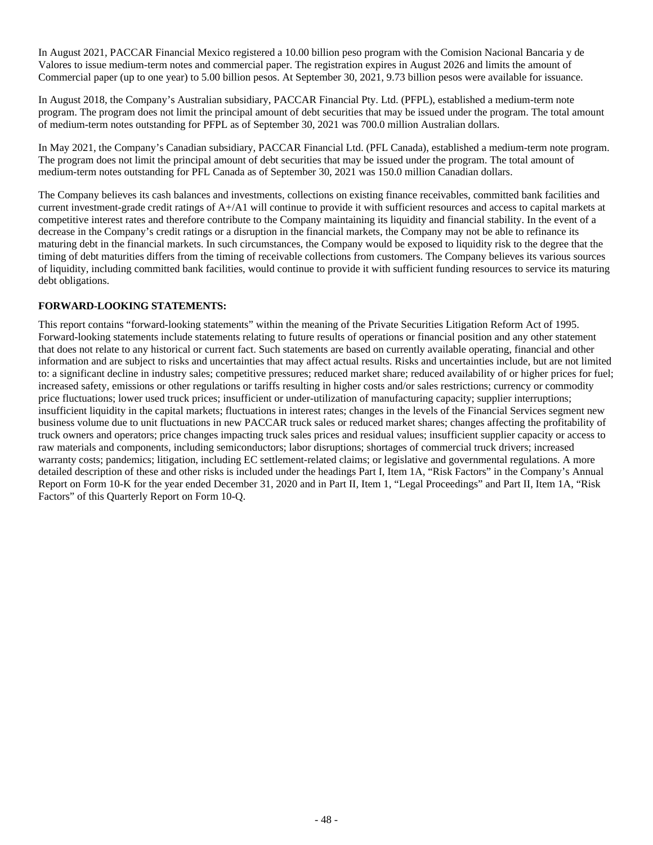In August 2021, PACCAR Financial Mexico registered a 10.00 billion peso program with the Comision Nacional Bancaria y de Valores to issue medium-term notes and commercial paper. The registration expires in August 2026 and limits the amount of Commercial paper (up to one year) to 5.00 billion pesos. At September 30, 2021, 9.73 billion pesos were available for issuance.

In August 2018, the Company's Australian subsidiary, PACCAR Financial Pty. Ltd. (PFPL), established a medium-term note program. The program does not limit the principal amount of debt securities that may be issued under the program. The total amount of medium-term notes outstanding for PFPL as of September 30, 2021 was 700.0 million Australian dollars.

In May 2021, the Company's Canadian subsidiary, PACCAR Financial Ltd. (PFL Canada), established a medium-term note program. The program does not limit the principal amount of debt securities that may be issued under the program. The total amount of medium-term notes outstanding for PFL Canada as of September 30, 2021 was 150.0 million Canadian dollars.

The Company believes its cash balances and investments, collections on existing finance receivables, committed bank facilities and current investment-grade credit ratings of A+/A1 will continue to provide it with sufficient resources and access to capital markets at competitive interest rates and therefore contribute to the Company maintaining its liquidity and financial stability. In the event of a decrease in the Company's credit ratings or a disruption in the financial markets, the Company may not be able to refinance its maturing debt in the financial markets. In such circumstances, the Company would be exposed to liquidity risk to the degree that the timing of debt maturities differs from the timing of receivable collections from customers. The Company believes its various sources of liquidity, including committed bank facilities, would continue to provide it with sufficient funding resources to service its maturing debt obligations.

### **FORWARD-LOOKING STATEMENTS:**

This report contains "forward-looking statements" within the meaning of the Private Securities Litigation Reform Act of 1995. Forward-looking statements include statements relating to future results of operations or financial position and any other statement that does not relate to any historical or current fact. Such statements are based on currently available operating, financial and other information and are subject to risks and uncertainties that may affect actual results. Risks and uncertainties include, but are not limited to: a significant decline in industry sales; competitive pressures; reduced market share; reduced availability of or higher prices for fuel; increased safety, emissions or other regulations or tariffs resulting in higher costs and/or sales restrictions; currency or commodity price fluctuations; lower used truck prices; insufficient or under-utilization of manufacturing capacity; supplier interruptions; insufficient liquidity in the capital markets; fluctuations in interest rates; changes in the levels of the Financial Services segment new business volume due to unit fluctuations in new PACCAR truck sales or reduced market shares; changes affecting the profitability of truck owners and operators; price changes impacting truck sales prices and residual values; insufficient supplier capacity or access to raw materials and components, including semiconductors; labor disruptions; shortages of commercial truck drivers; increased warranty costs; pandemics; litigation, including EC settlement-related claims; or legislative and governmental regulations. A more detailed description of these and other risks is included under the headings Part I, Item 1A, "Risk Factors" in the Company's Annual Report on Form 10-K for the year ended December 31, 2020 and in Part II, Item 1, "Legal Proceedings" and Part II, Item 1A, "Risk Factors" of this Quarterly Report on Form 10-Q.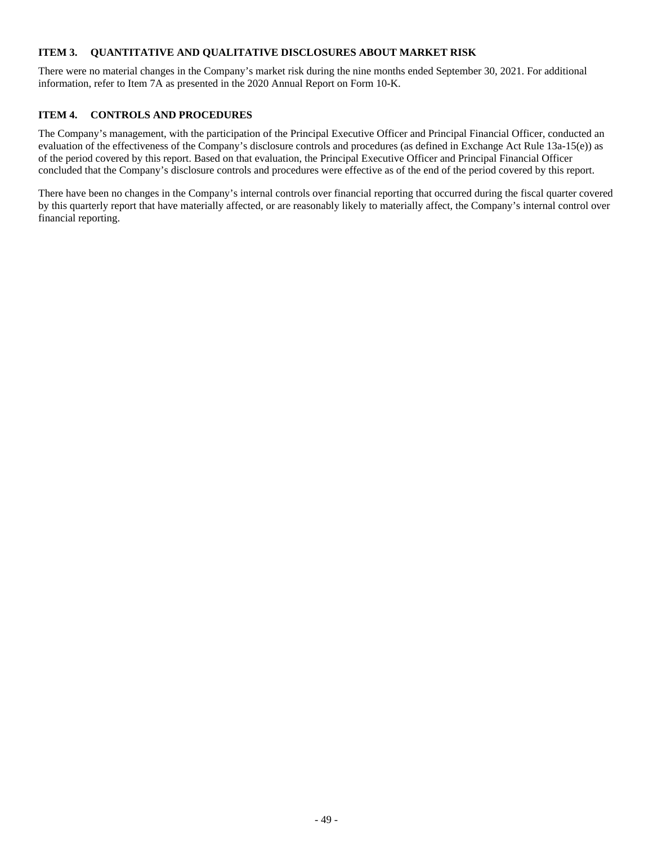### <span id="page-48-0"></span>**ITEM 3. QUANTITATIVE AND QUALITATIVE DISCLOSURES ABOUT MARKET RISK**

There were no material changes in the Company's market risk during the nine months ended September 30, 2021. For additional information, refer to Item 7A as presented in the 2020 Annual Report on Form 10-K.

### <span id="page-48-1"></span>**ITEM 4. CONTROLS AND PROCEDURES**

The Company's management, with the participation of the Principal Executive Officer and Principal Financial Officer, conducted an evaluation of the effectiveness of the Company's disclosure controls and procedures (as defined in Exchange Act Rule 13a-15(e)) as of the period covered by this report. Based on that evaluation, the Principal Executive Officer and Principal Financial Officer concluded that the Company's disclosure controls and procedures were effective as of the end of the period covered by this report.

There have been no changes in the Company's internal controls over financial reporting that occurred during the fiscal quarter covered by this quarterly report that have materially affected, or are reasonably likely to materially affect, the Company's internal control over financial reporting.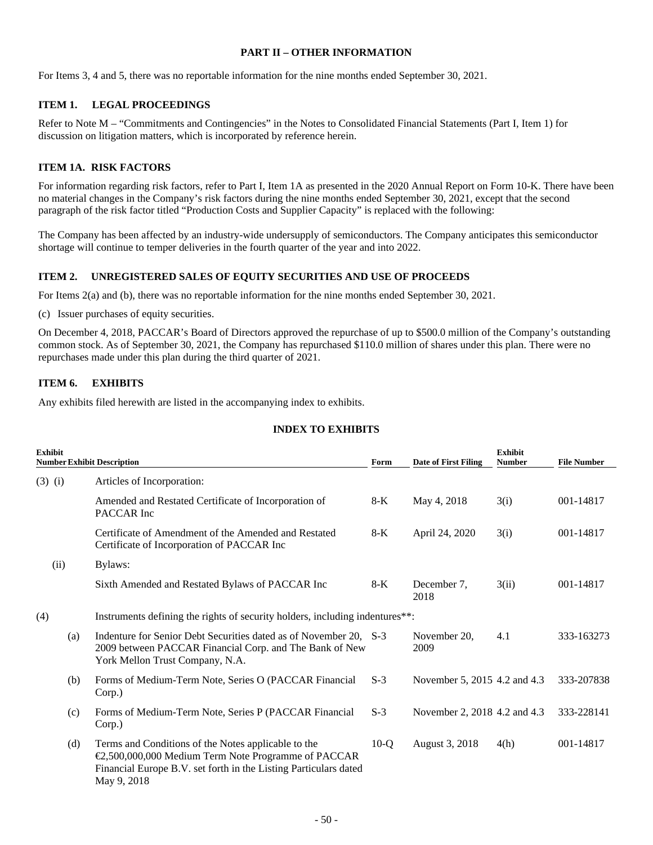### <span id="page-49-0"></span>**PART II – OTHER INFORMATION**

<span id="page-49-1"></span>For Items 3, 4 and 5, there was no reportable information for the nine months ended September 30, 2021.

### **ITEM 1. LEGAL PROCEEDINGS**

Refer to Note M – "Commitments and Contingencies" in the Notes to Consolidated Financial Statements (Part I, Item 1) for discussion on litigation matters, which is incorporated by reference herein.

### <span id="page-49-2"></span>**ITEM 1A. RISK FACTORS**

For information regarding risk factors, refer to Part I, Item 1A as presented in the 2020 Annual Report on Form 10-K. There have been no material changes in the Company's risk factors during the nine months ended September 30, 2021, except that the second paragraph of the risk factor titled "Production Costs and Supplier Capacity" is replaced with the following:

The Company has been affected by an industry-wide undersupply of semiconductors. The Company anticipates this semiconductor shortage will continue to temper deliveries in the fourth quarter of the year and into 2022.

### **ITEM 2. UNREGISTERED SALES OF EQUITY SECURITIES AND USE OF PROCEEDS**

For Items 2(a) and (b), there was no reportable information for the nine months ended September 30, 2021.

(c) Issuer purchases of equity securities.

On December 4, 2018, PACCAR's Board of Directors approved the repurchase of up to \$500.0 million of the Company's outstanding common stock. As of September 30, 2021, the Company has repurchased \$110.0 million of shares under this plan. There were no repurchases made under this plan during the third quarter of 2021.

### <span id="page-49-4"></span>**ITEM 6. EXHIBITS**

Any exhibits filed herewith are listed in the accompanying index to exhibits.

### <span id="page-49-5"></span><span id="page-49-3"></span>**INDEX TO EXHIBITS**

| <b>Exhibit</b> |      | <b>Number Exhibit Description</b>                                                                                                                                                             | Form   | <b>Date of First Filing</b>  | <b>Exhibit</b><br><b>Number</b> | <b>File Number</b> |  |  |  |  |
|----------------|------|-----------------------------------------------------------------------------------------------------------------------------------------------------------------------------------------------|--------|------------------------------|---------------------------------|--------------------|--|--|--|--|
| $(3)$ (i)      |      | Articles of Incorporation:                                                                                                                                                                    |        |                              |                                 |                    |  |  |  |  |
|                |      | Amended and Restated Certificate of Incorporation of<br>PACCAR Inc                                                                                                                            | $8-K$  | May 4, 2018                  | 3(i)                            | 001-14817          |  |  |  |  |
|                |      | Certificate of Amendment of the Amended and Restated<br>Certificate of Incorporation of PACCAR Inc                                                                                            | $8-K$  | April 24, 2020               | 3(i)                            | 001-14817          |  |  |  |  |
|                | (ii) | Bylaws:                                                                                                                                                                                       |        |                              |                                 |                    |  |  |  |  |
|                |      | Sixth Amended and Restated Bylaws of PACCAR Inc                                                                                                                                               | $8-K$  | December 7,<br>2018          | 3(ii)                           | 001-14817          |  |  |  |  |
| (4)            |      | Instruments defining the rights of security holders, including indentures**:                                                                                                                  |        |                              |                                 |                    |  |  |  |  |
|                | (a)  | Indenture for Senior Debt Securities dated as of November 20, S-3<br>2009 between PACCAR Financial Corp. and The Bank of New<br>York Mellon Trust Company, N.A.                               |        | November 20.<br>2009         | 4.1                             | 333-163273         |  |  |  |  |
| (b)            |      | Forms of Medium-Term Note, Series O (PACCAR Financial<br>Corp.)                                                                                                                               | $S-3$  | November 5, 2015 4.2 and 4.3 |                                 | 333-207838         |  |  |  |  |
|                | (c)  | Forms of Medium-Term Note, Series P (PACCAR Financial<br>Corp.)                                                                                                                               | $S-3$  | November 2, 2018 4.2 and 4.3 |                                 | 333-228141         |  |  |  |  |
|                | (d)  | Terms and Conditions of the Notes applicable to the<br>€2,500,000,000 Medium Term Note Programme of PACCAR<br>Financial Europe B.V. set forth in the Listing Particulars dated<br>May 9, 2018 | $10-Q$ | August 3, 2018               | 4(h)                            | 001-14817          |  |  |  |  |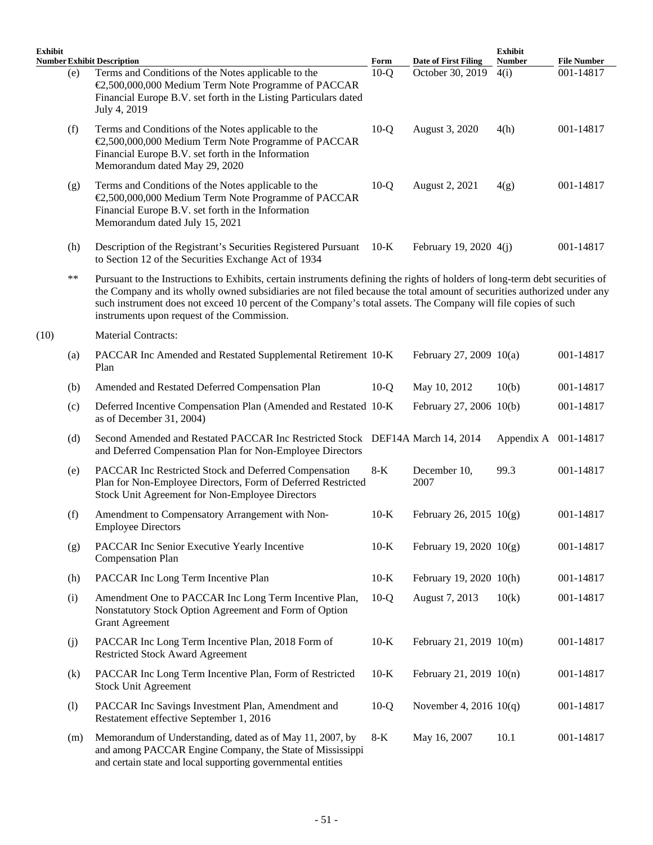| <b>Exhibit</b> |       |                                                                                                                                                                                                                                                                                                                                                                                                                          |        |                             | <b>Exhibit</b>       |                    |
|----------------|-------|--------------------------------------------------------------------------------------------------------------------------------------------------------------------------------------------------------------------------------------------------------------------------------------------------------------------------------------------------------------------------------------------------------------------------|--------|-----------------------------|----------------------|--------------------|
|                |       | <b>Number Exhibit Description</b>                                                                                                                                                                                                                                                                                                                                                                                        | Form   | <b>Date of First Filing</b> | <b>Number</b>        | <b>File Number</b> |
|                | (e)   | Terms and Conditions of the Notes applicable to the<br>€2,500,000,000 Medium Term Note Programme of PACCAR<br>Financial Europe B.V. set forth in the Listing Particulars dated<br>July 4, 2019                                                                                                                                                                                                                           | $10-Q$ | October 30, 2019            | 4(i)                 | 001-14817          |
|                | (f)   | Terms and Conditions of the Notes applicable to the<br>€2,500,000,000 Medium Term Note Programme of PACCAR<br>Financial Europe B.V. set forth in the Information<br>Memorandum dated May 29, 2020                                                                                                                                                                                                                        | $10-Q$ | August 3, 2020              | 4(h)                 | 001-14817          |
|                | (g)   | Terms and Conditions of the Notes applicable to the<br>€2,500,000,000 Medium Term Note Programme of PACCAR<br>Financial Europe B.V. set forth in the Information<br>Memorandum dated July 15, 2021                                                                                                                                                                                                                       | $10-Q$ | August 2, 2021              | 4(g)                 | 001-14817          |
|                | (h)   | Description of the Registrant's Securities Registered Pursuant 10-K<br>to Section 12 of the Securities Exchange Act of 1934                                                                                                                                                                                                                                                                                              |        | February 19, 2020 4(j)      |                      | 001-14817          |
|                | $***$ | Pursuant to the Instructions to Exhibits, certain instruments defining the rights of holders of long-term debt securities of<br>the Company and its wholly owned subsidiaries are not filed because the total amount of securities authorized under any<br>such instrument does not exceed 10 percent of the Company's total assets. The Company will file copies of such<br>instruments upon request of the Commission. |        |                             |                      |                    |
| (10)           |       | <b>Material Contracts:</b>                                                                                                                                                                                                                                                                                                                                                                                               |        |                             |                      |                    |
|                | (a)   | PACCAR Inc Amended and Restated Supplemental Retirement 10-K<br>Plan                                                                                                                                                                                                                                                                                                                                                     |        | February 27, 2009 10(a)     |                      | 001-14817          |
|                | (b)   | Amended and Restated Deferred Compensation Plan                                                                                                                                                                                                                                                                                                                                                                          | $10-Q$ | May 10, 2012                | 10(b)                | 001-14817          |
|                | (c)   | Deferred Incentive Compensation Plan (Amended and Restated 10-K)<br>as of December 31, 2004)                                                                                                                                                                                                                                                                                                                             |        | February 27, 2006 10(b)     |                      | 001-14817          |
|                | (d)   | Second Amended and Restated PACCAR Inc Restricted Stock DEF14A March 14, 2014<br>and Deferred Compensation Plan for Non-Employee Directors                                                                                                                                                                                                                                                                               |        |                             | Appendix A 001-14817 |                    |
|                | (e)   | PACCAR Inc Restricted Stock and Deferred Compensation<br>Plan for Non-Employee Directors, Form of Deferred Restricted<br>Stock Unit Agreement for Non-Employee Directors                                                                                                                                                                                                                                                 | $8-K$  | December 10,<br>2007        | 99.3                 | 001-14817          |
|                | (f)   | Amendment to Compensatory Arrangement with Non-<br><b>Employee Directors</b>                                                                                                                                                                                                                                                                                                                                             | $10-K$ | February 26, 2015 $10(g)$   |                      | 001-14817          |
|                | (g)   | PACCAR Inc Senior Executive Yearly Incentive<br><b>Compensation Plan</b>                                                                                                                                                                                                                                                                                                                                                 | $10-K$ | February 19, 2020 $10(g)$   |                      | 001-14817          |
|                | (h)   | PACCAR Inc Long Term Incentive Plan                                                                                                                                                                                                                                                                                                                                                                                      | $10-K$ | February 19, 2020 10(h)     |                      | 001-14817          |
|                | (i)   | Amendment One to PACCAR Inc Long Term Incentive Plan,<br>Nonstatutory Stock Option Agreement and Form of Option<br><b>Grant Agreement</b>                                                                                                                                                                                                                                                                                | $10-Q$ | August 7, 2013              | 10(k)                | 001-14817          |
|                | (j)   | PACCAR Inc Long Term Incentive Plan, 2018 Form of<br><b>Restricted Stock Award Agreement</b>                                                                                                                                                                                                                                                                                                                             | $10-K$ | February 21, 2019 10(m)     |                      | 001-14817          |
|                | (k)   | PACCAR Inc Long Term Incentive Plan, Form of Restricted<br><b>Stock Unit Agreement</b>                                                                                                                                                                                                                                                                                                                                   | $10-K$ | February 21, 2019 10(n)     |                      | 001-14817          |
|                | (1)   | PACCAR Inc Savings Investment Plan, Amendment and<br>Restatement effective September 1, 2016                                                                                                                                                                                                                                                                                                                             | $10-Q$ | November 4, 2016 $10(q)$    |                      | 001-14817          |
|                | (m)   | Memorandum of Understanding, dated as of May 11, 2007, by<br>and among PACCAR Engine Company, the State of Mississippi<br>and certain state and local supporting governmental entities                                                                                                                                                                                                                                   | $8-K$  | May 16, 2007                | 10.1                 | 001-14817          |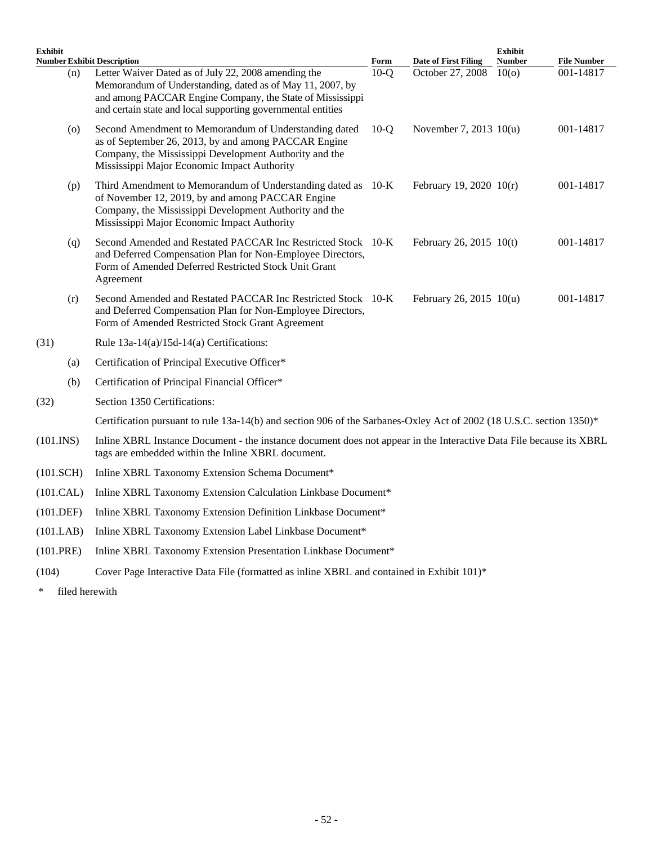| <b>Exhibit</b><br><b>Number Exhibit Description</b> |                                                                                                                                                                                                                                                | Form   | <b>Date of First Filing</b> | <b>Exhibit</b><br><b>Number</b> | <b>File Number</b> |
|-----------------------------------------------------|------------------------------------------------------------------------------------------------------------------------------------------------------------------------------------------------------------------------------------------------|--------|-----------------------------|---------------------------------|--------------------|
| (n)                                                 | Letter Waiver Dated as of July 22, 2008 amending the<br>Memorandum of Understanding, dated as of May 11, 2007, by<br>and among PACCAR Engine Company, the State of Mississippi<br>and certain state and local supporting governmental entities | $10-Q$ | October 27, 2008            | 10 <sub>(o)</sub>               | 001-14817          |
| $\left( 0 \right)$                                  | Second Amendment to Memorandum of Understanding dated<br>as of September 26, 2013, by and among PACCAR Engine<br>Company, the Mississippi Development Authority and the<br>Mississippi Major Economic Impact Authority                         | $10-o$ | November 7, 2013 10(u)      |                                 | 001-14817          |
| (p)                                                 | Third Amendment to Memorandum of Understanding dated as 10-K<br>of November 12, 2019, by and among PACCAR Engine<br>Company, the Mississippi Development Authority and the<br>Mississippi Major Economic Impact Authority                      |        | February 19, 2020 10(r)     |                                 | 001-14817          |
| (q)                                                 | Second Amended and Restated PACCAR Inc Restricted Stock 10-K<br>and Deferred Compensation Plan for Non-Employee Directors,<br>Form of Amended Deferred Restricted Stock Unit Grant<br>Agreement                                                |        | February 26, 2015 10(t)     |                                 | 001-14817          |
| (r)                                                 | Second Amended and Restated PACCAR Inc Restricted Stock 10-K<br>and Deferred Compensation Plan for Non-Employee Directors,<br>Form of Amended Restricted Stock Grant Agreement                                                                 |        | February 26, 2015 10(u)     |                                 | 001-14817          |
| (31)                                                | Rule 13a-14(a)/15d-14(a) Certifications:                                                                                                                                                                                                       |        |                             |                                 |                    |
| (a)                                                 | Certification of Principal Executive Officer*                                                                                                                                                                                                  |        |                             |                                 |                    |
| (b)                                                 | Certification of Principal Financial Officer*                                                                                                                                                                                                  |        |                             |                                 |                    |
| (32)                                                | Section 1350 Certifications:                                                                                                                                                                                                                   |        |                             |                                 |                    |
|                                                     | Certification pursuant to rule 13a-14(b) and section 906 of the Sarbanes-Oxley Act of 2002 (18 U.S.C. section 1350)*                                                                                                                           |        |                             |                                 |                    |
| $(101.$ INS $)$                                     | Inline XBRL Instance Document - the instance document does not appear in the Interactive Data File because its XBRL<br>tags are embedded within the Inline XBRL document.                                                                      |        |                             |                                 |                    |
| $(101.$ SCH $)$                                     | Inline XBRL Taxonomy Extension Schema Document*                                                                                                                                                                                                |        |                             |                                 |                    |
| (101.CAL)                                           | Inline XBRL Taxonomy Extension Calculation Linkbase Document*                                                                                                                                                                                  |        |                             |                                 |                    |
| (101.DEF)                                           | Inline XBRL Taxonomy Extension Definition Linkbase Document*                                                                                                                                                                                   |        |                             |                                 |                    |
| (101.LAB)                                           | Inline XBRL Taxonomy Extension Label Linkbase Document*                                                                                                                                                                                        |        |                             |                                 |                    |
| (101.PRE)                                           | Inline XBRL Taxonomy Extension Presentation Linkbase Document*                                                                                                                                                                                 |        |                             |                                 |                    |
| (104)                                               | Cover Page Interactive Data File (formatted as inline XBRL and contained in Exhibit 101)*                                                                                                                                                      |        |                             |                                 |                    |

\* filed herewith